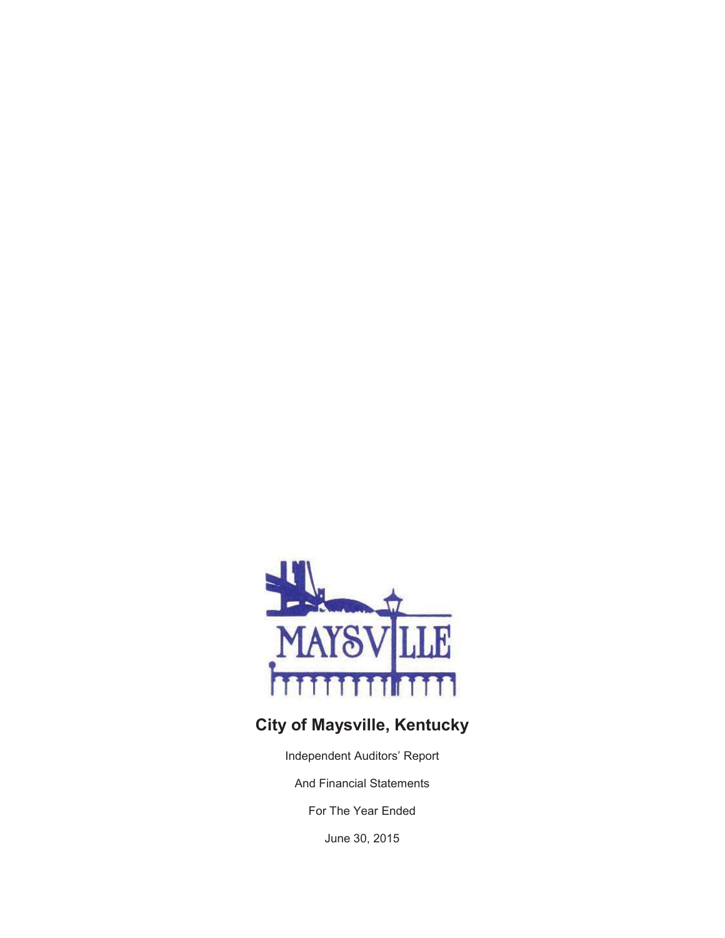

# **City of Maysville, Kentucky**

Independent Auditors' Report

And Financial Statements

For The Year Ended

June 30, 2015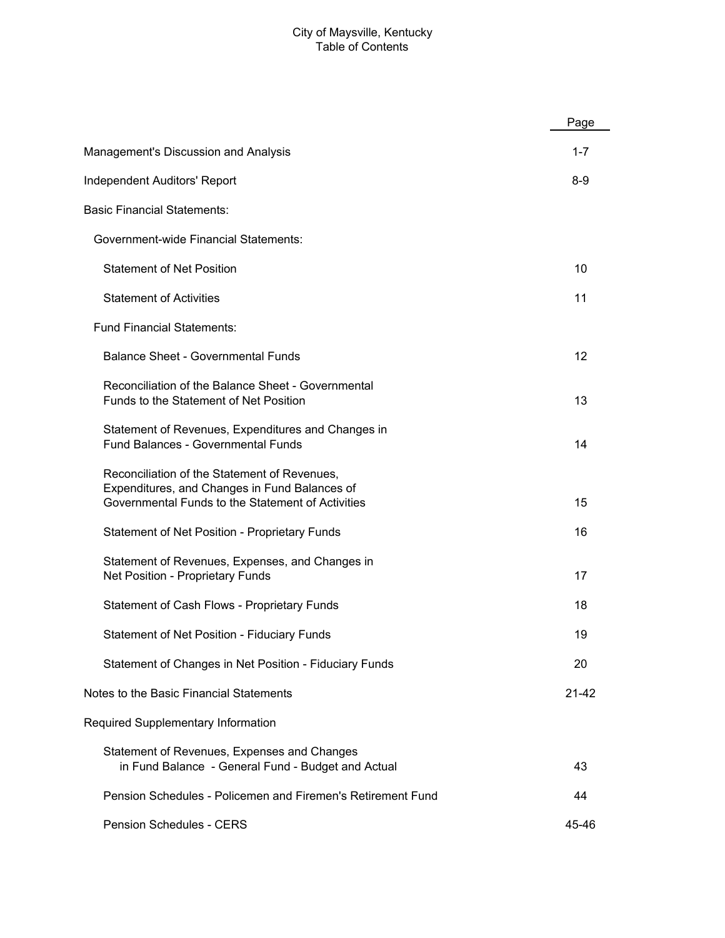# City of Maysville, Kentucky Table of Contents

|                                                                                                                                                    | Page    |
|----------------------------------------------------------------------------------------------------------------------------------------------------|---------|
| Management's Discussion and Analysis                                                                                                               | $1 - 7$ |
| <b>Independent Auditors' Report</b>                                                                                                                | $8-9$   |
| <b>Basic Financial Statements:</b>                                                                                                                 |         |
| Government-wide Financial Statements:                                                                                                              |         |
| <b>Statement of Net Position</b>                                                                                                                   | 10      |
| <b>Statement of Activities</b>                                                                                                                     | 11      |
| <b>Fund Financial Statements:</b>                                                                                                                  |         |
| <b>Balance Sheet - Governmental Funds</b>                                                                                                          | 12      |
| Reconciliation of the Balance Sheet - Governmental<br>Funds to the Statement of Net Position                                                       | 13      |
| Statement of Revenues, Expenditures and Changes in<br><b>Fund Balances - Governmental Funds</b>                                                    | 14      |
| Reconciliation of the Statement of Revenues,<br>Expenditures, and Changes in Fund Balances of<br>Governmental Funds to the Statement of Activities | 15      |
| Statement of Net Position - Proprietary Funds                                                                                                      | 16      |
| Statement of Revenues, Expenses, and Changes in<br>Net Position - Proprietary Funds                                                                | 17      |
| Statement of Cash Flows - Proprietary Funds                                                                                                        | 18      |
| <b>Statement of Net Position - Fiduciary Funds</b>                                                                                                 | 19      |
| Statement of Changes in Net Position - Fiduciary Funds                                                                                             | 20      |
| Notes to the Basic Financial Statements                                                                                                            | 21-42   |
| Required Supplementary Information                                                                                                                 |         |
| Statement of Revenues, Expenses and Changes<br>in Fund Balance - General Fund - Budget and Actual                                                  | 43      |
| Pension Schedules - Policemen and Firemen's Retirement Fund                                                                                        | 44      |
| Pension Schedules - CERS                                                                                                                           | 45-46   |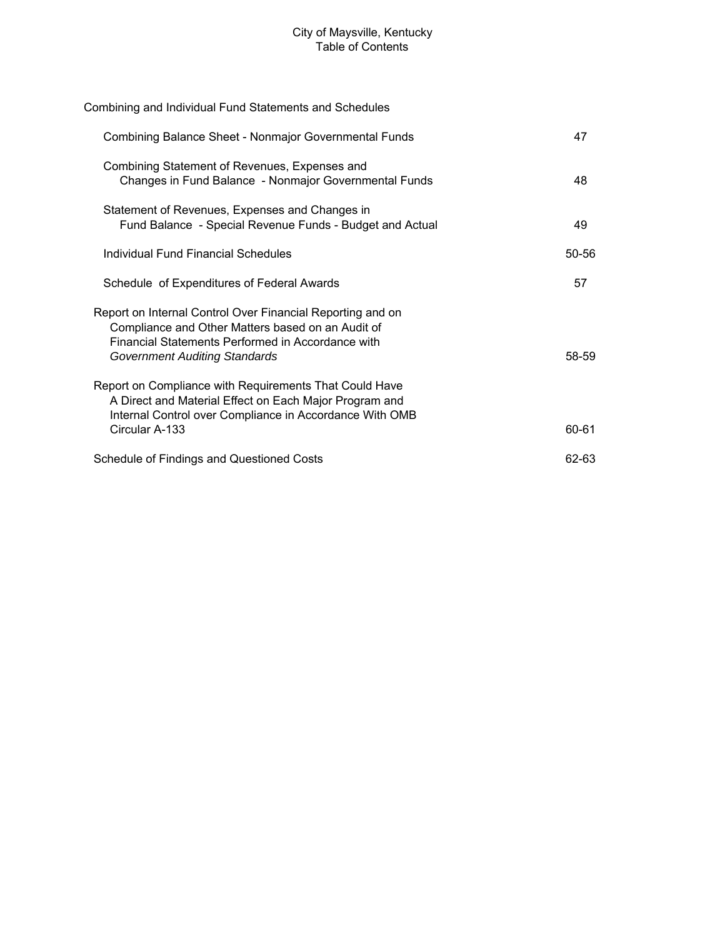# City of Maysville, Kentucky Table of Contents

| 47    |
|-------|
| 48    |
| 49    |
| 50-56 |
| 57    |
| 58-59 |
|       |
| 60-61 |
| 62-63 |
|       |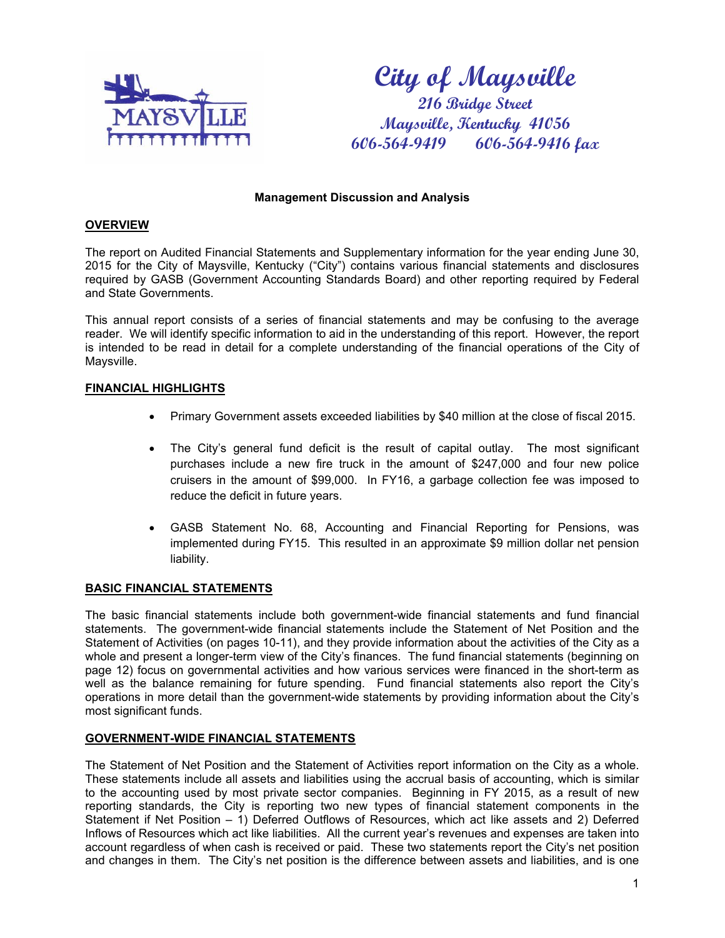

**City of Maysville**

**216 Bridge Street Maysville, Kentucky 41056 606-564-9419 606-564-9416 fax** 

# **Management Discussion and Analysis**

# **OVERVIEW**

The report on Audited Financial Statements and Supplementary information for the year ending June 30, 2015 for the City of Maysville, Kentucky ("City") contains various financial statements and disclosures required by GASB (Government Accounting Standards Board) and other reporting required by Federal and State Governments.

This annual report consists of a series of financial statements and may be confusing to the average reader. We will identify specific information to aid in the understanding of this report. However, the report is intended to be read in detail for a complete understanding of the financial operations of the City of Maysville.

# **FINANCIAL HIGHLIGHTS**

- Primary Government assets exceeded liabilities by \$40 million at the close of fiscal 2015.
- The City's general fund deficit is the result of capital outlay. The most significant purchases include a new fire truck in the amount of \$247,000 and four new police cruisers in the amount of \$99,000. In FY16, a garbage collection fee was imposed to reduce the deficit in future years.
- GASB Statement No. 68, Accounting and Financial Reporting for Pensions, was implemented during FY15. This resulted in an approximate \$9 million dollar net pension liability.

# **BASIC FINANCIAL STATEMENTS**

The basic financial statements include both government-wide financial statements and fund financial statements. The government-wide financial statements include the Statement of Net Position and the Statement of Activities (on pages 10-11), and they provide information about the activities of the City as a whole and present a longer-term view of the City's finances. The fund financial statements (beginning on page 12) focus on governmental activities and how various services were financed in the short-term as well as the balance remaining for future spending. Fund financial statements also report the City's operations in more detail than the government-wide statements by providing information about the City's most significant funds.

# **GOVERNMENT-WIDE FINANCIAL STATEMENTS**

The Statement of Net Position and the Statement of Activities report information on the City as a whole. These statements include all assets and liabilities using the accrual basis of accounting, which is similar to the accounting used by most private sector companies. Beginning in FY 2015, as a result of new reporting standards, the City is reporting two new types of financial statement components in the Statement if Net Position – 1) Deferred Outflows of Resources, which act like assets and 2) Deferred Inflows of Resources which act like liabilities. All the current year's revenues and expenses are taken into account regardless of when cash is received or paid. These two statements report the City's net position and changes in them. The City's net position is the difference between assets and liabilities, and is one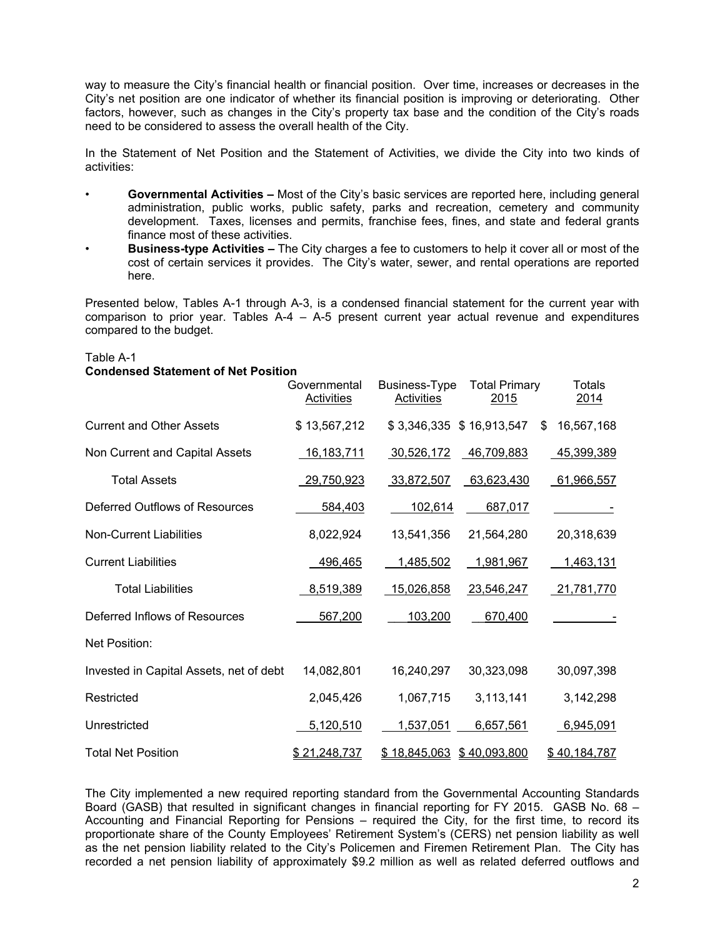way to measure the City's financial health or financial position. Over time, increases or decreases in the City's net position are one indicator of whether its financial position is improving or deteriorating. Other factors, however, such as changes in the City's property tax base and the condition of the City's roads need to be considered to assess the overall health of the City.

In the Statement of Net Position and the Statement of Activities, we divide the City into two kinds of activities:

- **Governmental Activities** Most of the City's basic services are reported here, including general administration, public works, public safety, parks and recreation, cemetery and community development. Taxes, licenses and permits, franchise fees, fines, and state and federal grants finance most of these activities.
- **Business-type Activities** The City charges a fee to customers to help it cover all or most of the cost of certain services it provides. The City's water, sewer, and rental operations are reported here.

Presented below, Tables A-1 through A-3, is a condensed financial statement for the current year with comparison to prior year. Tables A-4 – A-5 present current year actual revenue and expenditures compared to the budget.

| Table A-1                                  |
|--------------------------------------------|
| <b>Condensed Statement of Net Position</b> |

| acnoca otatement or net r               | Governmental<br><b>Activities</b> | Business-Type<br><b>Activities</b> | <b>Total Primary</b><br>2015 | <b>Totals</b><br>2014 |
|-----------------------------------------|-----------------------------------|------------------------------------|------------------------------|-----------------------|
| <b>Current and Other Assets</b>         | \$13,567,212                      |                                    | \$3,346,335 \$16,913,547     | 16,567,168<br>\$      |
| Non Current and Capital Assets          | 16,183,711                        | 30,526,172                         | 46,709,883                   | 45,399,389            |
| <b>Total Assets</b>                     | 29,750,923                        | 33,872,507                         | 63,623,430                   | 61,966,557            |
| Deferred Outflows of Resources          | 584,403                           | 102,614                            | 687,017                      |                       |
| <b>Non-Current Liabilities</b>          | 8,022,924                         | 13,541,356                         | 21,564,280                   | 20,318,639            |
| <b>Current Liabilities</b>              | 496,465                           | 1,485,502                          | 1,981,967                    | 1,463,131             |
| <b>Total Liabilities</b>                | 8,519,389                         | 15,026,858                         | 23,546,247                   | 21,781,770            |
| Deferred Inflows of Resources           | 567,200                           | 103,200                            | 670,400                      |                       |
| Net Position:                           |                                   |                                    |                              |                       |
| Invested in Capital Assets, net of debt | 14,082,801                        | 16,240,297                         | 30,323,098                   | 30,097,398            |
| Restricted                              | 2,045,426                         | 1,067,715                          | 3,113,141                    | 3,142,298             |
| Unrestricted                            | 5,120,510                         | 1,537,051                          | 6,657,561                    | 6,945,091             |
| Total Net Position                      | \$21,248,737                      | \$18,845,063 \$40,093,800          |                              | \$40,184,787          |

The City implemented a new required reporting standard from the Governmental Accounting Standards Board (GASB) that resulted in significant changes in financial reporting for FY 2015. GASB No. 68 – Accounting and Financial Reporting for Pensions – required the City, for the first time, to record its proportionate share of the County Employees' Retirement System's (CERS) net pension liability as well as the net pension liability related to the City's Policemen and Firemen Retirement Plan. The City has recorded a net pension liability of approximately \$9.2 million as well as related deferred outflows and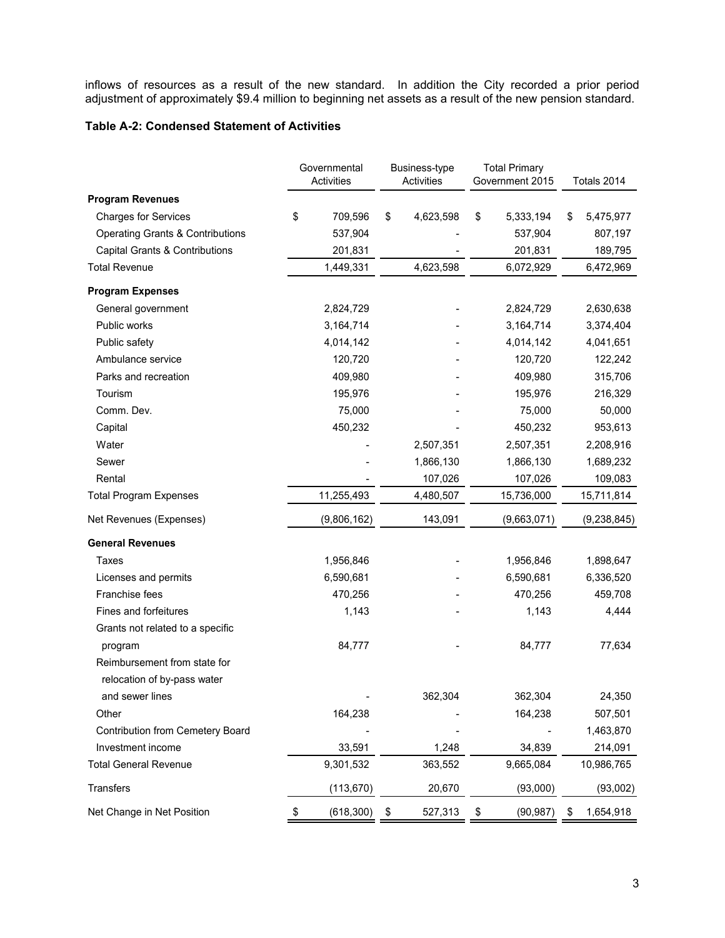inflows of resources as a result of the new standard. In addition the City recorded a prior period adjustment of approximately \$9.4 million to beginning net assets as a result of the new pension standard.

# **Table A-2: Condensed Statement of Activities**

|                                             | Governmental<br><b>Activities</b> | Business-type<br>Activities |           | <b>Total Primary</b><br>Government 2015 |             | Totals 2014     |  |
|---------------------------------------------|-----------------------------------|-----------------------------|-----------|-----------------------------------------|-------------|-----------------|--|
| <b>Program Revenues</b>                     |                                   |                             |           |                                         |             |                 |  |
| <b>Charges for Services</b>                 | \$<br>709,596                     | \$                          | 4,623,598 | \$                                      | 5,333,194   | \$<br>5,475,977 |  |
| <b>Operating Grants &amp; Contributions</b> | 537,904                           |                             |           |                                         | 537,904     | 807,197         |  |
| <b>Capital Grants &amp; Contributions</b>   | 201,831                           |                             |           |                                         | 201,831     | 189,795         |  |
| <b>Total Revenue</b>                        | 1,449,331                         |                             | 4,623,598 |                                         | 6,072,929   | 6,472,969       |  |
| <b>Program Expenses</b>                     |                                   |                             |           |                                         |             |                 |  |
| General government                          | 2,824,729                         |                             |           |                                         | 2,824,729   | 2,630,638       |  |
| Public works                                | 3,164,714                         |                             |           |                                         | 3,164,714   | 3,374,404       |  |
| Public safety                               | 4,014,142                         |                             |           |                                         | 4,014,142   | 4,041,651       |  |
| Ambulance service                           | 120,720                           |                             |           |                                         | 120,720     | 122,242         |  |
| Parks and recreation                        | 409,980                           |                             |           |                                         | 409,980     | 315,706         |  |
| Tourism                                     | 195,976                           |                             |           |                                         | 195,976     | 216,329         |  |
| Comm. Dev.                                  | 75,000                            |                             |           |                                         | 75,000      | 50,000          |  |
| Capital                                     | 450,232                           |                             |           |                                         | 450,232     | 953,613         |  |
| Water                                       |                                   |                             | 2,507,351 |                                         | 2,507,351   | 2,208,916       |  |
| Sewer                                       |                                   |                             | 1,866,130 |                                         | 1,866,130   | 1,689,232       |  |
| Rental                                      |                                   |                             | 107,026   |                                         | 107,026     | 109,083         |  |
| <b>Total Program Expenses</b>               | 11,255,493                        |                             | 4,480,507 |                                         | 15,736,000  | 15,711,814      |  |
| Net Revenues (Expenses)                     | (9,806,162)                       |                             | 143,091   |                                         | (9,663,071) | (9, 238, 845)   |  |
| <b>General Revenues</b>                     |                                   |                             |           |                                         |             |                 |  |
| Taxes                                       | 1,956,846                         |                             |           |                                         | 1,956,846   | 1,898,647       |  |
| Licenses and permits                        | 6,590,681                         |                             |           |                                         | 6,590,681   | 6,336,520       |  |
| Franchise fees                              | 470,256                           |                             |           |                                         | 470,256     | 459,708         |  |
| Fines and forfeitures                       | 1,143                             |                             |           |                                         | 1,143       | 4,444           |  |
| Grants not related to a specific            |                                   |                             |           |                                         |             |                 |  |
| program                                     | 84,777                            |                             |           |                                         | 84,777      | 77,634          |  |
| Reimbursement from state for                |                                   |                             |           |                                         |             |                 |  |
| relocation of by-pass water                 |                                   |                             |           |                                         |             |                 |  |
| and sewer lines                             |                                   |                             | 362,304   |                                         | 362,304     | 24,350          |  |
| Other                                       | 164,238                           |                             |           |                                         | 164,238     | 507,501         |  |
| Contribution from Cemetery Board            |                                   |                             |           |                                         |             | 1,463,870       |  |
| Investment income                           | 33,591                            |                             | 1,248     |                                         | 34,839      | 214,091         |  |
| <b>Total General Revenue</b>                | 9,301,532                         |                             | 363,552   |                                         | 9,665,084   | 10,986,765      |  |
| <b>Transfers</b>                            | (113, 670)                        |                             | 20,670    |                                         | (93,000)    | (93,002)        |  |
| Net Change in Net Position                  | \$<br>(618, 300)                  | \$                          | 527,313   | \$                                      | (90, 987)   | \$<br>1,654,918 |  |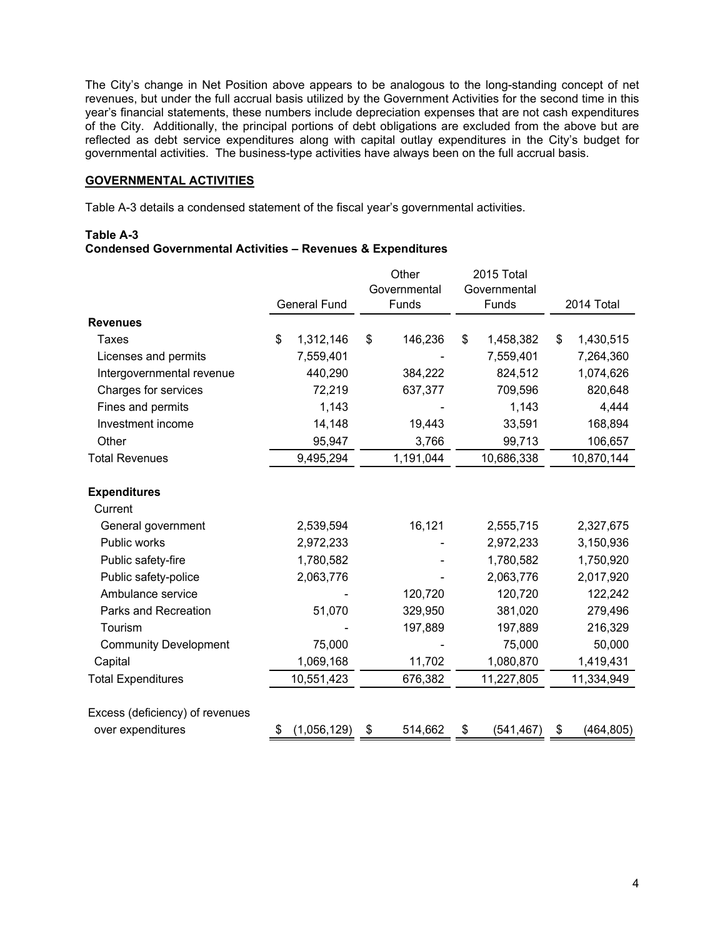The City's change in Net Position above appears to be analogous to the long-standing concept of net revenues, but under the full accrual basis utilized by the Government Activities for the second time in this year's financial statements, these numbers include depreciation expenses that are not cash expenditures of the City. Additionally, the principal portions of debt obligations are excluded from the above but are reflected as debt service expenditures along with capital outlay expenditures in the City's budget for governmental activities. The business-type activities have always been on the full accrual basis.

# **GOVERNMENTAL ACTIVITIES**

Table A-3 details a condensed statement of the fiscal year's governmental activities.

# **Table A-3**

# **Condensed Governmental Activities – Revenues & Expenditures**

|                                 |                     | Other<br>Governmental |           | 2015 Total<br>Governmental |            |    |            |  |
|---------------------------------|---------------------|-----------------------|-----------|----------------------------|------------|----|------------|--|
|                                 | <b>General Fund</b> | Funds                 |           |                            | Funds      |    | 2014 Total |  |
| <b>Revenues</b>                 |                     |                       |           |                            |            |    |            |  |
| Taxes                           | \$<br>1,312,146     | \$                    | 146,236   | \$                         | 1,458,382  | \$ | 1,430,515  |  |
| Licenses and permits            | 7,559,401           |                       |           |                            | 7,559,401  |    | 7,264,360  |  |
| Intergovernmental revenue       | 440,290             |                       | 384,222   |                            | 824,512    |    | 1,074,626  |  |
| Charges for services            | 72,219              |                       | 637,377   |                            | 709,596    |    | 820,648    |  |
| Fines and permits               | 1,143               |                       |           |                            | 1,143      |    | 4,444      |  |
| Investment income               | 14,148              |                       | 19,443    |                            | 33,591     |    | 168,894    |  |
| Other                           | 95,947              |                       | 3,766     |                            | 99,713     |    | 106,657    |  |
| <b>Total Revenues</b>           | 9,495,294           |                       | 1,191,044 |                            | 10,686,338 |    | 10,870,144 |  |
| <b>Expenditures</b>             |                     |                       |           |                            |            |    |            |  |
| Current                         |                     |                       |           |                            |            |    |            |  |
| General government              | 2,539,594           |                       | 16,121    |                            | 2,555,715  |    | 2,327,675  |  |
| Public works                    | 2,972,233           |                       |           |                            | 2,972,233  |    | 3,150,936  |  |
| Public safety-fire              | 1,780,582           |                       |           |                            | 1,780,582  |    | 1,750,920  |  |
| Public safety-police            | 2,063,776           |                       |           |                            | 2,063,776  |    | 2,017,920  |  |
| Ambulance service               |                     |                       | 120,720   |                            | 120,720    |    | 122,242    |  |
| Parks and Recreation            | 51,070              |                       | 329,950   |                            | 381,020    |    | 279,496    |  |
| Tourism                         |                     |                       | 197,889   |                            | 197,889    |    | 216,329    |  |
| <b>Community Development</b>    | 75,000              |                       |           |                            | 75,000     |    | 50,000     |  |
| Capital                         | 1,069,168           |                       | 11,702    |                            | 1,080,870  |    | 1,419,431  |  |
| <b>Total Expenditures</b>       | 10,551,423          |                       | 676,382   |                            | 11,227,805 |    | 11,334,949 |  |
| Excess (deficiency) of revenues |                     |                       |           |                            |            |    |            |  |
| over expenditures               | \$<br>(1,056,129)   | \$                    | 514,662   | \$                         | (541, 467) | \$ | (464, 805) |  |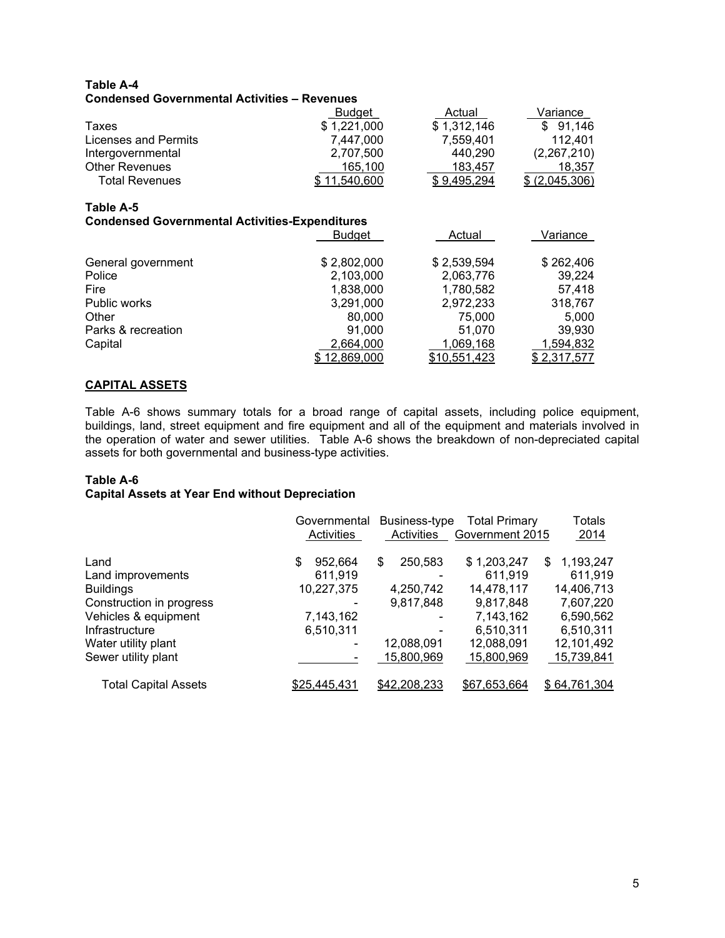| Taxes<br>Licenses and Permits<br>Intergovernmental<br><b>Other Revenues</b><br><b>Total Revenues</b> | <b>Budget</b><br>\$1,221,000<br>7,447,000<br>2,707,500<br>165,100<br>\$11,540,600 | Actual<br>\$1,312,146<br>7,559,401<br>440,290<br>183,457<br>\$9,495,294 | Variance<br>\$<br>91,146<br>112,401<br>(2,267,210)<br>18,357<br>\$ (2,045,306) |
|------------------------------------------------------------------------------------------------------|-----------------------------------------------------------------------------------|-------------------------------------------------------------------------|--------------------------------------------------------------------------------|
| Table A-5                                                                                            |                                                                                   |                                                                         |                                                                                |
| <b>Condensed Governmental Activities-Expenditures</b>                                                |                                                                                   |                                                                         |                                                                                |
|                                                                                                      | <b>Budget</b>                                                                     | Actual                                                                  | Variance                                                                       |
| General government                                                                                   | \$2,802,000                                                                       | \$2,539,594                                                             | \$262,406                                                                      |
| Police                                                                                               | 2,103,000                                                                         | 2,063,776                                                               | 39,224                                                                         |
| Fire                                                                                                 | 1,838,000                                                                         | 1,780,582                                                               | 57,418                                                                         |
| Public works                                                                                         | 3,291,000                                                                         | 2,972,233                                                               | 318,767                                                                        |
| Other                                                                                                | 80,000                                                                            | 75,000                                                                  | 5,000                                                                          |
| Parks & recreation                                                                                   | 91,000                                                                            | 51,070                                                                  | 39,930                                                                         |
| Capital                                                                                              | 2,664,000                                                                         | 1,069,168                                                               | 1,594,832                                                                      |
|                                                                                                      | 12,869,000                                                                        | \$10,551,423                                                            | \$2,317,577                                                                    |

# **Table A-4 Condensed Governmental Activities – Revenues**

# **CAPITAL ASSETS**

Table A-6 shows summary totals for a broad range of capital assets, including police equipment, buildings, land, street equipment and fire equipment and all of the equipment and materials involved in the operation of water and sewer utilities. Table A-6 shows the breakdown of non-depreciated capital assets for both governmental and business-type activities.

# **Table A-6**

# **Capital Assets at Year End without Depreciation**

|                          |               | Business-type<br>Governmental |                 | Totals          |
|--------------------------|---------------|-------------------------------|-----------------|-----------------|
|                          | Activities    | Activities                    | Government 2015 | 2014            |
| Land                     | \$<br>952,664 | 250,583<br>\$                 | \$1,203,247     | 1,193,247<br>S. |
| Land improvements        | 611,919       |                               | 611,919         | 611,919         |
| <b>Buildings</b>         | 10,227,375    | 4,250,742                     | 14,478,117      | 14,406,713      |
| Construction in progress |               | 9,817,848                     | 9,817,848       | 7,607,220       |
| Vehicles & equipment     | 7,143,162     |                               | 7,143,162       | 6,590,562       |
| Infrastructure           | 6,510,311     |                               | 6,510,311       | 6,510,311       |
| Water utility plant      |               | 12,088,091                    | 12,088,091      | 12,101,492      |
| Sewer utility plant      |               | 15,800,969                    | 15,800,969      | 15,739,841      |
| Total Capital Assets     | \$25,445,431  | \$42,208,233                  | \$67,653,664    | \$64,761,304    |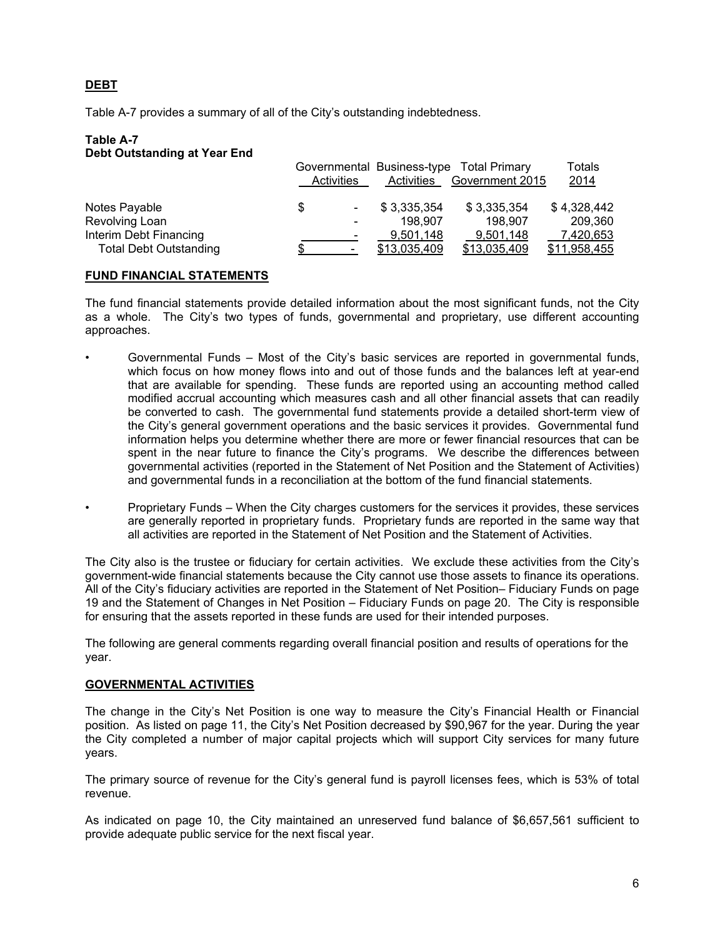# **DEBT**

Table A-7 provides a summary of all of the City's outstanding indebtedness.

#### **Table A-7 Debt Outstanding at Year End**

|                               | Activities               | <b>Activities</b> | Governmental Business-type Total Primary<br>Government 2015 | Totals<br>2014 |
|-------------------------------|--------------------------|-------------------|-------------------------------------------------------------|----------------|
| Notes Payable                 | \$                       | \$3,335,354       | \$3,335,354                                                 | \$4,328,442    |
| Revolving Loan                |                          | 198.907           | 198.907                                                     | 209.360        |
| Interim Debt Financing        |                          | 9.501.148         | 9,501,148                                                   | 7,420,653      |
| <b>Total Debt Outstanding</b> | $\overline{\phantom{a}}$ | \$13,035,409      | \$13,035,409                                                | \$11,958,455   |

# **FUND FINANCIAL STATEMENTS**

The fund financial statements provide detailed information about the most significant funds, not the City as a whole. The City's two types of funds, governmental and proprietary, use different accounting approaches.

- Governmental Funds Most of the City's basic services are reported in governmental funds, which focus on how money flows into and out of those funds and the balances left at year-end that are available for spending. These funds are reported using an accounting method called modified accrual accounting which measures cash and all other financial assets that can readily be converted to cash. The governmental fund statements provide a detailed short-term view of the City's general government operations and the basic services it provides. Governmental fund information helps you determine whether there are more or fewer financial resources that can be spent in the near future to finance the City's programs. We describe the differences between governmental activities (reported in the Statement of Net Position and the Statement of Activities) and governmental funds in a reconciliation at the bottom of the fund financial statements.
- Proprietary Funds When the City charges customers for the services it provides, these services are generally reported in proprietary funds. Proprietary funds are reported in the same way that all activities are reported in the Statement of Net Position and the Statement of Activities.

The City also is the trustee or fiduciary for certain activities. We exclude these activities from the City's government-wide financial statements because the City cannot use those assets to finance its operations. All of the City's fiduciary activities are reported in the Statement of Net Position– Fiduciary Funds on page 19 and the Statement of Changes in Net Position – Fiduciary Funds on page 20. The City is responsible for ensuring that the assets reported in these funds are used for their intended purposes.

The following are general comments regarding overall financial position and results of operations for the year.

# **GOVERNMENTAL ACTIVITIES**

The change in the City's Net Position is one way to measure the City's Financial Health or Financial position. As listed on page 11, the City's Net Position decreased by \$90,967 for the year. During the year the City completed a number of major capital projects which will support City services for many future years.

The primary source of revenue for the City's general fund is payroll licenses fees, which is 53% of total revenue.

As indicated on page 10, the City maintained an unreserved fund balance of \$6,657,561 sufficient to provide adequate public service for the next fiscal year.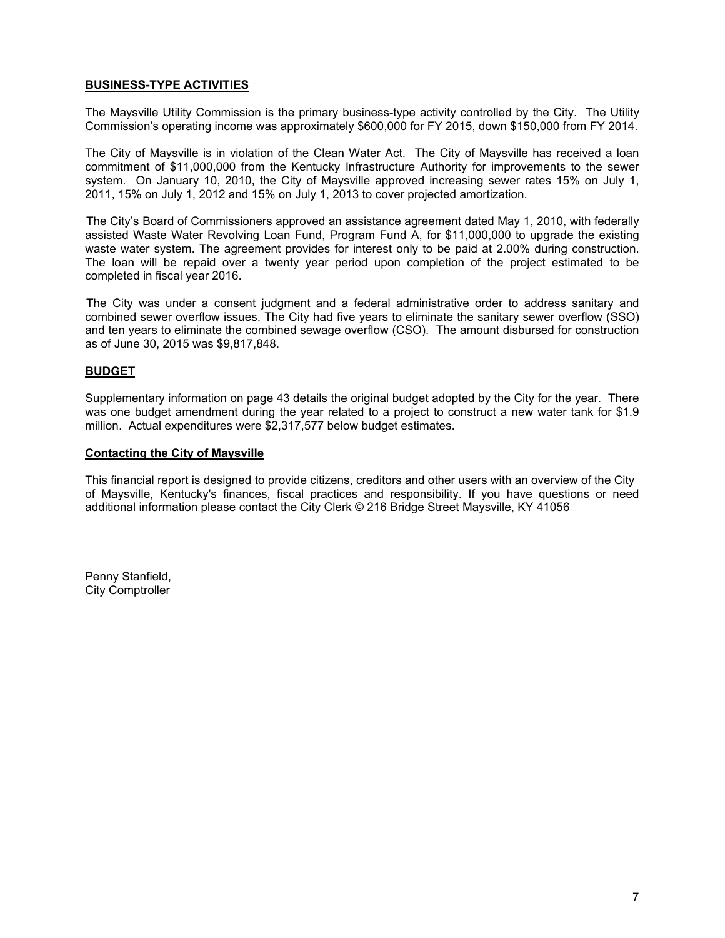# **BUSINESS-TYPE ACTIVITIES**

The Maysville Utility Commission is the primary business-type activity controlled by the City. The Utility Commission's operating income was approximately \$600,000 for FY 2015, down \$150,000 from FY 2014.

The City of Maysville is in violation of the Clean Water Act. The City of Maysville has received a loan commitment of \$11,000,000 from the Kentucky Infrastructure Authority for improvements to the sewer system. On January 10, 2010, the City of Maysville approved increasing sewer rates 15% on July 1, 2011, 15% on July 1, 2012 and 15% on July 1, 2013 to cover projected amortization.

The City's Board of Commissioners approved an assistance agreement dated May 1, 2010, with federally assisted Waste Water Revolving Loan Fund, Program Fund A, for \$11,000,000 to upgrade the existing waste water system. The agreement provides for interest only to be paid at 2.00% during construction. The loan will be repaid over a twenty year period upon completion of the project estimated to be completed in fiscal year 2016.

The City was under a consent judgment and a federal administrative order to address sanitary and combined sewer overflow issues. The City had five years to eliminate the sanitary sewer overflow (SSO) and ten years to eliminate the combined sewage overflow (CSO). The amount disbursed for construction as of June 30, 2015 was \$9,817,848.

# **BUDGET**

Supplementary information on page 43 details the original budget adopted by the City for the year. There was one budget amendment during the year related to a project to construct a new water tank for \$1.9 million. Actual expenditures were \$2,317,577 below budget estimates.

# **Contacting the City of Maysville**

This financial report is designed to provide citizens, creditors and other users with an overview of the City of Maysville, Kentucky's finances, fiscal practices and responsibility. If you have questions or need additional information please contact the City Clerk © 216 Bridge Street Maysville, KY 41056

Penny Stanfield, City Comptroller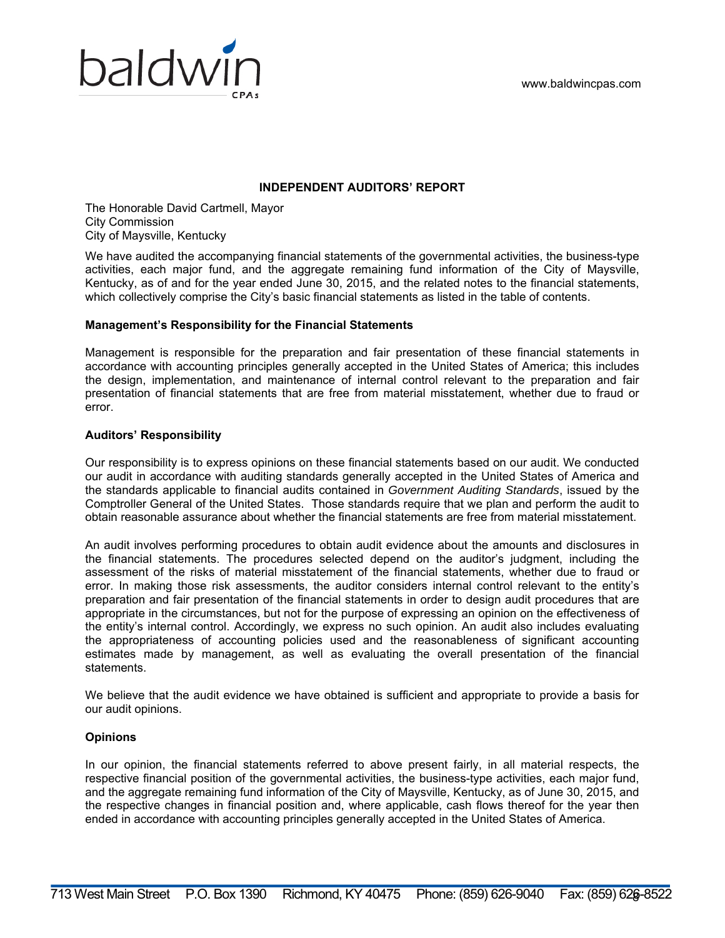

### **INDEPENDENT AUDITORS' REPORT**

The Honorable David Cartmell, Mayor City Commission City of Maysville, Kentucky

We have audited the accompanying financial statements of the governmental activities, the business-type activities, each major fund, and the aggregate remaining fund information of the City of Maysville, Kentucky, as of and for the year ended June 30, 2015, and the related notes to the financial statements, which collectively comprise the City's basic financial statements as listed in the table of contents.

# **Management's Responsibility for the Financial Statements**

Management is responsible for the preparation and fair presentation of these financial statements in accordance with accounting principles generally accepted in the United States of America; this includes the design, implementation, and maintenance of internal control relevant to the preparation and fair presentation of financial statements that are free from material misstatement, whether due to fraud or error.

#### **Auditors' Responsibility**

Our responsibility is to express opinions on these financial statements based on our audit. We conducted our audit in accordance with auditing standards generally accepted in the United States of America and the standards applicable to financial audits contained in *Government Auditing Standards*, issued by the Comptroller General of the United States. Those standards require that we plan and perform the audit to obtain reasonable assurance about whether the financial statements are free from material misstatement.

An audit involves performing procedures to obtain audit evidence about the amounts and disclosures in the financial statements. The procedures selected depend on the auditor's judgment, including the assessment of the risks of material misstatement of the financial statements, whether due to fraud or error. In making those risk assessments, the auditor considers internal control relevant to the entity's preparation and fair presentation of the financial statements in order to design audit procedures that are appropriate in the circumstances, but not for the purpose of expressing an opinion on the effectiveness of the entity's internal control. Accordingly, we express no such opinion. An audit also includes evaluating the appropriateness of accounting policies used and the reasonableness of significant accounting estimates made by management, as well as evaluating the overall presentation of the financial statements.

We believe that the audit evidence we have obtained is sufficient and appropriate to provide a basis for our audit opinions.

# **Opinions**

In our opinion, the financial statements referred to above present fairly, in all material respects, the respective financial position of the governmental activities, the business-type activities, each major fund, and the aggregate remaining fund information of the City of Maysville, Kentucky, as of June 30, 2015, and the respective changes in financial position and, where applicable, cash flows thereof for the year then ended in accordance with accounting principles generally accepted in the United States of America.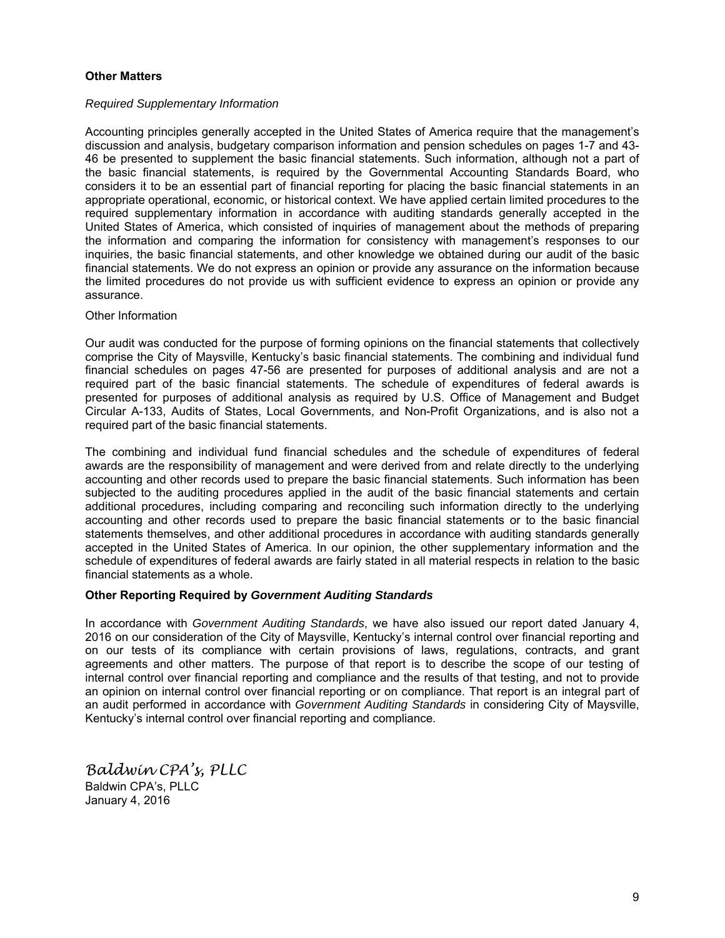# **Other Matters**

# *Required Supplementary Information*

Accounting principles generally accepted in the United States of America require that the management's discussion and analysis, budgetary comparison information and pension schedules on pages 1-7 and 43- 46 be presented to supplement the basic financial statements. Such information, although not a part of the basic financial statements, is required by the Governmental Accounting Standards Board, who considers it to be an essential part of financial reporting for placing the basic financial statements in an appropriate operational, economic, or historical context. We have applied certain limited procedures to the required supplementary information in accordance with auditing standards generally accepted in the United States of America, which consisted of inquiries of management about the methods of preparing the information and comparing the information for consistency with management's responses to our inquiries, the basic financial statements, and other knowledge we obtained during our audit of the basic financial statements. We do not express an opinion or provide any assurance on the information because the limited procedures do not provide us with sufficient evidence to express an opinion or provide any assurance.

# Other Information

Our audit was conducted for the purpose of forming opinions on the financial statements that collectively comprise the City of Maysville, Kentucky's basic financial statements. The combining and individual fund financial schedules on pages 47-56 are presented for purposes of additional analysis and are not a required part of the basic financial statements. The schedule of expenditures of federal awards is presented for purposes of additional analysis as required by U.S. Office of Management and Budget Circular A-133, Audits of States, Local Governments, and Non-Profit Organizations, and is also not a required part of the basic financial statements.

The combining and individual fund financial schedules and the schedule of expenditures of federal awards are the responsibility of management and were derived from and relate directly to the underlying accounting and other records used to prepare the basic financial statements. Such information has been subjected to the auditing procedures applied in the audit of the basic financial statements and certain additional procedures, including comparing and reconciling such information directly to the underlying accounting and other records used to prepare the basic financial statements or to the basic financial statements themselves, and other additional procedures in accordance with auditing standards generally accepted in the United States of America. In our opinion, the other supplementary information and the schedule of expenditures of federal awards are fairly stated in all material respects in relation to the basic financial statements as a whole.

# **Other Reporting Required by** *Government Auditing Standards*

In accordance with *Government Auditing Standards*, we have also issued our report dated January 4, 2016 on our consideration of the City of Maysville, Kentucky's internal control over financial reporting and on our tests of its compliance with certain provisions of laws, regulations, contracts, and grant agreements and other matters. The purpose of that report is to describe the scope of our testing of internal control over financial reporting and compliance and the results of that testing, and not to provide an opinion on internal control over financial reporting or on compliance. That report is an integral part of an audit performed in accordance with *Government Auditing Standards* in considering City of Maysville, Kentucky's internal control over financial reporting and compliance.

*Baldwin CPA's, PLLC*  Baldwin CPA's, PLLC January 4, 2016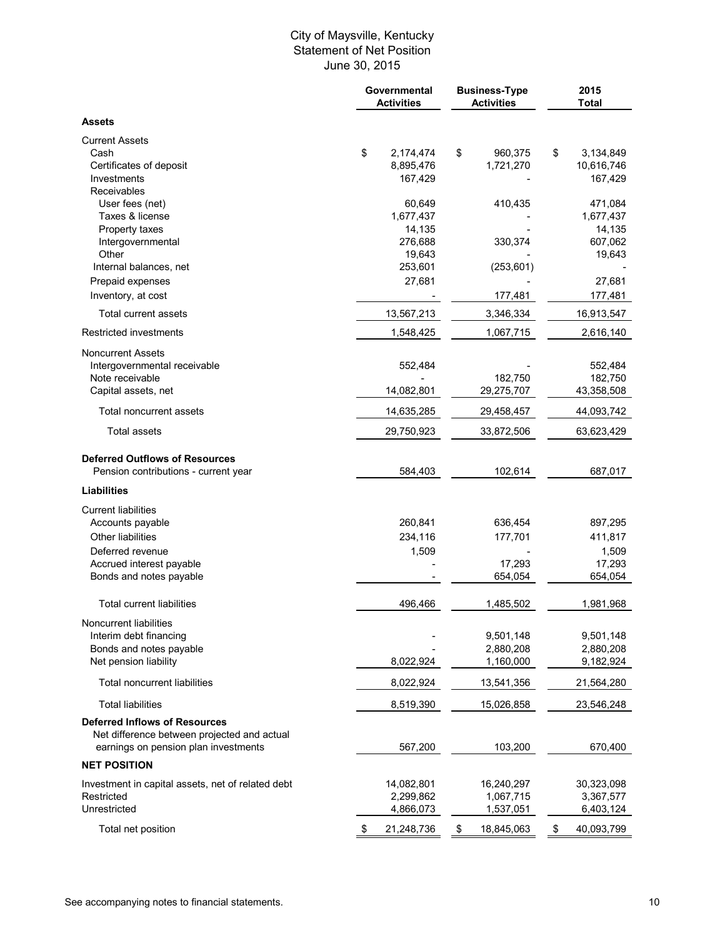# City of Maysville, Kentucky Statement of Net Position June 30, 2015

|                                                                                                                                                | Governmental<br><b>Activities</b>                  | <b>Business-Type</b><br><b>Activities</b> | 2015<br><b>Total</b>                                |  |
|------------------------------------------------------------------------------------------------------------------------------------------------|----------------------------------------------------|-------------------------------------------|-----------------------------------------------------|--|
| <b>Assets</b>                                                                                                                                  |                                                    |                                           |                                                     |  |
| <b>Current Assets</b><br>Cash<br>Certificates of deposit<br>Investments                                                                        | \$<br>2,174,474<br>8,895,476<br>167,429            | \$<br>960,375<br>1,721,270                | 3,134,849<br>\$<br>10,616,746<br>167,429            |  |
| Receivables<br>User fees (net)<br>Taxes & license<br>Property taxes<br>Intergovernmental<br>Other                                              | 60,649<br>1,677,437<br>14,135<br>276,688<br>19,643 | 410,435<br>330,374                        | 471,084<br>1,677,437<br>14,135<br>607,062<br>19,643 |  |
| Internal balances, net<br>Prepaid expenses<br>Inventory, at cost                                                                               | 253,601<br>27,681                                  | (253, 601)<br>177,481                     | 27,681<br>177,481                                   |  |
| Total current assets                                                                                                                           | 13,567,213                                         | 3,346,334                                 | 16,913,547                                          |  |
| <b>Restricted investments</b>                                                                                                                  | 1,548,425                                          | 1,067,715                                 | 2,616,140                                           |  |
| <b>Noncurrent Assets</b><br>Intergovernmental receivable<br>Note receivable<br>Capital assets, net                                             | 552,484<br>14,082,801                              | 182,750<br>29,275,707                     | 552,484<br>182,750<br>43,358,508                    |  |
| Total noncurrent assets                                                                                                                        | 14,635,285                                         | 29,458,457                                | 44,093,742                                          |  |
| Total assets                                                                                                                                   | 29,750,923                                         | 33,872,506                                | 63,623,429                                          |  |
| <b>Deferred Outflows of Resources</b><br>Pension contributions - current year                                                                  | 584,403                                            | 102,614                                   | 687,017                                             |  |
| <b>Liabilities</b>                                                                                                                             |                                                    |                                           |                                                     |  |
| <b>Current liabilities</b><br>Accounts payable<br>Other liabilities<br>Deferred revenue<br>Accrued interest payable<br>Bonds and notes payable | 260,841<br>234,116<br>1,509                        | 636,454<br>177,701<br>17,293<br>654,054   | 897,295<br>411,817<br>1,509<br>17,293<br>654,054    |  |
| <b>Total current liabilities</b>                                                                                                               | 496,466                                            | 1,485,502                                 | 1,981,968                                           |  |
| Noncurrent liabilities<br>Interim debt financing<br>Bonds and notes payable<br>Net pension liability                                           | 8,022,924                                          | 9,501,148<br>2,880,208<br>1,160,000       | 9,501,148<br>2,880,208<br>9,182,924                 |  |
| <b>Total noncurrent liabilities</b>                                                                                                            | 8,022,924                                          | 13,541,356                                | 21,564,280                                          |  |
| <b>Total liabilities</b>                                                                                                                       | 8,519,390                                          | 15,026,858                                | 23,546,248                                          |  |
| <b>Deferred Inflows of Resources</b><br>Net difference between projected and actual<br>earnings on pension plan investments                    | 567,200                                            | 103,200                                   | 670,400                                             |  |
| <b>NET POSITION</b>                                                                                                                            |                                                    |                                           |                                                     |  |
| Investment in capital assets, net of related debt<br>Restricted<br>Unrestricted                                                                | 14,082,801<br>2,299,862<br>4,866,073               | 16,240,297<br>1,067,715<br>1,537,051      | 30,323,098<br>3,367,577<br>6,403,124                |  |
| Total net position                                                                                                                             | 21,248,736<br>\$.                                  | 18,845,063<br>\$                          | 40,093,799<br>\$                                    |  |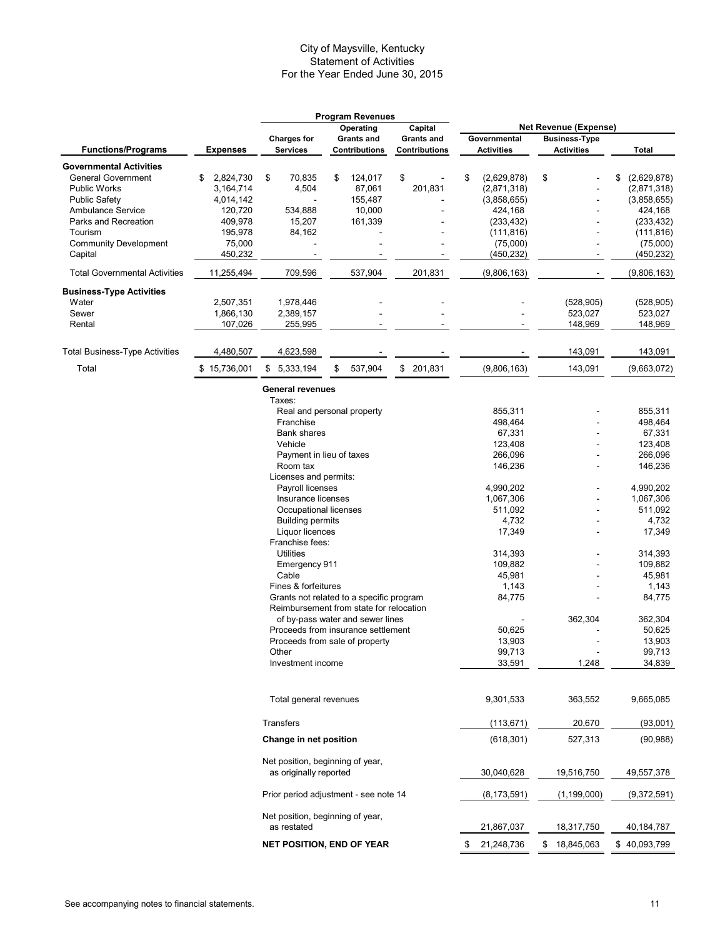#### City of Maysville, Kentucky Statement of Activities For the Year Ended June 30, 2015

|                                       |                 | <b>Program Revenues</b>                                    |                                           |                                           |                                   |                                           |                   |
|---------------------------------------|-----------------|------------------------------------------------------------|-------------------------------------------|-------------------------------------------|-----------------------------------|-------------------------------------------|-------------------|
|                                       |                 |                                                            | Operating                                 | Capital                                   |                                   | <b>Net Revenue (Expense)</b>              |                   |
| <b>Functions/Programs</b>             | <b>Expenses</b> | <b>Charges for</b><br><b>Services</b>                      | <b>Grants and</b><br><b>Contributions</b> | <b>Grants and</b><br><b>Contributions</b> | Governmental<br><b>Activities</b> | <b>Business-Type</b><br><b>Activities</b> | <b>Total</b>      |
|                                       |                 |                                                            |                                           |                                           |                                   |                                           |                   |
| <b>Governmental Activities</b>        |                 |                                                            |                                           |                                           |                                   |                                           |                   |
| <b>General Government</b>             | 2,824,730<br>\$ | 70,835<br>\$                                               | \$<br>124,017                             | \$                                        | (2,629,878)<br>\$                 | \$                                        | (2,629,878)<br>\$ |
| <b>Public Works</b>                   | 3,164,714       | 4,504                                                      | 87,061                                    | 201,831                                   | (2,871,318)                       |                                           | (2,871,318)       |
| <b>Public Safety</b>                  | 4,014,142       |                                                            | 155,487                                   |                                           | (3,858,655)                       |                                           | (3,858,655)       |
| <b>Ambulance Service</b>              | 120,720         | 534,888                                                    | 10,000                                    |                                           | 424,168                           |                                           | 424,168           |
| Parks and Recreation                  | 409,978         | 15,207                                                     | 161,339                                   |                                           | (233, 432)                        |                                           | (233, 432)        |
| Tourism                               | 195,978         | 84,162                                                     |                                           |                                           | (111, 816)                        |                                           | (111, 816)        |
| <b>Community Development</b>          | 75,000          |                                                            |                                           |                                           | (75,000)                          |                                           | (75,000)          |
| Capital                               | 450,232         |                                                            |                                           |                                           | (450, 232)                        |                                           | (450, 232)        |
| <b>Total Governmental Activities</b>  | 11,255,494      | 709,596                                                    | 537,904                                   | 201,831                                   | (9,806,163)                       |                                           | (9,806,163)       |
| <b>Business-Type Activities</b>       |                 |                                                            |                                           |                                           |                                   |                                           |                   |
| Water                                 | 2,507,351       | 1,978,446                                                  |                                           |                                           |                                   | (528, 905)                                | (528, 905)        |
| Sewer                                 | 1,866,130       | 2,389,157                                                  |                                           |                                           |                                   | 523,027                                   | 523,027           |
| Rental                                | 107,026         | 255,995                                                    |                                           |                                           |                                   | 148,969                                   | 148,969           |
| <b>Total Business-Type Activities</b> | 4,480,507       | 4,623,598                                                  |                                           |                                           |                                   | 143,091                                   | 143,091           |
| Total                                 | \$15,736,001    | \$5,333,194                                                | \$<br>537,904                             | \$<br>201,831                             | (9,806,163)                       | 143,091                                   | (9,663,072)       |
|                                       |                 | <b>General revenues</b>                                    |                                           |                                           |                                   |                                           |                   |
|                                       |                 | Taxes:                                                     |                                           |                                           |                                   |                                           |                   |
|                                       |                 |                                                            | Real and personal property                |                                           | 855,311                           |                                           | 855,311           |
|                                       |                 | Franchise                                                  |                                           |                                           | 498,464                           |                                           | 498,464           |
|                                       |                 | <b>Bank shares</b>                                         |                                           |                                           | 67,331                            |                                           | 67,331            |
|                                       |                 | Vehicle                                                    |                                           |                                           | 123,408                           |                                           | 123,408           |
|                                       |                 | Payment in lieu of taxes                                   |                                           |                                           | 266,096                           |                                           | 266,096           |
|                                       |                 | Room tax                                                   |                                           |                                           | 146,236                           |                                           | 146,236           |
|                                       |                 | Licenses and permits:                                      |                                           |                                           |                                   |                                           |                   |
|                                       |                 | Payroll licenses                                           |                                           |                                           | 4,990,202                         |                                           | 4,990,202         |
|                                       |                 | Insurance licenses                                         |                                           |                                           | 1,067,306                         |                                           | 1,067,306         |
|                                       |                 | Occupational licenses                                      |                                           |                                           | 511,092                           |                                           | 511,092           |
|                                       |                 | <b>Building permits</b>                                    |                                           |                                           | 4,732                             |                                           | 4,732             |
|                                       |                 | Liquor licences                                            |                                           |                                           | 17,349                            |                                           | 17,349            |
|                                       |                 | Franchise fees:                                            |                                           |                                           |                                   |                                           |                   |
|                                       |                 | Utilities                                                  |                                           |                                           | 314,393                           |                                           | 314,393           |
|                                       |                 | Emergency 911                                              |                                           |                                           | 109,882                           |                                           | 109,882           |
|                                       |                 | Cable                                                      |                                           |                                           | 45,981                            |                                           | 45,981            |
|                                       |                 | Fines & forfeitures                                        |                                           |                                           | 1,143                             |                                           | 1,143             |
|                                       |                 |                                                            | Grants not related to a specific program  |                                           | 84,775                            |                                           | 84,775            |
|                                       |                 |                                                            | Reimbursement from state for relocation   |                                           |                                   |                                           |                   |
|                                       |                 |                                                            | of by-pass water and sewer lines          |                                           |                                   | 362,304                                   | 362,304           |
|                                       |                 |                                                            | Proceeds from insurance settlement        |                                           | 50.625                            |                                           | 50,625            |
|                                       |                 |                                                            |                                           |                                           |                                   |                                           |                   |
|                                       |                 |                                                            | Proceeds from sale of property            |                                           | 13,903                            |                                           | 13,903            |
|                                       |                 | Other                                                      |                                           |                                           | 99,713                            |                                           | 99,713            |
|                                       |                 | Investment income                                          |                                           |                                           | 33,591                            | 1,248                                     | 34,839            |
|                                       |                 |                                                            |                                           |                                           | 9,301,533                         |                                           |                   |
|                                       |                 | Total general revenues                                     |                                           |                                           |                                   | 363,552                                   | 9,665,085         |
|                                       |                 | Transfers                                                  |                                           |                                           | (113, 671)                        | 20,670                                    | (93,001)          |
|                                       |                 | Change in net position                                     |                                           |                                           | (618, 301)                        | 527,313                                   | (90, 988)         |
|                                       |                 | Net position, beginning of year,<br>as originally reported |                                           |                                           | 30,040,628                        | 19,516,750                                | 49,557,378        |
|                                       |                 |                                                            | Prior period adjustment - see note 14     |                                           | (8,173,591)                       | (1, 199, 000)                             | (9,372,591)       |
|                                       |                 | Net position, beginning of year,<br>as restated            |                                           |                                           | 21,867,037                        | 18,317,750                                | 40,184,787        |
|                                       |                 |                                                            |                                           |                                           |                                   |                                           |                   |
|                                       |                 |                                                            | <b>NET POSITION, END OF YEAR</b>          |                                           | 21,248,736<br>\$                  | \$18,845,063                              | \$40,093,799      |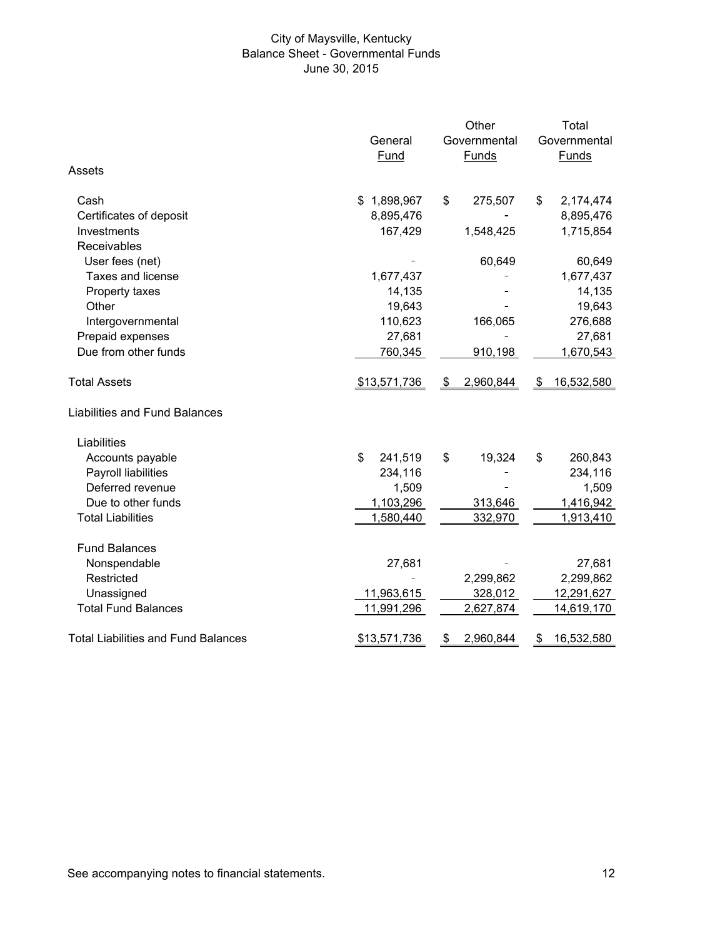# City of Maysville, Kentucky Balance Sheet - Governmental Funds June 30, 2015

| Assets                                     | General<br>Fund | Other<br>Governmental<br><b>Funds</b> | Total<br>Governmental<br><b>Funds</b> |
|--------------------------------------------|-----------------|---------------------------------------|---------------------------------------|
|                                            |                 |                                       |                                       |
| Cash                                       | \$1,898,967     | \$<br>275,507                         | \$<br>2,174,474                       |
| Certificates of deposit                    | 8,895,476       |                                       | 8,895,476                             |
| Investments                                | 167,429         | 1,548,425                             | 1,715,854                             |
| Receivables                                |                 |                                       |                                       |
| User fees (net)                            |                 | 60,649                                | 60,649                                |
| Taxes and license                          | 1,677,437       |                                       | 1,677,437                             |
| Property taxes                             | 14,135          |                                       | 14,135                                |
| Other                                      | 19,643          |                                       | 19,643                                |
| Intergovernmental                          | 110,623         | 166,065                               | 276,688                               |
| Prepaid expenses                           | 27,681          |                                       | 27,681                                |
| Due from other funds                       | 760,345         | 910,198                               | 1,670,543                             |
| <b>Total Assets</b>                        | \$13,571,736    | 2,960,844<br>\$                       | 16,532,580<br>\$                      |
| <b>Liabilities and Fund Balances</b>       |                 |                                       |                                       |
| Liabilities                                |                 |                                       |                                       |
| Accounts payable                           | \$<br>241,519   | \$<br>19,324                          | \$<br>260,843                         |
| Payroll liabilities                        | 234,116         |                                       | 234,116                               |
| Deferred revenue                           | 1,509           |                                       | 1,509                                 |
| Due to other funds                         | 1,103,296       | 313,646                               | 1,416,942                             |
| <b>Total Liabilities</b>                   | 1,580,440       | 332,970                               | 1,913,410                             |
| <b>Fund Balances</b>                       |                 |                                       |                                       |
| Nonspendable                               | 27,681          |                                       | 27,681                                |
| Restricted                                 |                 | 2,299,862                             | 2,299,862                             |
| Unassigned                                 | 11,963,615      | 328,012                               | 12,291,627                            |
| <b>Total Fund Balances</b>                 | 11,991,296      | 2,627,874                             | 14,619,170                            |
| <b>Total Liabilities and Fund Balances</b> | \$13,571,736    | 2,960,844<br>\$                       | 16,532,580<br>\$                      |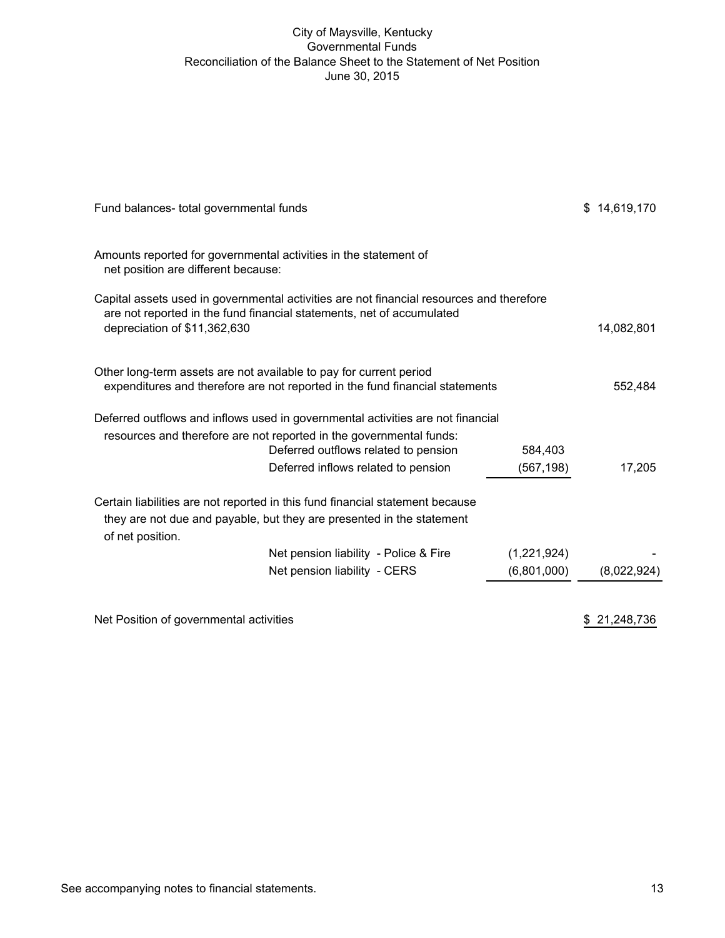# City of Maysville, Kentucky Governmental Funds Reconciliation of the Balance Sheet to the Statement of Net Position June 30, 2015

| Fund balances-total governmental funds                                                                                                                                                                                                                         | 14,619,170<br>\$ |
|----------------------------------------------------------------------------------------------------------------------------------------------------------------------------------------------------------------------------------------------------------------|------------------|
| Amounts reported for governmental activities in the statement of<br>net position are different because:                                                                                                                                                        |                  |
| Capital assets used in governmental activities are not financial resources and therefore<br>are not reported in the fund financial statements, net of accumulated<br>depreciation of \$11,362,630                                                              | 14,082,801       |
| Other long-term assets are not available to pay for current period<br>expenditures and therefore are not reported in the fund financial statements                                                                                                             | 552,484          |
| Deferred outflows and inflows used in governmental activities are not financial<br>resources and therefore are not reported in the governmental funds:<br>Deferred outflows related to pension<br>584,403<br>Deferred inflows related to pension<br>(567, 198) | 17,205           |
| Certain liabilities are not reported in this fund financial statement because<br>they are not due and payable, but they are presented in the statement<br>of net position.                                                                                     |                  |
| Net pension liability - Police & Fire<br>(1,221,924)<br>(6,801,000)<br>Net pension liability - CERS                                                                                                                                                            | (8,022,924)      |
|                                                                                                                                                                                                                                                                |                  |
| Net Position of governmental activities                                                                                                                                                                                                                        | 21,248,736       |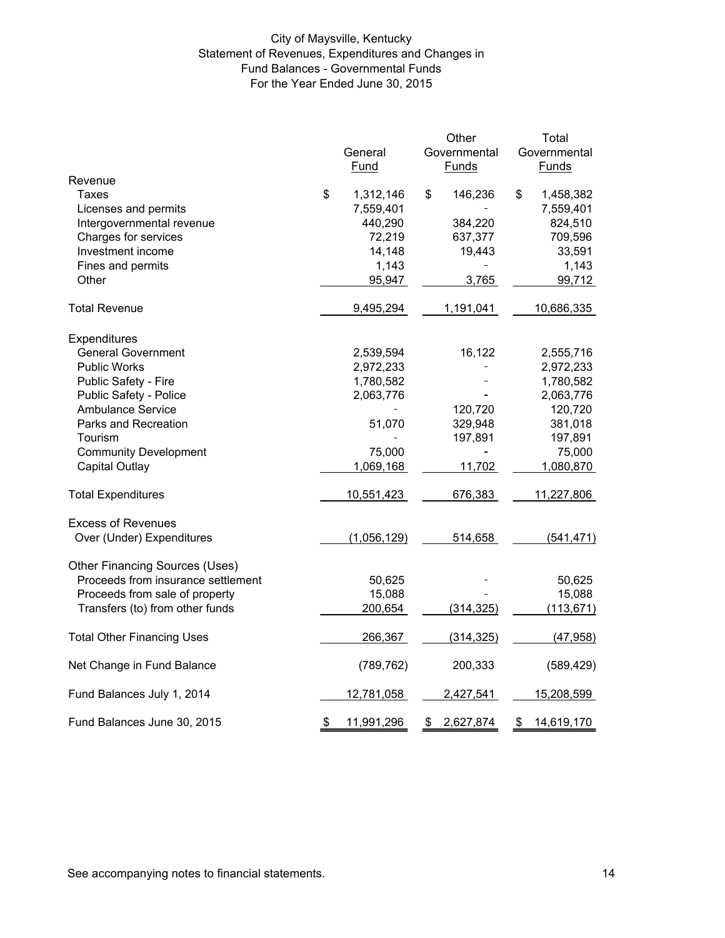# City of Maysville, Kentucky Statement of Revenues, Expenditures and Changes in Fund Balances - Governmental Funds For the Year Ended June 30, 2015

|                                       | General<br>Fund  | Other<br>Governmental<br><b>Funds</b> | Total<br>Governmental<br><b>Funds</b> |
|---------------------------------------|------------------|---------------------------------------|---------------------------------------|
| Revenue                               |                  |                                       |                                       |
| Taxes                                 | \$<br>1,312,146  | \$<br>146,236                         | \$<br>1,458,382                       |
| Licenses and permits                  | 7,559,401        |                                       | 7,559,401                             |
| Intergovernmental revenue             | 440,290          | 384,220                               | 824,510                               |
| Charges for services                  | 72,219           | 637,377                               | 709,596                               |
| Investment income                     | 14,148           | 19,443                                | 33,591                                |
| Fines and permits                     | 1,143            |                                       | 1,143                                 |
| Other                                 | 95,947           | 3,765                                 | 99,712                                |
| <b>Total Revenue</b>                  | 9,495,294        | 1,191,041                             | 10,686,335                            |
| Expenditures                          |                  |                                       |                                       |
| <b>General Government</b>             | 2,539,594        | 16,122                                | 2,555,716                             |
| <b>Public Works</b>                   | 2,972,233        |                                       | 2,972,233                             |
| Public Safety - Fire                  | 1,780,582        |                                       | 1,780,582                             |
| <b>Public Safety - Police</b>         | 2,063,776        |                                       | 2,063,776                             |
| Ambulance Service                     |                  | 120,720                               | 120,720                               |
| Parks and Recreation                  | 51,070           | 329,948                               | 381,018                               |
| Tourism                               |                  | 197,891                               | 197,891                               |
| <b>Community Development</b>          | 75,000           |                                       | 75,000                                |
| Capital Outlay                        | 1,069,168        | 11,702                                | 1,080,870                             |
| <b>Total Expenditures</b>             | 10,551,423       | 676,383                               | 11,227,806                            |
| <b>Excess of Revenues</b>             |                  |                                       |                                       |
| Over (Under) Expenditures             | (1,056,129)      | 514,658                               | (541, 471)                            |
| <b>Other Financing Sources (Uses)</b> |                  |                                       |                                       |
| Proceeds from insurance settlement    | 50,625           |                                       | 50,625                                |
| Proceeds from sale of property        | 15,088           |                                       | 15,088                                |
| Transfers (to) from other funds       | 200,654          | (314, 325)                            | (113, 671)                            |
| <b>Total Other Financing Uses</b>     | 266,367          | (314, 325)                            | (47, 958)                             |
| Net Change in Fund Balance            | (789, 762)       | 200,333                               | (589, 429)                            |
| Fund Balances July 1, 2014            | 12,781,058       | 2,427,541                             | 15,208,599                            |
| Fund Balances June 30, 2015           | \$<br>11,991,296 | \$<br>2,627,874                       | \$<br>14,619,170                      |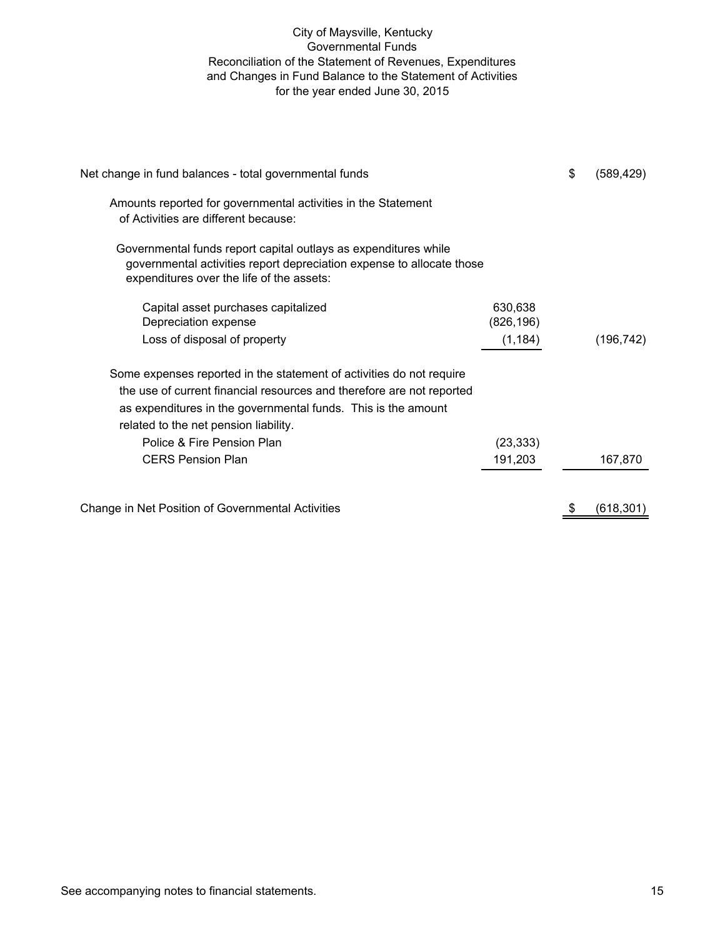# City of Maysville, Kentucky Governmental Funds Reconciliation of the Statement of Revenues, Expenditures and Changes in Fund Balance to the Statement of Activities for the year ended June 30, 2015

| Net change in fund balances - total governmental funds                                                                                                                                |                                   | \$<br>(589, 429) |
|---------------------------------------------------------------------------------------------------------------------------------------------------------------------------------------|-----------------------------------|------------------|
| Amounts reported for governmental activities in the Statement<br>of Activities are different because:                                                                                 |                                   |                  |
| Governmental funds report capital outlays as expenditures while<br>governmental activities report depreciation expense to allocate those<br>expenditures over the life of the assets: |                                   |                  |
| Capital asset purchases capitalized<br>Depreciation expense<br>Loss of disposal of property                                                                                           | 630,638<br>(826, 196)<br>(1, 184) | (196, 742)       |
|                                                                                                                                                                                       |                                   |                  |
| Some expenses reported in the statement of activities do not require<br>the use of current financial resources and therefore are not reported                                         |                                   |                  |
| as expenditures in the governmental funds. This is the amount<br>related to the net pension liability.                                                                                |                                   |                  |
| Police & Fire Pension Plan                                                                                                                                                            | (23, 333)                         |                  |
| <b>CERS Pension Plan</b>                                                                                                                                                              | 191,203                           | 167,870          |
|                                                                                                                                                                                       |                                   |                  |
| Change in Net Position of Governmental Activities                                                                                                                                     |                                   | (618,301)        |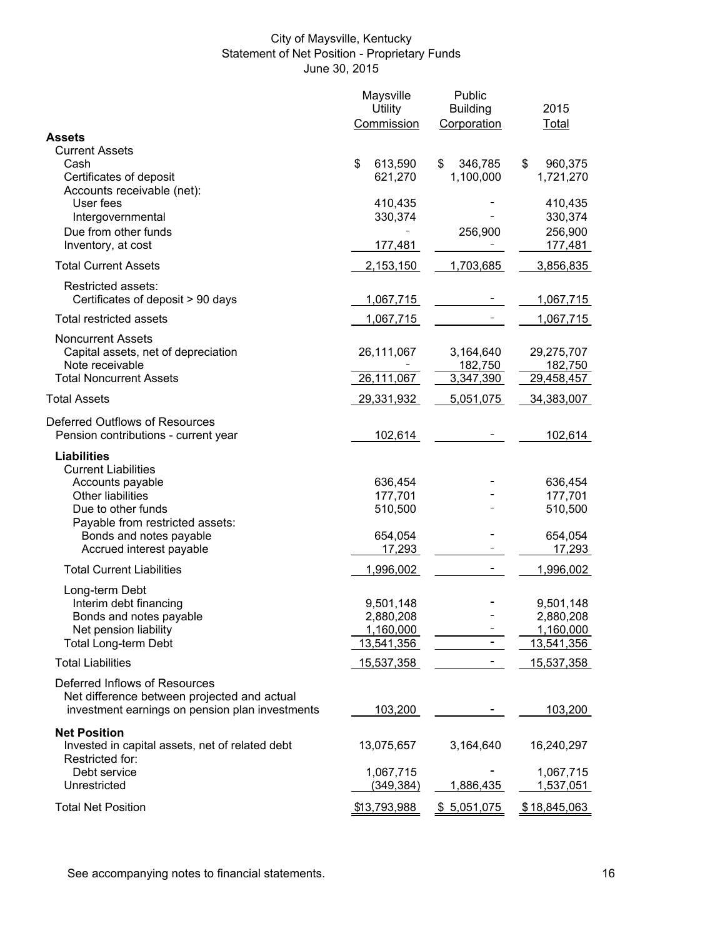# City of Maysville, Kentucky Statement of Net Position - Proprietary Funds June 30, 2015

|                                                 | Maysville<br><b>Utility</b><br>Commission | Public<br><b>Building</b><br>Corporation | 2015<br>Total |
|-------------------------------------------------|-------------------------------------------|------------------------------------------|---------------|
| <b>Assets</b>                                   |                                           |                                          |               |
| <b>Current Assets</b>                           |                                           |                                          |               |
| Cash                                            | \$<br>613,590                             | \$<br>346,785                            | 960,375<br>\$ |
| Certificates of deposit                         | 621,270                                   | 1,100,000                                | 1,721,270     |
| Accounts receivable (net):                      |                                           |                                          |               |
| User fees                                       | 410,435                                   |                                          | 410,435       |
| Intergovernmental                               | 330,374                                   |                                          | 330,374       |
| Due from other funds                            |                                           | 256,900                                  | 256,900       |
| Inventory, at cost                              | 177,481                                   |                                          | 177,481       |
| <b>Total Current Assets</b>                     | 2,153,150                                 | 1,703,685                                | 3,856,835     |
| Restricted assets:                              |                                           |                                          |               |
| Certificates of deposit > 90 days               | 1,067,715                                 |                                          | 1,067,715     |
| <b>Total restricted assets</b>                  | 1,067,715                                 |                                          | 1,067,715     |
| <b>Noncurrent Assets</b>                        |                                           |                                          |               |
| Capital assets, net of depreciation             | 26,111,067                                | 3,164,640                                | 29,275,707    |
| Note receivable                                 |                                           | 182,750                                  | 182,750       |
| <b>Total Noncurrent Assets</b>                  | 26,111,067                                | 3,347,390                                | 29,458,457    |
|                                                 |                                           |                                          |               |
| <b>Total Assets</b>                             | 29,331,932                                | 5,051,075                                | 34,383,007    |
| Deferred Outflows of Resources                  |                                           |                                          |               |
| Pension contributions - current year            | 102,614                                   |                                          | 102,614       |
| <b>Liabilities</b>                              |                                           |                                          |               |
| <b>Current Liabilities</b>                      |                                           |                                          |               |
| Accounts payable                                | 636,454                                   |                                          | 636,454       |
| Other liabilities                               | 177,701                                   |                                          | 177,701       |
| Due to other funds                              | 510,500                                   |                                          | 510,500       |
| Payable from restricted assets:                 |                                           |                                          |               |
| Bonds and notes payable                         | 654,054                                   |                                          | 654,054       |
| Accrued interest payable                        | 17,293                                    |                                          | 17,293        |
|                                                 |                                           |                                          |               |
| <b>Total Current Liabilities</b>                | 1,996,002                                 |                                          | 1,996,002     |
| Long-term Debt                                  |                                           |                                          |               |
| Interim debt financing                          | 9,501,148                                 |                                          | 9,501,148     |
| Bonds and notes payable                         | 2,880,208                                 |                                          | 2,880,208     |
| Net pension liability                           | 1,160,000                                 |                                          | 1,160,000     |
| <b>Total Long-term Debt</b>                     | 13,541,356                                |                                          | 13,541,356    |
| <b>Total Liabilities</b>                        | 15,537,358                                |                                          | 15,537,358    |
| Deferred Inflows of Resources                   |                                           |                                          |               |
| Net difference between projected and actual     |                                           |                                          |               |
| investment earnings on pension plan investments | 103,200                                   |                                          | 103,200       |
| <b>Net Position</b>                             |                                           |                                          |               |
| Invested in capital assets, net of related debt | 13,075,657                                | 3,164,640                                | 16,240,297    |
| Restricted for:                                 |                                           |                                          |               |
| Debt service                                    | 1,067,715                                 |                                          | 1,067,715     |
| Unrestricted                                    | (349, 384)                                | 1,886,435                                | 1,537,051     |
|                                                 |                                           |                                          |               |
| <b>Total Net Position</b>                       | \$13,793,988                              | \$5,051,075                              | \$18,845,063  |

See accompanying notes to financial statements. The set of the set of the set of the set of the set of the set of the set of the set of the set of the set of the set of the set of the set of the set of the set of the set o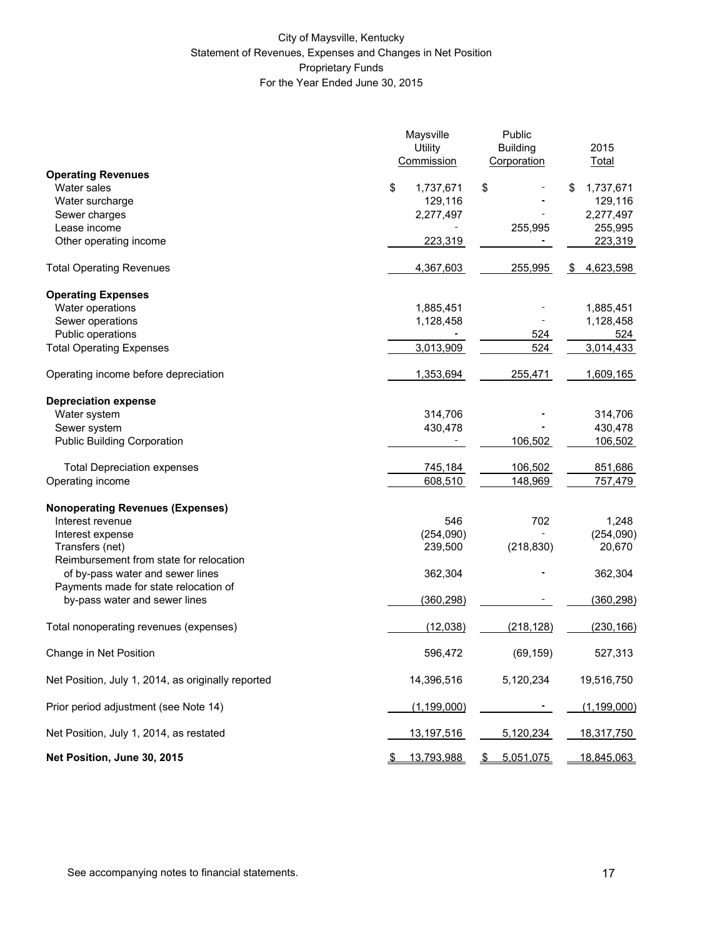# City of Maysville, Kentucky Statement of Revenues, Expenses and Changes in Net Position Proprietary Funds For the Year Ended June 30, 2015

|                                                    | Maysville       | Public          |                 |  |
|----------------------------------------------------|-----------------|-----------------|-----------------|--|
|                                                    | Utility         | <b>Building</b> | 2015            |  |
|                                                    | Commission      | Corporation     | <b>Total</b>    |  |
| <b>Operating Revenues</b>                          |                 |                 |                 |  |
| Water sales                                        | \$<br>1,737,671 | \$              | 1,737,671<br>\$ |  |
| Water surcharge                                    | 129,116         |                 | 129,116         |  |
| Sewer charges                                      | 2,277,497       |                 | 2,277,497       |  |
| Lease income                                       |                 | 255,995         | 255,995         |  |
| Other operating income                             | 223,319         |                 | 223,319         |  |
|                                                    |                 |                 |                 |  |
| <b>Total Operating Revenues</b>                    | 4,367,603       | <u>255,995</u>  | 4,623,598<br>\$ |  |
| <b>Operating Expenses</b>                          |                 |                 |                 |  |
| Water operations                                   | 1,885,451       |                 | 1,885,451       |  |
| Sewer operations                                   | 1,128,458       |                 | 1,128,458       |  |
| Public operations                                  |                 | 524             | 524             |  |
| <b>Total Operating Expenses</b>                    | 3,013,909       | 524             | 3,014,433       |  |
|                                                    |                 |                 |                 |  |
| Operating income before depreciation               | 1,353,694       | 255,471         | 1,609,165       |  |
| <b>Depreciation expense</b>                        |                 |                 |                 |  |
| Water system                                       | 314,706         |                 | 314,706         |  |
| Sewer system                                       | 430,478         |                 | 430,478         |  |
| <b>Public Building Corporation</b>                 |                 | 106,502         | 106,502         |  |
| <b>Total Depreciation expenses</b>                 | 745,184         | 106,502         | 851,686         |  |
| Operating income                                   | 608,510         | 148,969         | 757,479         |  |
| <b>Nonoperating Revenues (Expenses)</b>            |                 |                 |                 |  |
| Interest revenue                                   | 546             | 702             | 1,248           |  |
| Interest expense                                   | (254,090)       |                 | (254,090)       |  |
| Transfers (net)                                    | 239,500         | (218, 830)      | 20,670          |  |
| Reimbursement from state for relocation            |                 |                 |                 |  |
| of by-pass water and sewer lines                   | 362,304         |                 | 362,304         |  |
| Payments made for state relocation of              |                 |                 |                 |  |
| by-pass water and sewer lines                      | (360, 298)      |                 | (360, 298)      |  |
| Total nonoperating revenues (expenses)             | (12,038)        | (218, 128)      | (230, 166)      |  |
| Change in Net Position                             | 596,472         | (69, 159)       | 527,313         |  |
|                                                    |                 |                 |                 |  |
| Net Position, July 1, 2014, as originally reported | 14,396,516      | 5,120,234       | 19,516,750      |  |
| Prior period adjustment (see Note 14)              | (1, 199, 000)   |                 | (1, 199, 000)   |  |
| Net Position, July 1, 2014, as restated            | 13,197,516      | 5,120,234       | 18,317,750      |  |
| Net Position, June 30, 2015                        | 13,793,988      | \$ 5,051,075    | 18,845,063      |  |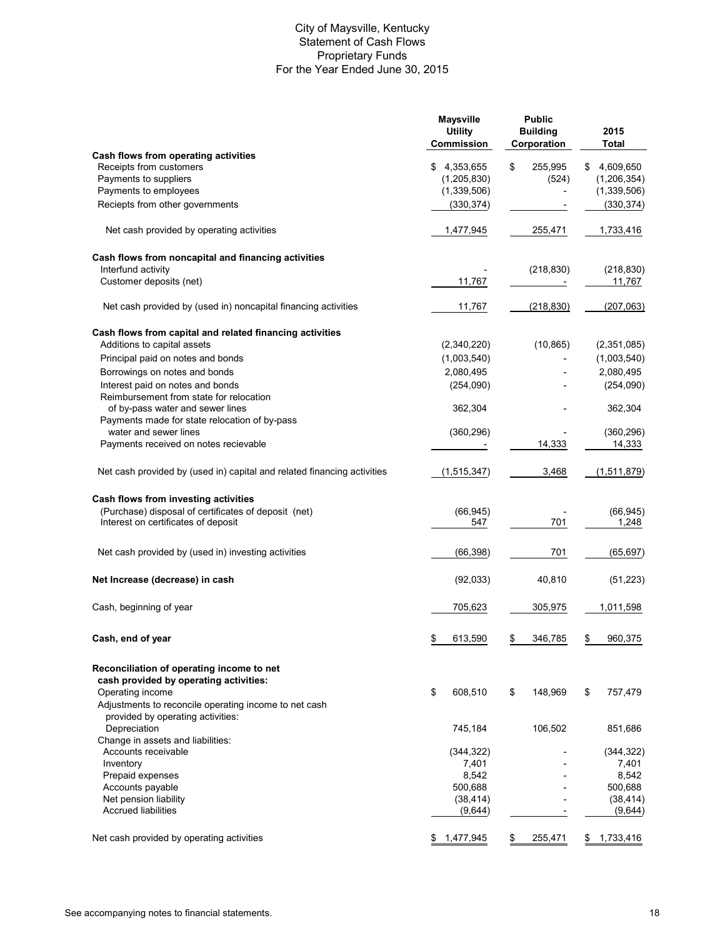# City of Maysville, Kentucky Statement of Cash Flows Proprietary Funds For the Year Ended June 30, 2015

|                                                                         | <b>Maysville</b><br><b>Utility</b><br><b>Commission</b> | <b>Public</b><br><b>Building</b><br>Corporation | 2015<br>Total                |
|-------------------------------------------------------------------------|---------------------------------------------------------|-------------------------------------------------|------------------------------|
| Cash flows from operating activities                                    |                                                         |                                                 |                              |
| Receipts from customers                                                 | 4,353,655<br>\$                                         | \$<br>255,995                                   | 4,609,650                    |
| Payments to suppliers<br>Payments to employees                          | (1, 205, 830)<br>(1,339,506)                            | (524)                                           | (1, 206, 354)<br>(1,339,506) |
|                                                                         |                                                         |                                                 |                              |
| Reciepts from other governments                                         | (330, 374)                                              |                                                 | (330, 374)                   |
| Net cash provided by operating activities                               | 1,477,945                                               | 255,471                                         | 1,733,416                    |
| Cash flows from noncapital and financing activities                     |                                                         |                                                 |                              |
| Interfund activity                                                      |                                                         | (218, 830)                                      | (218, 830)                   |
| Customer deposits (net)                                                 | 11,767                                                  |                                                 | 11,767                       |
| Net cash provided by (used in) noncapital financing activities          | 11,767                                                  | (218, 830)                                      | (207,063)                    |
| Cash flows from capital and related financing activities                |                                                         |                                                 |                              |
| Additions to capital assets                                             | (2,340,220)                                             | (10, 865)                                       | (2,351,085)                  |
| Principal paid on notes and bonds                                       | (1,003,540)                                             |                                                 | (1,003,540)                  |
| Borrowings on notes and bonds                                           | 2,080,495                                               |                                                 | 2,080,495                    |
| Interest paid on notes and bonds                                        | (254,090)                                               |                                                 | (254,090)                    |
| Reimbursement from state for relocation                                 |                                                         |                                                 |                              |
| of by-pass water and sewer lines                                        | 362,304                                                 |                                                 | 362,304                      |
| Payments made for state relocation of by-pass                           |                                                         |                                                 |                              |
| water and sewer lines                                                   | (360, 296)                                              |                                                 | (360, 296)                   |
| Payments received on notes recievable                                   |                                                         | 14,333                                          | 14,333                       |
| Net cash provided by (used in) capital and related financing activities | (1, 515, 347)                                           | 3,468                                           | (1,511,879)                  |
| Cash flows from investing activities                                    |                                                         |                                                 |                              |
| (Purchase) disposal of certificates of deposit (net)                    | (66, 945)                                               |                                                 | (66, 945)                    |
| Interest on certificates of deposit                                     | 547                                                     | 701                                             | 1,248                        |
|                                                                         |                                                         |                                                 |                              |
| Net cash provided by (used in) investing activities                     | (66, 398)                                               | 701                                             | (65, 697)                    |
| Net Increase (decrease) in cash                                         | (92,033)                                                | 40,810                                          | (51, 223)                    |
| Cash, beginning of year                                                 | 705,623                                                 | 305,975                                         | 1,011,598                    |
| Cash, end of year                                                       | \$<br>613,590                                           | \$<br>346,785                                   | \$<br>960,375                |
|                                                                         |                                                         |                                                 |                              |
| Reconciliation of operating income to net                               |                                                         |                                                 |                              |
| cash provided by operating activities:                                  |                                                         |                                                 |                              |
| Operating income                                                        | \$<br>608,510                                           | \$<br>148,969                                   | 757,479<br>\$                |
| Adjustments to reconcile operating income to net cash                   |                                                         |                                                 |                              |
| provided by operating activities:                                       |                                                         |                                                 |                              |
| Depreciation                                                            | 745,184                                                 | 106,502                                         | 851,686                      |
| Change in assets and liabilities:                                       |                                                         |                                                 |                              |
| Accounts receivable                                                     | (344, 322)                                              |                                                 | (344, 322)                   |
| Inventory                                                               | 7,401                                                   |                                                 | 7,401                        |
| Prepaid expenses                                                        | 8,542                                                   |                                                 | 8,542                        |
| Accounts payable                                                        | 500,688                                                 |                                                 | 500,688                      |
| Net pension liability                                                   | (38, 414)                                               |                                                 | (38, 414)                    |
| <b>Accrued liabilities</b>                                              | (9,644)                                                 |                                                 | (9,644)                      |
| Net cash provided by operating activities                               | 1,477,945                                               | \$<br>255,471                                   | \$1,733,416                  |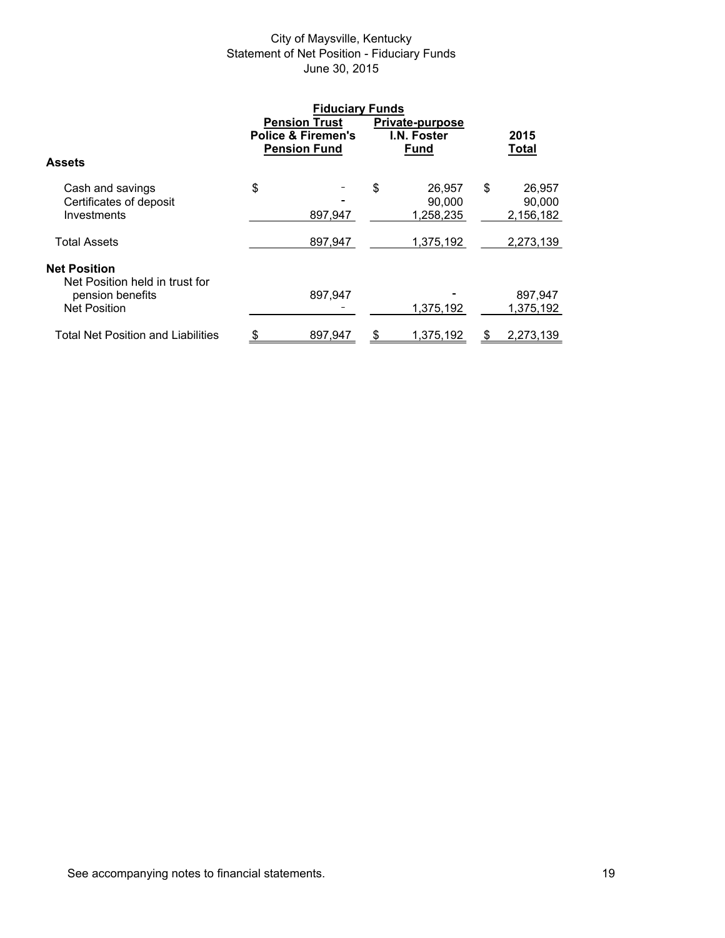# City of Maysville, Kentucky Statement of Net Position - Fiduciary Funds June 30, 2015

| <b>Assets</b>                                                                                    | <b>Pension Trust</b><br><b>Police &amp; Firemen's</b><br><b>Pension Fund</b> |         | Private-purpose<br><b>I.N. Foster</b><br><b>Fund</b> | 2015<br><b>Total</b> |                               |  |
|--------------------------------------------------------------------------------------------------|------------------------------------------------------------------------------|---------|------------------------------------------------------|----------------------|-------------------------------|--|
| Cash and savings<br>Certificates of deposit<br>Investments                                       | \$                                                                           | 897,947 | \$<br>26,957<br>90,000<br>1,258,235                  | \$                   | 26,957<br>90,000<br>2,156,182 |  |
| <b>Total Assets</b>                                                                              |                                                                              | 897,947 | 1,375,192                                            |                      | 2,273,139                     |  |
| <b>Net Position</b><br>Net Position held in trust for<br>pension benefits<br><b>Net Position</b> |                                                                              | 897,947 | 1,375,192                                            |                      | 897,947<br>1,375,192          |  |
| <b>Total Net Position and Liabilities</b>                                                        |                                                                              | 897,947 | 1,375,192                                            |                      | 2,273,139                     |  |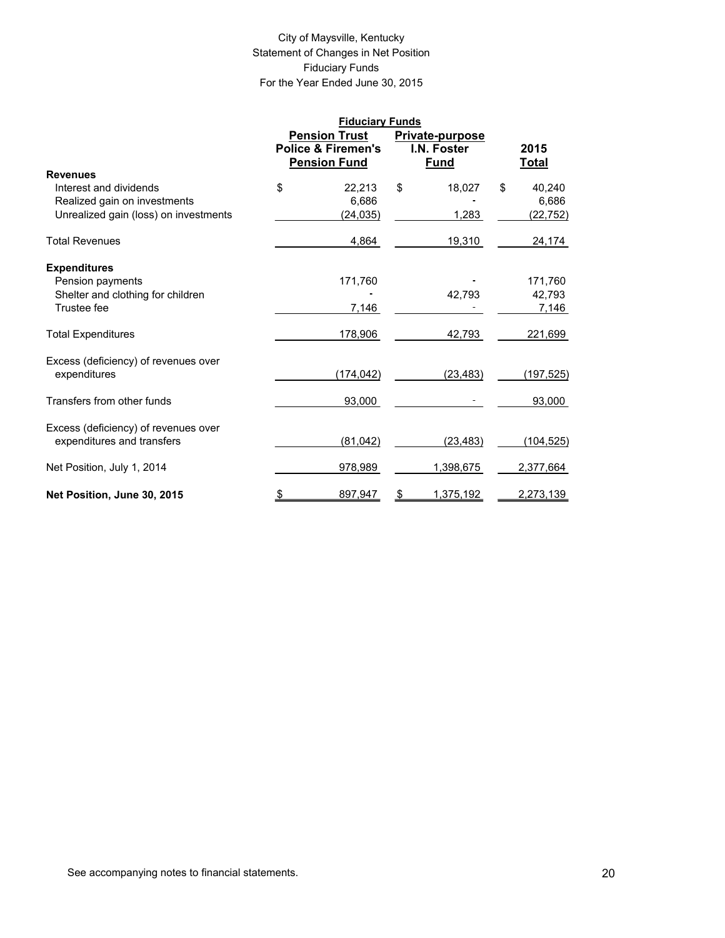# City of Maysville, Kentucky Statement of Changes in Net Position Fiduciary Funds For the Year Ended June 30, 2015

|               |                                                                                                                |                  |                                                                                                      | 2015<br><u>Total</u> |
|---------------|----------------------------------------------------------------------------------------------------------------|------------------|------------------------------------------------------------------------------------------------------|----------------------|
|               |                                                                                                                |                  |                                                                                                      |                      |
| \$<br>22,213  | \$                                                                                                             | 18,027           | \$                                                                                                   | 40,240               |
|               |                                                                                                                |                  |                                                                                                      | 6,686                |
|               |                                                                                                                |                  |                                                                                                      | (22, 752)            |
| 4,864         |                                                                                                                | 19,310           |                                                                                                      | 24,174               |
|               |                                                                                                                |                  |                                                                                                      |                      |
| 171,760       |                                                                                                                |                  |                                                                                                      | 171,760              |
|               |                                                                                                                | 42,793           |                                                                                                      | 42,793               |
| 7,146         |                                                                                                                |                  |                                                                                                      | 7,146                |
| 178,906       |                                                                                                                | 42,793           |                                                                                                      | 221,699              |
|               |                                                                                                                |                  |                                                                                                      |                      |
| (174, 042)    |                                                                                                                | (23, 483)        |                                                                                                      | (197, 525)           |
| 93,000        |                                                                                                                |                  |                                                                                                      | 93,000               |
|               |                                                                                                                |                  |                                                                                                      |                      |
|               |                                                                                                                |                  |                                                                                                      | (104,525)            |
|               |                                                                                                                |                  |                                                                                                      |                      |
| 978,989       |                                                                                                                | 1,398,675        |                                                                                                      | 2,377,664            |
| \$<br>897,947 | -\$                                                                                                            | <u>1,375,192</u> |                                                                                                      | 2,273,139            |
|               | <b>Pension Trust</b><br><b>Police &amp; Firemen's</b><br><b>Pension Fund</b><br>6,686<br>(24, 035)<br>(81,042) |                  | <b>Fiduciary Funds</b><br>Private-purpose<br><b>I.N. Foster</b><br><b>Fund</b><br>1,283<br>(23, 483) |                      |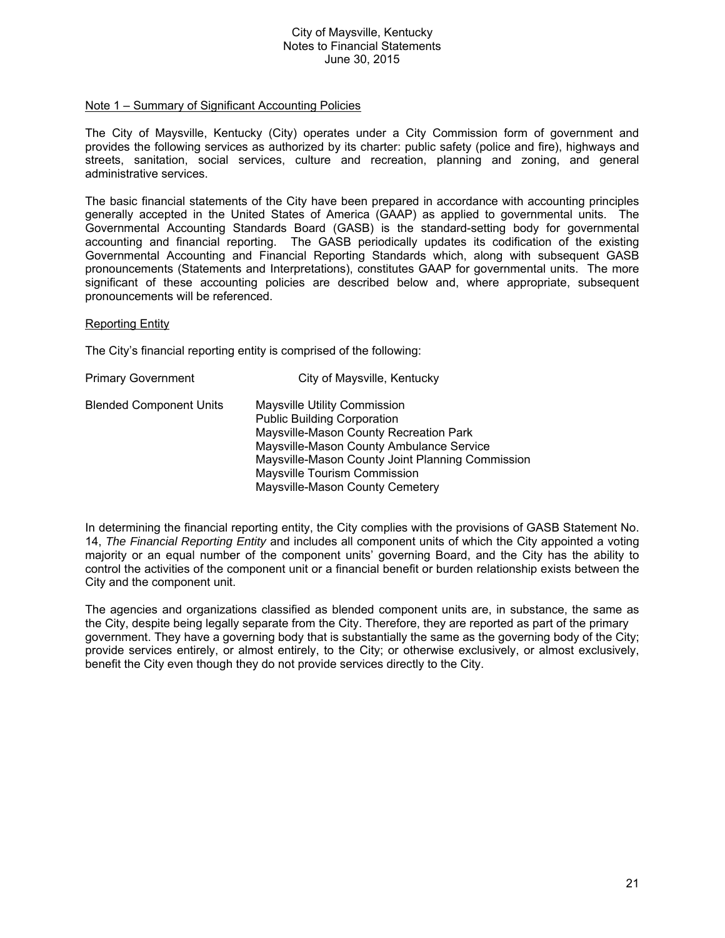# Note 1 – Summary of Significant Accounting Policies

The City of Maysville, Kentucky (City) operates under a City Commission form of government and provides the following services as authorized by its charter: public safety (police and fire), highways and streets, sanitation, social services, culture and recreation, planning and zoning, and general administrative services.

The basic financial statements of the City have been prepared in accordance with accounting principles generally accepted in the United States of America (GAAP) as applied to governmental units. The Governmental Accounting Standards Board (GASB) is the standard-setting body for governmental accounting and financial reporting. The GASB periodically updates its codification of the existing Governmental Accounting and Financial Reporting Standards which, along with subsequent GASB pronouncements (Statements and Interpretations), constitutes GAAP for governmental units. The more significant of these accounting policies are described below and, where appropriate, subsequent pronouncements will be referenced.

#### Reporting Entity

The City's financial reporting entity is comprised of the following:

| <b>Primary Government</b>      | City of Maysville, Kentucky                                                                                                                                                                                                                                                            |
|--------------------------------|----------------------------------------------------------------------------------------------------------------------------------------------------------------------------------------------------------------------------------------------------------------------------------------|
| <b>Blended Component Units</b> | <b>Maysville Utility Commission</b><br><b>Public Building Corporation</b><br>Maysville-Mason County Recreation Park<br>Maysville-Mason County Ambulance Service<br>Maysville-Mason County Joint Planning Commission<br>Maysville Tourism Commission<br>Maysville-Mason County Cemetery |

In determining the financial reporting entity, the City complies with the provisions of GASB Statement No. 14, *The Financial Reporting Entity* and includes all component units of which the City appointed a voting majority or an equal number of the component units' governing Board, and the City has the ability to control the activities of the component unit or a financial benefit or burden relationship exists between the City and the component unit.

The agencies and organizations classified as blended component units are, in substance, the same as the City, despite being legally separate from the City. Therefore, they are reported as part of the primary government. They have a governing body that is substantially the same as the governing body of the City; provide services entirely, or almost entirely, to the City; or otherwise exclusively, or almost exclusively, benefit the City even though they do not provide services directly to the City.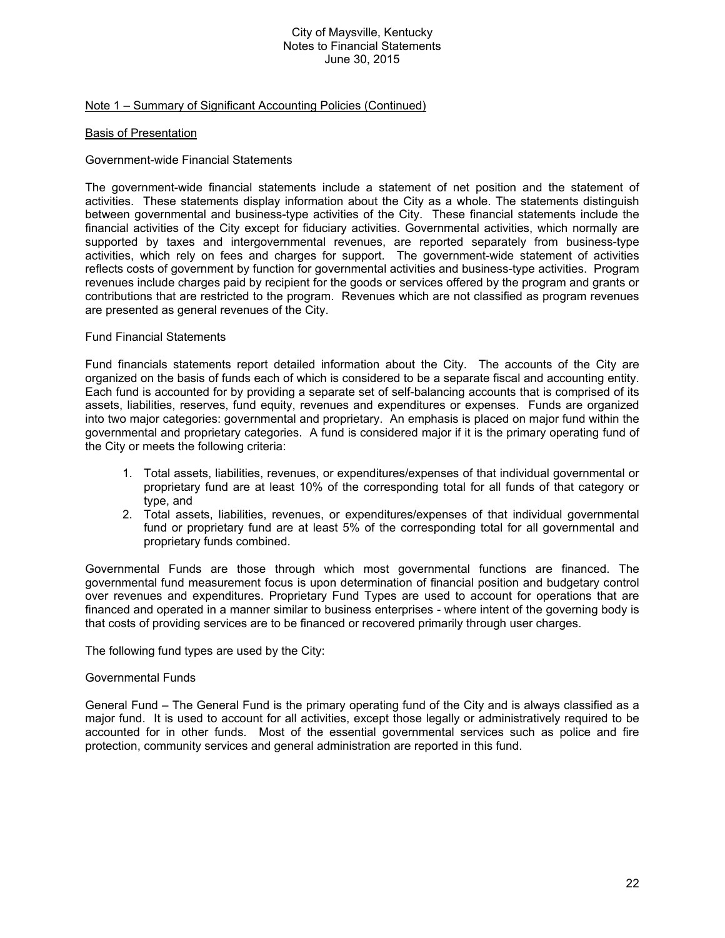# Note 1 – Summary of Significant Accounting Policies (Continued)

#### Basis of Presentation

#### Government-wide Financial Statements

The government-wide financial statements include a statement of net position and the statement of activities. These statements display information about the City as a whole. The statements distinguish between governmental and business-type activities of the City. These financial statements include the financial activities of the City except for fiduciary activities. Governmental activities, which normally are supported by taxes and intergovernmental revenues, are reported separately from business-type activities, which rely on fees and charges for support. The government-wide statement of activities reflects costs of government by function for governmental activities and business-type activities. Program revenues include charges paid by recipient for the goods or services offered by the program and grants or contributions that are restricted to the program. Revenues which are not classified as program revenues are presented as general revenues of the City.

#### Fund Financial Statements

Fund financials statements report detailed information about the City. The accounts of the City are organized on the basis of funds each of which is considered to be a separate fiscal and accounting entity. Each fund is accounted for by providing a separate set of self-balancing accounts that is comprised of its assets, liabilities, reserves, fund equity, revenues and expenditures or expenses. Funds are organized into two major categories: governmental and proprietary. An emphasis is placed on major fund within the governmental and proprietary categories. A fund is considered major if it is the primary operating fund of the City or meets the following criteria:

- 1. Total assets, liabilities, revenues, or expenditures/expenses of that individual governmental or proprietary fund are at least 10% of the corresponding total for all funds of that category or type, and
- 2. Total assets, liabilities, revenues, or expenditures/expenses of that individual governmental fund or proprietary fund are at least 5% of the corresponding total for all governmental and proprietary funds combined.

Governmental Funds are those through which most governmental functions are financed. The governmental fund measurement focus is upon determination of financial position and budgetary control over revenues and expenditures. Proprietary Fund Types are used to account for operations that are financed and operated in a manner similar to business enterprises - where intent of the governing body is that costs of providing services are to be financed or recovered primarily through user charges.

The following fund types are used by the City:

#### Governmental Funds

General Fund – The General Fund is the primary operating fund of the City and is always classified as a major fund. It is used to account for all activities, except those legally or administratively required to be accounted for in other funds. Most of the essential governmental services such as police and fire protection, community services and general administration are reported in this fund.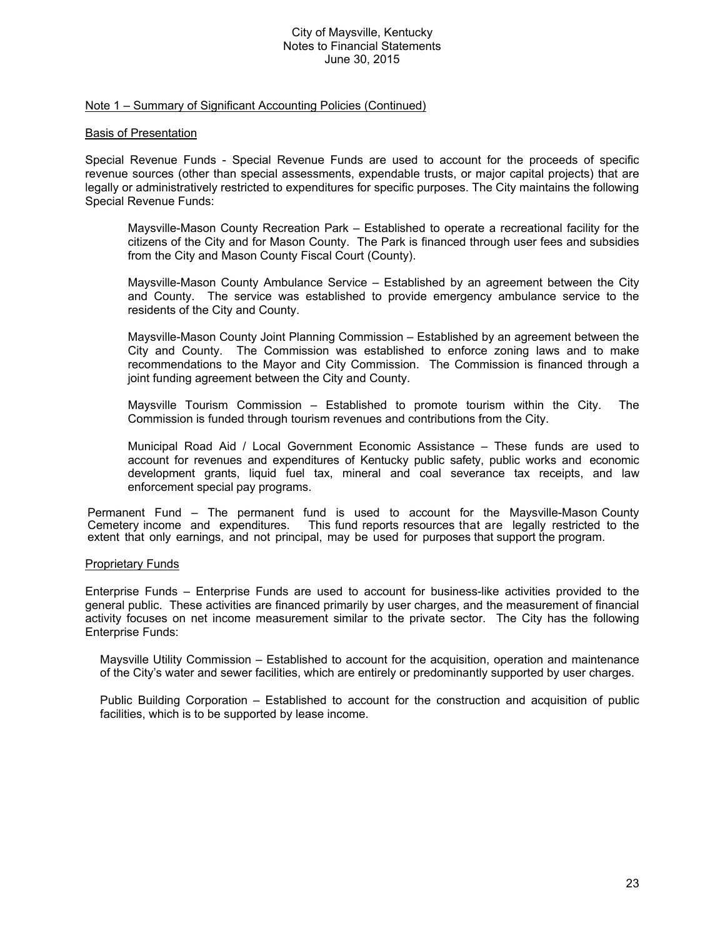# Note 1 – Summary of Significant Accounting Policies (Continued)

#### Basis of Presentation

Special Revenue Funds - Special Revenue Funds are used to account for the proceeds of specific revenue sources (other than special assessments, expendable trusts, or major capital projects) that are legally or administratively restricted to expenditures for specific purposes. The City maintains the following Special Revenue Funds:

Maysville-Mason County Recreation Park – Established to operate a recreational facility for the citizens of the City and for Mason County. The Park is financed through user fees and subsidies from the City and Mason County Fiscal Court (County).

Maysville-Mason County Ambulance Service – Established by an agreement between the City and County. The service was established to provide emergency ambulance service to the residents of the City and County.

Maysville-Mason County Joint Planning Commission – Established by an agreement between the City and County. The Commission was established to enforce zoning laws and to make recommendations to the Mayor and City Commission. The Commission is financed through a joint funding agreement between the City and County.

Maysville Tourism Commission – Established to promote tourism within the City. The Commission is funded through tourism revenues and contributions from the City.

Municipal Road Aid / Local Government Economic Assistance – These funds are used to account for revenues and expenditures of Kentucky public safety, public works and economic development grants, liquid fuel tax, mineral and coal severance tax receipts, and law enforcement special pay programs.

Permanent Fund– The permanent fund is used to account for the Maysville-Mason County Cemetery income and expenditures. This fund reports resources that are legally restricted to the extent that only earnings, and not principal, may be used for purposes that support the program.

#### Proprietary Funds

Enterprise Funds – Enterprise Funds are used to account for business-like activities provided to the general public. These activities are financed primarily by user charges, and the measurement of financial activity focuses on net income measurement similar to the private sector. The City has the following Enterprise Funds:

Maysville Utility Commission – Established to account for the acquisition, operation and maintenance of the City's water and sewer facilities, which are entirely or predominantly supported by user charges.

Public Building Corporation – Established to account for the construction and acquisition of public facilities, which is to be supported by lease income.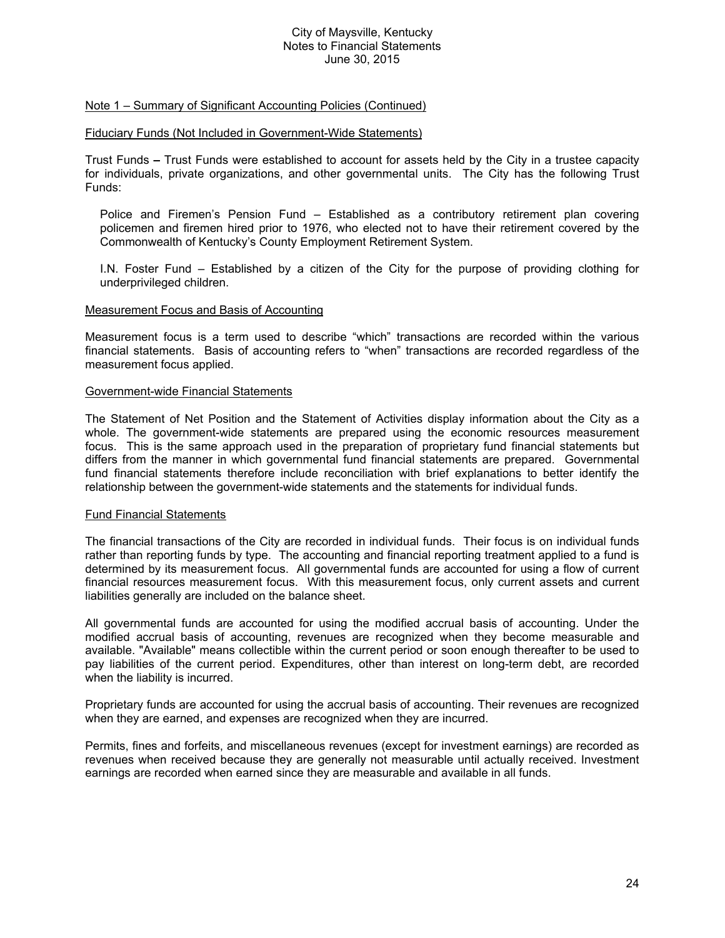# Note 1 – Summary of Significant Accounting Policies (Continued)

#### Fiduciary Funds (Not Included in Government-Wide Statements)

Trust Funds **–** Trust Funds were established to account for assets held by the City in a trustee capacity for individuals, private organizations, and other governmental units. The City has the following Trust Funds:

Police and Firemen's Pension Fund – Established as a contributory retirement plan covering policemen and firemen hired prior to 1976, who elected not to have their retirement covered by the Commonwealth of Kentucky's County Employment Retirement System.

I.N. Foster Fund – Established by a citizen of the City for the purpose of providing clothing for underprivileged children.

#### Measurement Focus and Basis of Accounting

Measurement focus is a term used to describe "which" transactions are recorded within the various financial statements. Basis of accounting refers to "when" transactions are recorded regardless of the measurement focus applied.

#### Government-wide Financial Statements

The Statement of Net Position and the Statement of Activities display information about the City as a whole. The government-wide statements are prepared using the economic resources measurement focus. This is the same approach used in the preparation of proprietary fund financial statements but differs from the manner in which governmental fund financial statements are prepared. Governmental fund financial statements therefore include reconciliation with brief explanations to better identify the relationship between the government-wide statements and the statements for individual funds.

#### Fund Financial Statements

The financial transactions of the City are recorded in individual funds. Their focus is on individual funds rather than reporting funds by type. The accounting and financial reporting treatment applied to a fund is determined by its measurement focus. All governmental funds are accounted for using a flow of current financial resources measurement focus. With this measurement focus, only current assets and current liabilities generally are included on the balance sheet.

All governmental funds are accounted for using the modified accrual basis of accounting. Under the modified accrual basis of accounting, revenues are recognized when they become measurable and available. "Available" means collectible within the current period or soon enough thereafter to be used to pay liabilities of the current period. Expenditures, other than interest on long-term debt, are recorded when the liability is incurred.

Proprietary funds are accounted for using the accrual basis of accounting. Their revenues are recognized when they are earned, and expenses are recognized when they are incurred.

Permits, fines and forfeits, and miscellaneous revenues (except for investment earnings) are recorded as revenues when received because they are generally not measurable until actually received. Investment earnings are recorded when earned since they are measurable and available in all funds.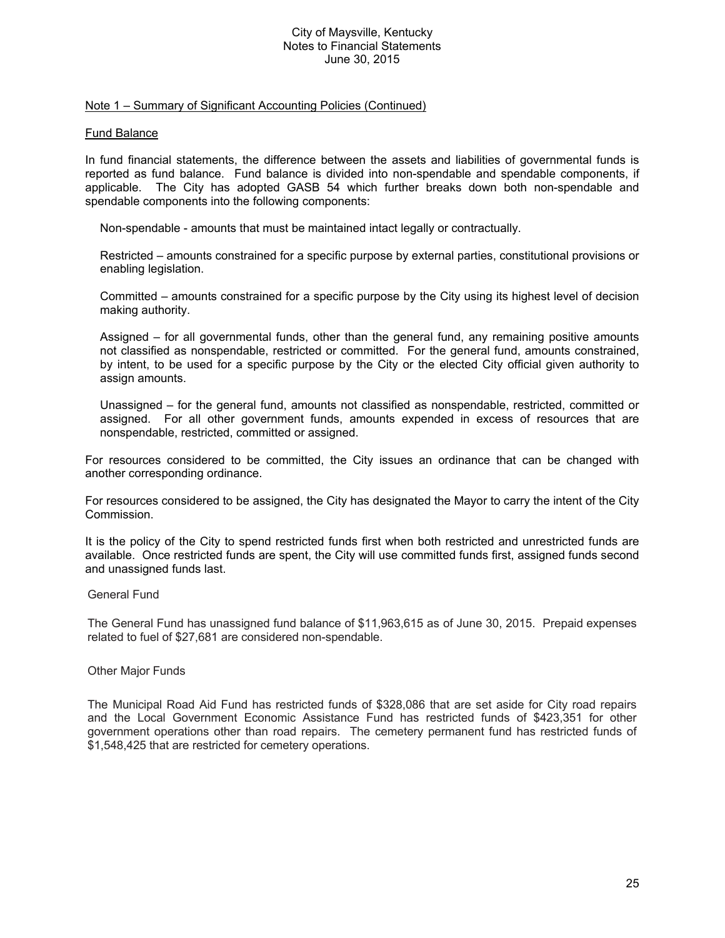# Note 1 – Summary of Significant Accounting Policies (Continued)

### Fund Balance

In fund financial statements, the difference between the assets and liabilities of governmental funds is reported as fund balance. Fund balance is divided into non-spendable and spendable components, if applicable. The City has adopted GASB 54 which further breaks down both non-spendable and spendable components into the following components:

Non-spendable - amounts that must be maintained intact legally or contractually.

Restricted – amounts constrained for a specific purpose by external parties, constitutional provisions or enabling legislation.

Committed – amounts constrained for a specific purpose by the City using its highest level of decision making authority.

Assigned – for all governmental funds, other than the general fund, any remaining positive amounts not classified as nonspendable, restricted or committed. For the general fund, amounts constrained, by intent, to be used for a specific purpose by the City or the elected City official given authority to assign amounts.

Unassigned – for the general fund, amounts not classified as nonspendable, restricted, committed or assigned. For all other government funds, amounts expended in excess of resources that are nonspendable, restricted, committed or assigned.

For resources considered to be committed, the City issues an ordinance that can be changed with another corresponding ordinance.

For resources considered to be assigned, the City has designated the Mayor to carry the intent of the City Commission.

It is the policy of the City to spend restricted funds first when both restricted and unrestricted funds are available. Once restricted funds are spent, the City will use committed funds first, assigned funds second and unassigned funds last.

# General Fund

The General Fund has unassigned fund balance of \$11,963,615 as of June 30, 2015. Prepaid expenses related to fuel of \$27,681 are considered non-spendable.

# Other Major Funds

The Municipal Road Aid Fund has restricted funds of \$328,086 that are set aside for City road repairs and the Local Government Economic Assistance Fund has restricted funds of \$423,351 for other government operations other than road repairs. The cemetery permanent fund has restricted funds of \$1,548,425 that are restricted for cemetery operations.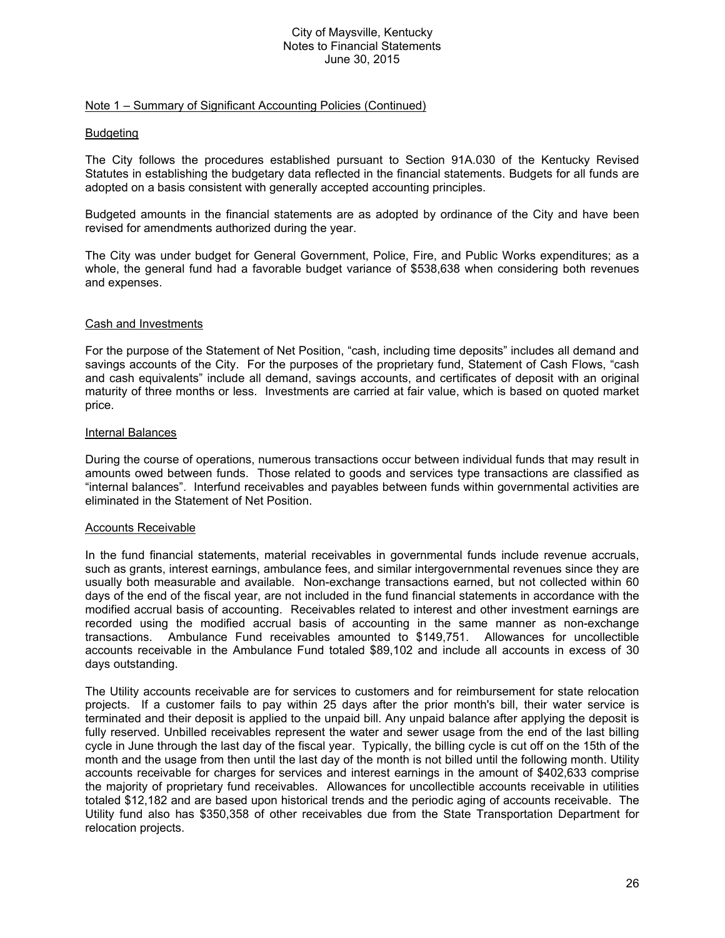# Note 1 – Summary of Significant Accounting Policies (Continued)

# **Budgeting**

The City follows the procedures established pursuant to Section 91A.030 of the Kentucky Revised Statutes in establishing the budgetary data reflected in the financial statements. Budgets for all funds are adopted on a basis consistent with generally accepted accounting principles.

Budgeted amounts in the financial statements are as adopted by ordinance of the City and have been revised for amendments authorized during the year.

The City was under budget for General Government, Police, Fire, and Public Works expenditures; as a whole, the general fund had a favorable budget variance of \$538,638 when considering both revenues and expenses.

# Cash and Investments

For the purpose of the Statement of Net Position, "cash, including time deposits" includes all demand and savings accounts of the City. For the purposes of the proprietary fund, Statement of Cash Flows, "cash and cash equivalents" include all demand, savings accounts, and certificates of deposit with an original maturity of three months or less. Investments are carried at fair value, which is based on quoted market price.

#### Internal Balances

During the course of operations, numerous transactions occur between individual funds that may result in amounts owed between funds. Those related to goods and services type transactions are classified as "internal balances". Interfund receivables and payables between funds within governmental activities are eliminated in the Statement of Net Position.

# Accounts Receivable

In the fund financial statements, material receivables in governmental funds include revenue accruals, such as grants, interest earnings, ambulance fees, and similar intergovernmental revenues since they are usually both measurable and available. Non-exchange transactions earned, but not collected within 60 days of the end of the fiscal year, are not included in the fund financial statements in accordance with the modified accrual basis of accounting. Receivables related to interest and other investment earnings are recorded using the modified accrual basis of accounting in the same manner as non-exchange transactions. Ambulance Fund receivables amounted to \$149,751. Allowances for uncollectible accounts receivable in the Ambulance Fund totaled \$89,102 and include all accounts in excess of 30 days outstanding.

The Utility accounts receivable are for services to customers and for reimbursement for state relocation projects. If a customer fails to pay within 25 days after the prior month's bill, their water service is terminated and their deposit is applied to the unpaid bill. Any unpaid balance after applying the deposit is fully reserved. Unbilled receivables represent the water and sewer usage from the end of the last billing cycle in June through the last day of the fiscal year. Typically, the billing cycle is cut off on the 15th of the month and the usage from then until the last day of the month is not billed until the following month. Utility accounts receivable for charges for services and interest earnings in the amount of \$402,633 comprise the majority of proprietary fund receivables. Allowances for uncollectible accounts receivable in utilities totaled \$12,182 and are based upon historical trends and the periodic aging of accounts receivable. The Utility fund also has \$350,358 of other receivables due from the State Transportation Department for relocation projects.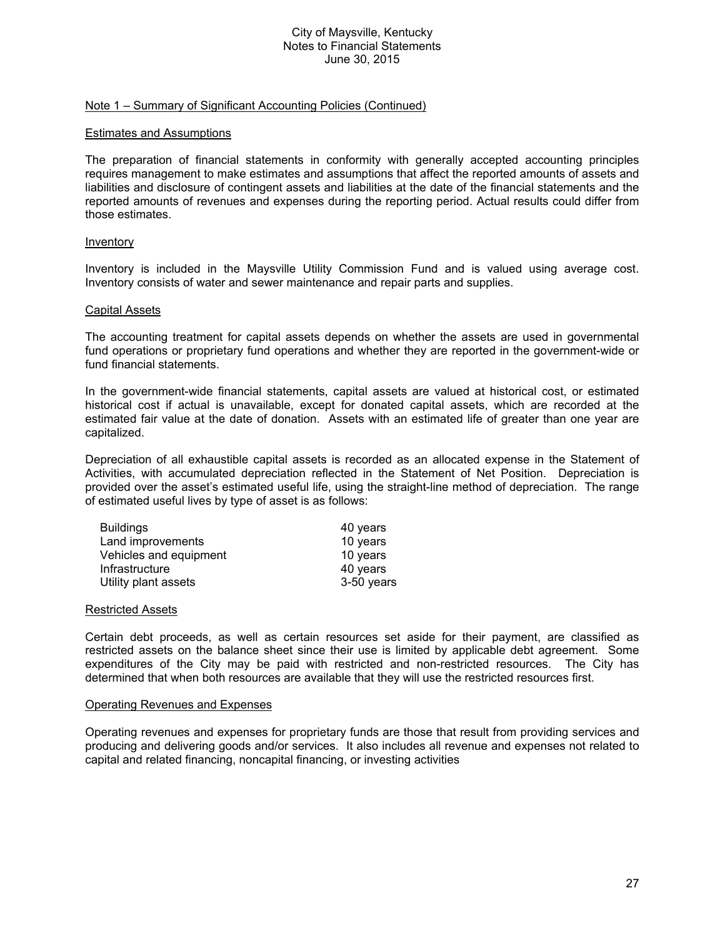# Note 1 – Summary of Significant Accounting Policies (Continued)

#### Estimates and Assumptions

The preparation of financial statements in conformity with generally accepted accounting principles requires management to make estimates and assumptions that affect the reported amounts of assets and liabilities and disclosure of contingent assets and liabilities at the date of the financial statements and the reported amounts of revenues and expenses during the reporting period. Actual results could differ from those estimates.

#### Inventory

Inventory is included in the Maysville Utility Commission Fund and is valued using average cost. Inventory consists of water and sewer maintenance and repair parts and supplies.

#### Capital Assets

The accounting treatment for capital assets depends on whether the assets are used in governmental fund operations or proprietary fund operations and whether they are reported in the government-wide or fund financial statements.

In the government-wide financial statements, capital assets are valued at historical cost, or estimated historical cost if actual is unavailable, except for donated capital assets, which are recorded at the estimated fair value at the date of donation. Assets with an estimated life of greater than one year are capitalized.

Depreciation of all exhaustible capital assets is recorded as an allocated expense in the Statement of Activities, with accumulated depreciation reflected in the Statement of Net Position. Depreciation is provided over the asset's estimated useful life, using the straight-line method of depreciation. The range of estimated useful lives by type of asset is as follows:

| <b>Buildings</b>       | 40 years   |
|------------------------|------------|
| Land improvements      | 10 years   |
| Vehicles and equipment | 10 years   |
| Infrastructure         | 40 years   |
| Utility plant assets   | 3-50 years |

#### Restricted Assets

Certain debt proceeds, as well as certain resources set aside for their payment, are classified as restricted assets on the balance sheet since their use is limited by applicable debt agreement. Some expenditures of the City may be paid with restricted and non-restricted resources. The City has determined that when both resources are available that they will use the restricted resources first.

#### Operating Revenues and Expenses

Operating revenues and expenses for proprietary funds are those that result from providing services and producing and delivering goods and/or services. It also includes all revenue and expenses not related to capital and related financing, noncapital financing, or investing activities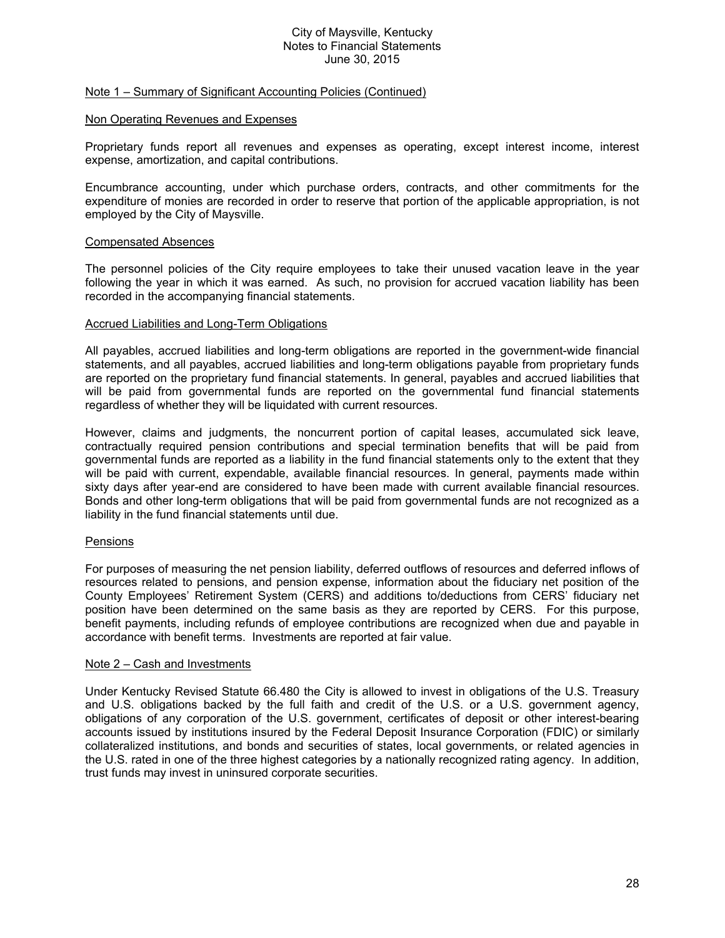# Note 1 – Summary of Significant Accounting Policies (Continued)

#### Non Operating Revenues and Expenses

Proprietary funds report all revenues and expenses as operating, except interest income, interest expense, amortization, and capital contributions.

Encumbrance accounting, under which purchase orders, contracts, and other commitments for the expenditure of monies are recorded in order to reserve that portion of the applicable appropriation, is not employed by the City of Maysville.

#### Compensated Absences

The personnel policies of the City require employees to take their unused vacation leave in the year following the year in which it was earned. As such, no provision for accrued vacation liability has been recorded in the accompanying financial statements.

#### Accrued Liabilities and Long-Term Obligations

All payables, accrued liabilities and long-term obligations are reported in the government-wide financial statements, and all payables, accrued liabilities and long-term obligations payable from proprietary funds are reported on the proprietary fund financial statements. In general, payables and accrued liabilities that will be paid from governmental funds are reported on the governmental fund financial statements regardless of whether they will be liquidated with current resources.

However, claims and judgments, the noncurrent portion of capital leases, accumulated sick leave, contractually required pension contributions and special termination benefits that will be paid from governmental funds are reported as a liability in the fund financial statements only to the extent that they will be paid with current, expendable, available financial resources. In general, payments made within sixty days after year-end are considered to have been made with current available financial resources. Bonds and other long-term obligations that will be paid from governmental funds are not recognized as a liability in the fund financial statements until due.

# Pensions

For purposes of measuring the net pension liability, deferred outflows of resources and deferred inflows of resources related to pensions, and pension expense, information about the fiduciary net position of the County Employees' Retirement System (CERS) and additions to/deductions from CERS' fiduciary net position have been determined on the same basis as they are reported by CERS. For this purpose, benefit payments, including refunds of employee contributions are recognized when due and payable in accordance with benefit terms. Investments are reported at fair value.

# Note 2 – Cash and Investments

Under Kentucky Revised Statute 66.480 the City is allowed to invest in obligations of the U.S. Treasury and U.S. obligations backed by the full faith and credit of the U.S. or a U.S. government agency, obligations of any corporation of the U.S. government, certificates of deposit or other interest-bearing accounts issued by institutions insured by the Federal Deposit Insurance Corporation (FDIC) or similarly collateralized institutions, and bonds and securities of states, local governments, or related agencies in the U.S. rated in one of the three highest categories by a nationally recognized rating agency. In addition, trust funds may invest in uninsured corporate securities.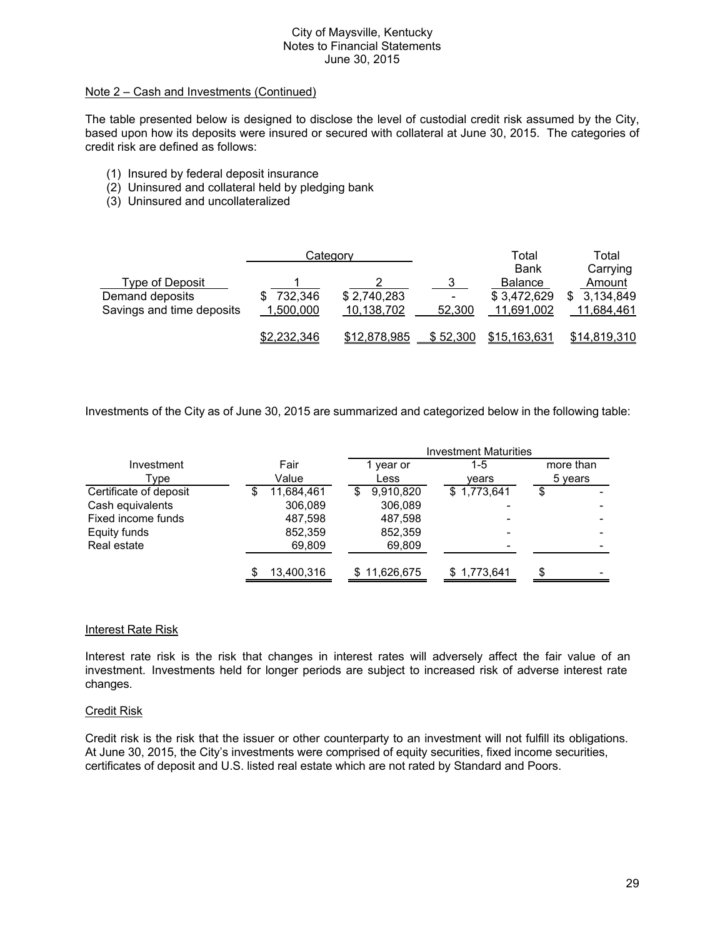# Note 2 – Cash and Investments (Continued)

The table presented below is designed to disclose the level of custodial credit risk assumed by the City, based upon how its deposits were insured or secured with collateral at June 30, 2015. The categories of credit risk are defined as follows:

- (1) Insured by federal deposit insurance
- (2) Uninsured and collateral held by pledging bank
- (3) Uninsured and uncollateralized

|                           | Category    |              |                              | Total          | Total        |
|---------------------------|-------------|--------------|------------------------------|----------------|--------------|
|                           |             |              |                              | <b>Bank</b>    | Carrying     |
| Type of Deposit           |             |              |                              | <b>Balance</b> | Amount       |
| Demand deposits           | 732,346     | \$2,740,283  | $\qquad \qquad \blacksquare$ | \$3,472,629    | 3,134,849    |
| Savings and time deposits | 1,500,000   | 10,138,702   | 52,300                       | 11.691.002     | 11.684.461   |
|                           | \$2,232,346 | \$12,878,985 | \$52,300                     | \$15,163,631   | \$14,819,310 |

Investments of the City as of June 30, 2015 are summarized and categorized below in the following table:

|                        |                  | <b>Investment Maturities</b> |             |           |  |
|------------------------|------------------|------------------------------|-------------|-----------|--|
| Investment             | Fair             | 1 year or                    | $1 - 5$     | more than |  |
| Type                   | Value            | Less                         | vears       | 5 years   |  |
| Certificate of deposit | 11,684,461<br>\$ | 9,910,820<br>\$              | \$1,773,641 | \$        |  |
| Cash equivalents       | 306,089          | 306,089                      |             |           |  |
| Fixed income funds     | 487,598          | 487.598                      |             |           |  |
| Equity funds           | 852,359          | 852,359                      |             |           |  |
| Real estate            | 69,809           | 69,809                       |             |           |  |
|                        | 13,400,316       | 11,626,675                   | \$1,773,641 |           |  |

# Interest Rate Risk

Interest rate risk is the risk that changes in interest rates will adversely affect the fair value of an investment. Investments held for longer periods are subject to increased risk of adverse interest rate changes.

# Credit Risk

Credit risk is the risk that the issuer or other counterparty to an investment will not fulfill its obligations. At June 30, 2015, the City's investments were comprised of equity securities, fixed income securities, certificates of deposit and U.S. listed real estate which are not rated by Standard and Poors.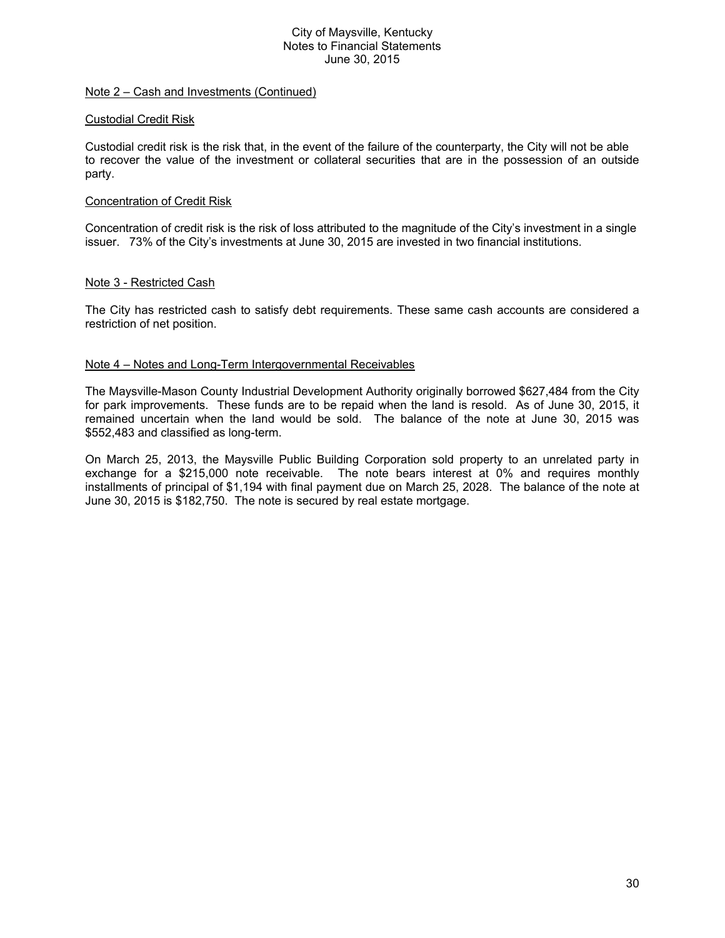# Note 2 – Cash and Investments (Continued)

# Custodial Credit Risk

Custodial credit risk is the risk that, in the event of the failure of the counterparty, the City will not be able to recover the value of the investment or collateral securities that are in the possession of an outside party.

### Concentration of Credit Risk

Concentration of credit risk is the risk of loss attributed to the magnitude of the City's investment in a single issuer. 73% of the City's investments at June 30, 2015 are invested in two financial institutions.

# Note 3 - Restricted Cash

The City has restricted cash to satisfy debt requirements. These same cash accounts are considered a restriction of net position.

# Note 4 – Notes and Long-Term Intergovernmental Receivables

The Maysville-Mason County Industrial Development Authority originally borrowed \$627,484 from the City for park improvements. These funds are to be repaid when the land is resold. As of June 30, 2015, it remained uncertain when the land would be sold. The balance of the note at June 30, 2015 was \$552,483 and classified as long-term.

On March 25, 2013, the Maysville Public Building Corporation sold property to an unrelated party in exchange for a \$215,000 note receivable. The note bears interest at 0% and requires monthly installments of principal of \$1,194 with final payment due on March 25, 2028. The balance of the note at June 30, 2015 is \$182,750. The note is secured by real estate mortgage.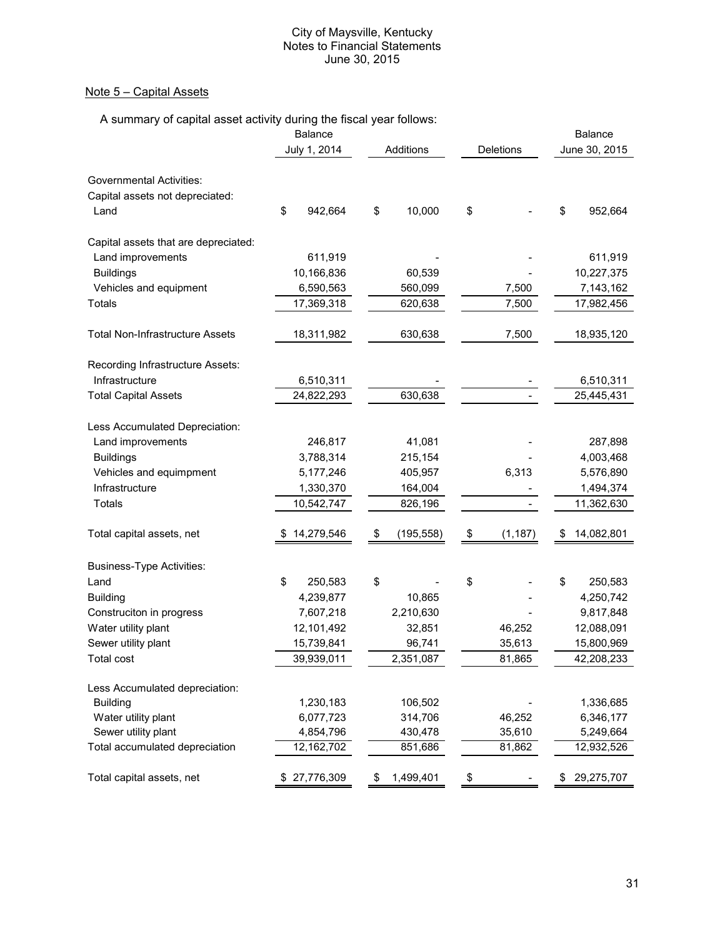# Note 5 – Capital Assets

A summary of capital asset activity during the fiscal year follows:

|                                        | Balance       |                 |                | Balance          |  |
|----------------------------------------|---------------|-----------------|----------------|------------------|--|
|                                        | July 1, 2014  | Additions       | Deletions      | June 30, 2015    |  |
| <b>Governmental Activities:</b>        |               |                 |                |                  |  |
| Capital assets not depreciated:        |               |                 |                |                  |  |
| Land                                   | \$<br>942,664 | \$<br>10,000    | \$             | \$<br>952,664    |  |
|                                        |               |                 |                |                  |  |
| Capital assets that are depreciated:   |               |                 |                |                  |  |
| Land improvements                      | 611,919       |                 |                | 611,919          |  |
| <b>Buildings</b>                       | 10,166,836    | 60,539          |                | 10,227,375       |  |
| Vehicles and equipment                 | 6,590,563     | 560,099         | 7,500          | 7,143,162        |  |
| <b>Totals</b>                          | 17,369,318    | 620,638         | 7,500          | 17,982,456       |  |
| <b>Total Non-Infrastructure Assets</b> | 18,311,982    | 630,638         | 7,500          | 18,935,120       |  |
| Recording Infrastructure Assets:       |               |                 |                |                  |  |
| Infrastructure                         | 6,510,311     |                 |                | 6,510,311        |  |
| <b>Total Capital Assets</b>            | 24,822,293    | 630,638         |                | 25,445,431       |  |
|                                        |               |                 |                |                  |  |
| Less Accumulated Depreciation:         |               |                 |                |                  |  |
| Land improvements                      | 246,817       | 41,081          |                | 287,898          |  |
| <b>Buildings</b>                       | 3,788,314     | 215,154         |                | 4,003,468        |  |
| Vehicles and equimpment                | 5,177,246     | 405,957         | 6,313          | 5,576,890        |  |
| Infrastructure                         | 1,330,370     | 164,004         |                | 1,494,374        |  |
| <b>Totals</b>                          | 10,542,747    | 826,196         |                | 11,362,630       |  |
| Total capital assets, net              | 14,279,546    | \$<br>(195,558) | \$<br>(1, 187) | 14,082,801<br>\$ |  |
| <b>Business-Type Activities:</b>       |               |                 |                |                  |  |
| Land                                   | \$<br>250,583 | \$              | \$             | \$<br>250,583    |  |
| <b>Building</b>                        | 4,239,877     | 10,865          |                | 4,250,742        |  |
| Construciton in progress               | 7,607,218     | 2,210,630       |                | 9,817,848        |  |
| Water utility plant                    | 12,101,492    | 32,851          | 46,252         | 12,088,091       |  |
| Sewer utility plant                    | 15,739,841    | 96,741          | 35,613         | 15,800,969       |  |
| Total cost                             | 39,939,011    | 2,351,087       | 81,865         | 42,208,233       |  |
| Less Accumulated depreciation:         |               |                 |                |                  |  |
| <b>Building</b>                        | 1,230,183     | 106,502         |                | 1,336,685        |  |
| Water utility plant                    | 6,077,723     | 314,706         | 46,252         | 6,346,177        |  |
| Sewer utility plant                    | 4,854,796     | 430,478         | 35,610         | 5,249,664        |  |
| Total accumulated depreciation         | 12,162,702    | 851,686         | 81,862         | 12,932,526       |  |
| Total capital assets, net              | 27,776,309    | 1,499,401<br>\$ | \$             | 29,275,707       |  |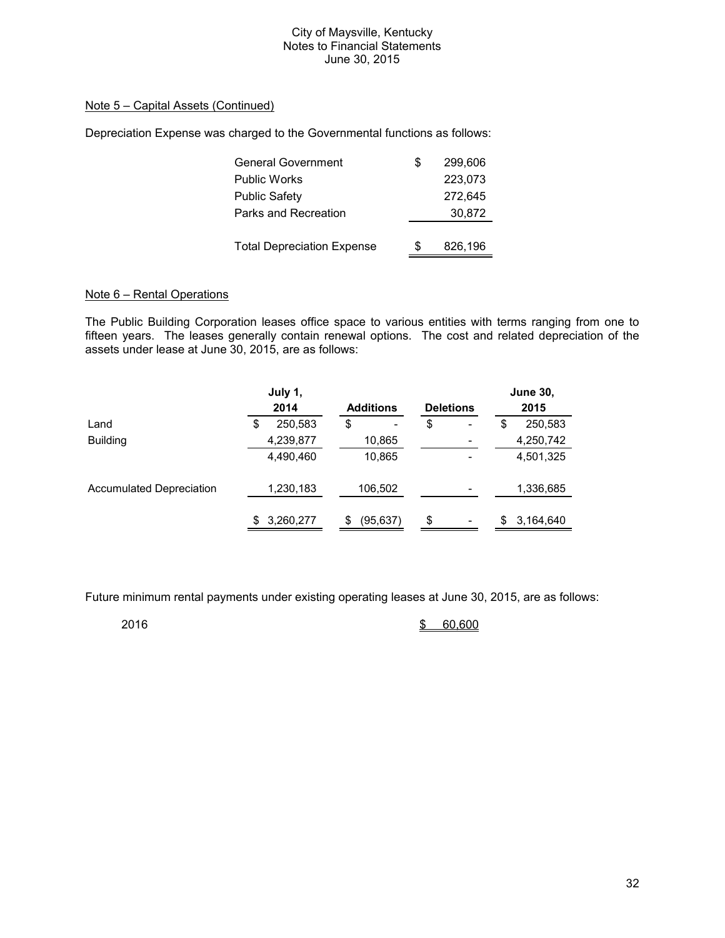# Note 5 – Capital Assets (Continued)

Depreciation Expense was charged to the Governmental functions as follows:

| General Government                | S | 299,606 |
|-----------------------------------|---|---------|
| Public Works                      |   | 223,073 |
| <b>Public Safety</b>              |   | 272,645 |
| Parks and Recreation              |   | 30,872  |
|                                   |   |         |
| <b>Total Depreciation Expense</b> | S | 826,196 |
|                                   |   |         |

# Note 6 – Rental Operations

The Public Building Corporation leases office space to various entities with terms ranging from one to fifteen years. The leases generally contain renewal options. The cost and related depreciation of the assets under lease at June 30, 2015, are as follows:

|                                 | July 1,        | <b>June 30,</b>  |                                |                |
|---------------------------------|----------------|------------------|--------------------------------|----------------|
|                                 | 2014           | <b>Additions</b> | <b>Deletions</b>               | 2015           |
| Land                            | 250,583<br>\$  | \$               | \$<br>-                        | 250,583<br>\$  |
| <b>Building</b>                 | 4,239,877      | 10,865           |                                | 4,250,742      |
|                                 | 4,490,460      | 10,865           |                                | 4,501,325      |
| <b>Accumulated Depreciation</b> | 1,230,183      | 106,502          |                                | 1,336,685      |
|                                 | 3,260,277<br>S | (95,637)<br>S    | \$<br>$\overline{\phantom{a}}$ | 3,164,640<br>S |

Future minimum rental payments under existing operating leases at June 30, 2015, are as follows:

2016 **\$ 60,600**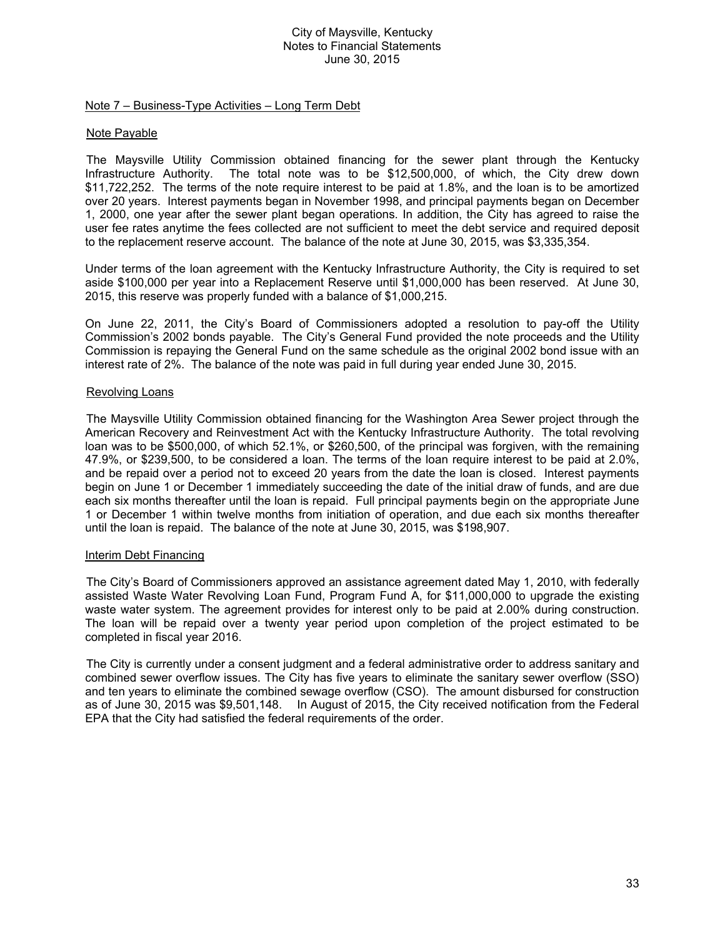Note 7 – Business-Type Activities – Long Term Debt

#### Note Payable

The Maysville Utility Commission obtained financing for the sewer plant through the Kentucky Infrastructure Authority. The total note was to be \$12,500,000, of which, the City drew down \$11,722,252. The terms of the note require interest to be paid at 1.8%, and the loan is to be amortized over 20 years. Interest payments began in November 1998, and principal payments began on December 1, 2000, one year after the sewer plant began operations. In addition, the City has agreed to raise the user fee rates anytime the fees collected are not sufficient to meet the debt service and required deposit to the replacement reserve account. The balance of the note at June 30, 2015, was \$3,335,354.

Under terms of the loan agreement with the Kentucky Infrastructure Authority, the City is required to set aside \$100,000 per year into a Replacement Reserve until \$1,000,000 has been reserved. At June 30, 2015, this reserve was properly funded with a balance of \$1,000,215.

On June 22, 2011, the City's Board of Commissioners adopted a resolution to pay-off the Utility Commission's 2002 bonds payable. The City's General Fund provided the note proceeds and the Utility Commission is repaying the General Fund on the same schedule as the original 2002 bond issue with an interest rate of 2%. The balance of the note was paid in full during year ended June 30, 2015.

#### Revolving Loans

The Maysville Utility Commission obtained financing for the Washington Area Sewer project through the American Recovery and Reinvestment Act with the Kentucky Infrastructure Authority. The total revolving loan was to be \$500,000, of which 52.1%, or \$260,500, of the principal was forgiven, with the remaining 47.9%, or \$239,500, to be considered a loan. The terms of the loan require interest to be paid at 2.0%, and be repaid over a period not to exceed 20 years from the date the loan is closed. Interest payments begin on June 1 or December 1 immediately succeeding the date of the initial draw of funds, and are due each six months thereafter until the loan is repaid. Full principal payments begin on the appropriate June 1 or December 1 within twelve months from initiation of operation, and due each six months thereafter until the loan is repaid. The balance of the note at June 30, 2015, was \$198,907.

# Interim Debt Financing

The City's Board of Commissioners approved an assistance agreement dated May 1, 2010, with federally assisted Waste Water Revolving Loan Fund, Program Fund A, for \$11,000,000 to upgrade the existing waste water system. The agreement provides for interest only to be paid at 2.00% during construction. The loan will be repaid over a twenty year period upon completion of the project estimated to be completed in fiscal year 2016.

The City is currently under a consent judgment and a federal administrative order to address sanitary and combined sewer overflow issues. The City has five years to eliminate the sanitary sewer overflow (SSO) and ten years to eliminate the combined sewage overflow (CSO). The amount disbursed for construction as of June 30, 2015 was \$9,501,148. In August of 2015, the City received notification from the Federal EPA that the City had satisfied the federal requirements of the order.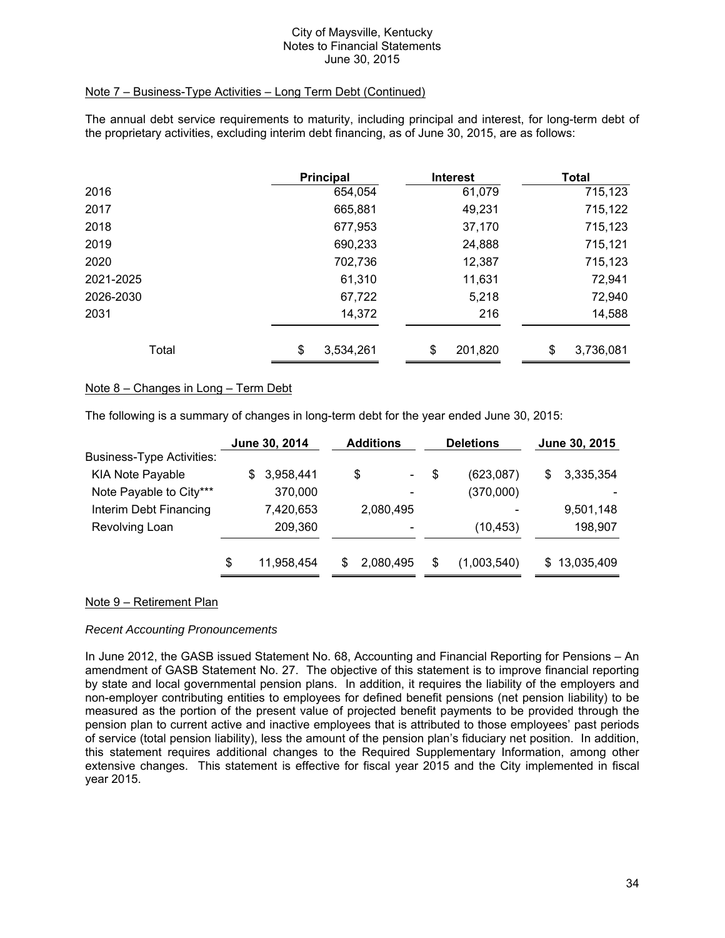# Note 7 – Business-Type Activities – Long Term Debt (Continued)

The annual debt service requirements to maturity, including principal and interest, for long-term debt of the proprietary activities, excluding interim debt financing, as of June 30, 2015, are as follows:

|           | <b>Principal</b> | <b>Interest</b> | <b>Total</b>    |
|-----------|------------------|-----------------|-----------------|
| 2016      | 654,054          | 61,079          | 715,123         |
| 2017      | 665,881          | 49,231          | 715,122         |
| 2018      | 677,953          | 37,170          | 715,123         |
| 2019      | 690,233          | 24,888          | 715,121         |
| 2020      | 702,736          | 12,387          | 715,123         |
| 2021-2025 | 61,310           | 11,631          | 72,941          |
| 2026-2030 | 67,722           | 5,218           | 72,940          |
| 2031      | 14,372           | 216             | 14,588          |
| Total     | \$<br>3,534,261  | \$<br>201,820   | \$<br>3,736,081 |

# Note 8 – Changes in Long – Term Debt

The following is a summary of changes in long-term debt for the year ended June 30, 2015:

|                                  | June 30, 2014    |   | <b>Additions</b> |                          | <b>Deletions</b> |   | June 30, 2015 |
|----------------------------------|------------------|---|------------------|--------------------------|------------------|---|---------------|
| <b>Business-Type Activities:</b> |                  |   |                  |                          |                  |   |               |
| KIA Note Payable                 | 3,958,441<br>S   |   | \$               | $\overline{\phantom{a}}$ | \$<br>(623,087)  | S | 3,335,354     |
| Note Payable to City***          | 370,000          |   |                  |                          | (370,000)        |   |               |
| Interim Debt Financing           | 7,420,653        |   | 2,080,495        |                          |                  |   | 9,501,148     |
| Revolving Loan                   | 209,360          |   |                  |                          | (10, 453)        |   | 198,907       |
|                                  |                  |   |                  |                          |                  |   |               |
|                                  | \$<br>11,958,454 | S | 2,080,495        |                          | (1,003,540)      |   | 13,035,409    |

# Note 9 – Retirement Plan

# *Recent Accounting Pronouncements*

In June 2012, the GASB issued Statement No. 68, Accounting and Financial Reporting for Pensions – An amendment of GASB Statement No. 27. The objective of this statement is to improve financial reporting by state and local governmental pension plans. In addition, it requires the liability of the employers and non-employer contributing entities to employees for defined benefit pensions (net pension liability) to be measured as the portion of the present value of projected benefit payments to be provided through the pension plan to current active and inactive employees that is attributed to those employees' past periods of service (total pension liability), less the amount of the pension plan's fiduciary net position. In addition, this statement requires additional changes to the Required Supplementary Information, among other extensive changes. This statement is effective for fiscal year 2015 and the City implemented in fiscal year 2015.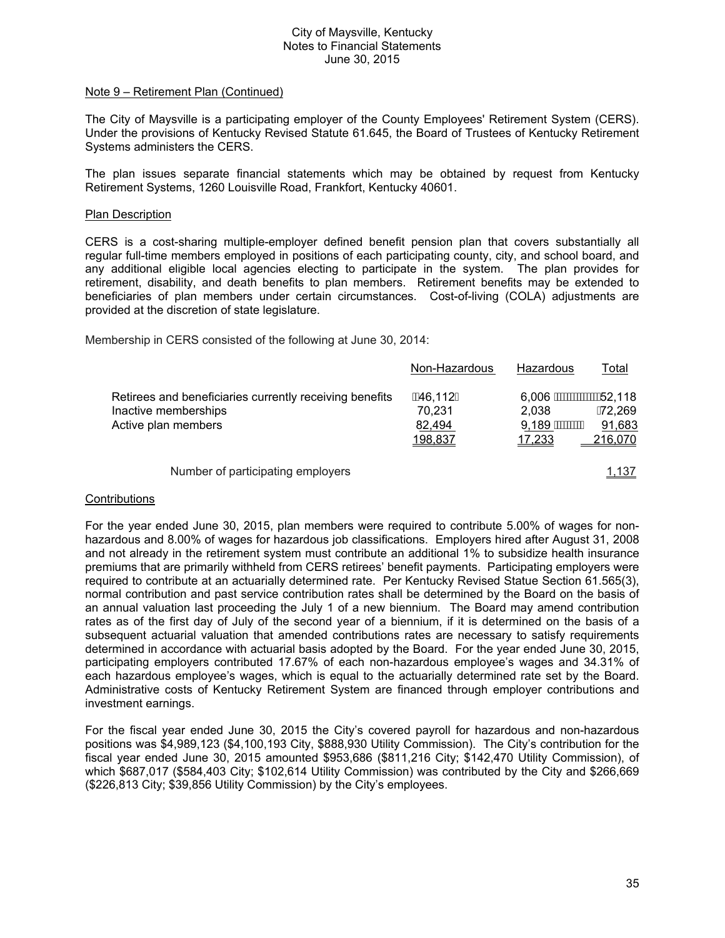### Note 9 – Retirement Plan (Continued)

The City of Maysville is a participating employer of the County Employees' Retirement System (CERS). Under the provisions of Kentucky Revised Statute 61.645, the Board of Trustees of Kentucky Retirement Systems administers the CERS.

The plan issues separate financial statements which may be obtained by request from Kentucky Retirement Systems, 1260 Louisville Road, Frankfort, Kentucky 40601.

# Plan Description

CERS is a cost-sharing multiple-employer defined benefit pension plan that covers substantially all regular full-time members employed in positions of each participating county, city, and school board, and any additional eligible local agencies electing to participate in the system. The plan provides for retirement, disability, and death benefits to plan members. Retirement benefits may be extended to beneficiaries of plan members under certain circumstances. Cost-of-living (COLA) adjustments are provided at the discretion of state legislature.

Membership in CERS consisted of the following at June 30, 2014:

|                                                                                                        | Non-Hazardous                                    | Hazardous<br>Total                                                                                 |
|--------------------------------------------------------------------------------------------------------|--------------------------------------------------|----------------------------------------------------------------------------------------------------|
| Retirees and beneficiaries currently receiving benefits<br>Inactive memberships<br>Active plan members | <i>Á</i> 446,112Á<br>70,231<br>82.494<br>198,837 | 6,006 AWAWAWAWA 52,118<br>R2,269<br>2.038<br>9,189 Á VA VALA<br>91,683<br>216,070<br><u>17,233</u> |
| Number of participating employers                                                                      |                                                  | 1,137                                                                                              |

#### **Contributions**

For the year ended June 30, 2015, plan members were required to contribute 5.00% of wages for nonhazardous and 8.00% of wages for hazardous job classifications. Employers hired after August 31, 2008 and not already in the retirement system must contribute an additional 1% to subsidize health insurance premiums that are primarily withheld from CERS retirees' benefit payments. Participating employers were required to contribute at an actuarially determined rate. Per Kentucky Revised Statue Section 61.565(3), normal contribution and past service contribution rates shall be determined by the Board on the basis of an annual valuation last proceeding the July 1 of a new biennium. The Board may amend contribution rates as of the first day of July of the second year of a biennium, if it is determined on the basis of a subsequent actuarial valuation that amended contributions rates are necessary to satisfy requirements determined in accordance with actuarial basis adopted by the Board. For the year ended June 30, 2015, participating employers contributed 17.67% of each non-hazardous employee's wages and 34.31% of each hazardous employee's wages, which is equal to the actuarially determined rate set by the Board. Administrative costs of Kentucky Retirement System are financed through employer contributions and investment earnings.

For the fiscal year ended June 30, 2015 the City's covered payroll for hazardous and non-hazardous positions was \$4,989,123 (\$4,100,193 City, \$888,930 Utility Commission). The City's contribution for the fiscal year ended June 30, 2015 amounted \$953,686 (\$811,216 City; \$142,470 Utility Commission), of which \$687,017 (\$584,403 City; \$102,614 Utility Commission) was contributed by the City and \$266,669 (\$226,813 City; \$39,856 Utility Commission) by the City's employees.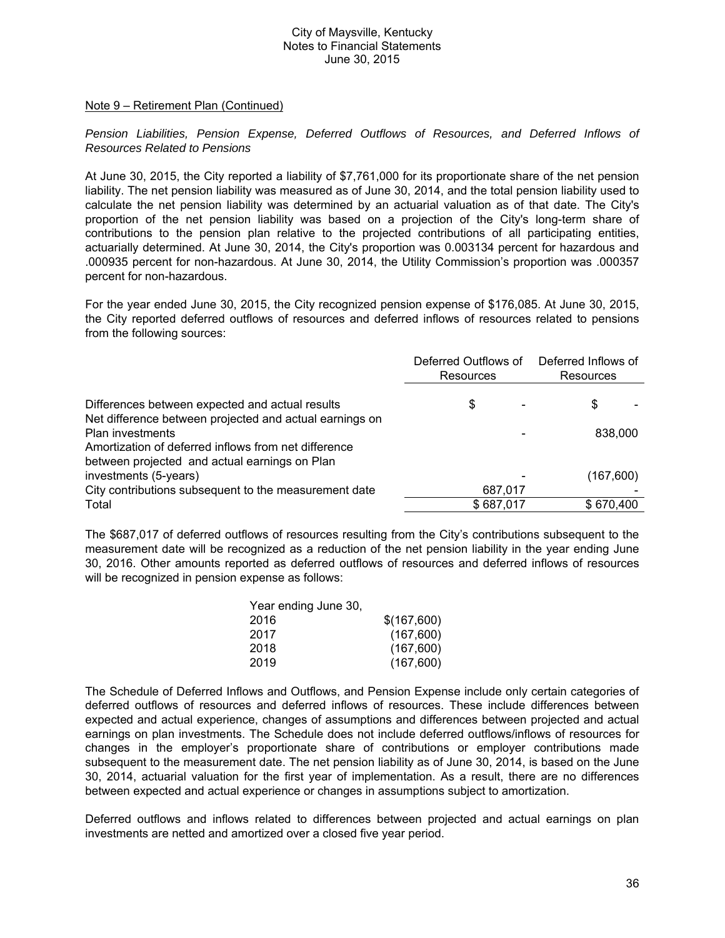# Note 9 – Retirement Plan (Continued)

*Pension Liabilities, Pension Expense, Deferred Outflows of Resources, and Deferred Inflows of Resources Related to Pensions* 

At June 30, 2015, the City reported a liability of \$7,761,000 for its proportionate share of the net pension liability. The net pension liability was measured as of June 30, 2014, and the total pension liability used to calculate the net pension liability was determined by an actuarial valuation as of that date. The City's proportion of the net pension liability was based on a projection of the City's long-term share of contributions to the pension plan relative to the projected contributions of all participating entities, actuarially determined. At June 30, 2014, the City's proportion was 0.003134 percent for hazardous and .000935 percent for non-hazardous. At June 30, 2014, the Utility Commission's proportion was .000357 percent for non-hazardous.

For the year ended June 30, 2015, the City recognized pension expense of \$176,085. At June 30, 2015, the City reported deferred outflows of resources and deferred inflows of resources related to pensions from the following sources:

|                                                         | Deferred Outflows of<br>Resources | Deferred Inflows of<br>Resources |
|---------------------------------------------------------|-----------------------------------|----------------------------------|
| Differences between expected and actual results         | S                                 | \$                               |
| Net difference between projected and actual earnings on |                                   |                                  |
| <b>Plan investments</b>                                 |                                   | 838,000                          |
| Amortization of deferred inflows from net difference    |                                   |                                  |
| between projected and actual earnings on Plan           |                                   |                                  |
| investments (5-years)                                   |                                   | (167,600)                        |
| City contributions subsequent to the measurement date   | 687,017                           |                                  |
| Total                                                   | \$687,017                         | \$670,400                        |

The \$687,017 of deferred outflows of resources resulting from the City's contributions subsequent to the measurement date will be recognized as a reduction of the net pension liability in the year ending June 30, 2016. Other amounts reported as deferred outflows of resources and deferred inflows of resources will be recognized in pension expense as follows:

| Year ending June 30, |             |
|----------------------|-------------|
| 2016                 | \$(167,600) |
| 2017                 | (167, 600)  |
| 2018                 | (167, 600)  |
| 2019                 | (167,600)   |

The Schedule of Deferred Inflows and Outflows, and Pension Expense include only certain categories of deferred outflows of resources and deferred inflows of resources. These include differences between expected and actual experience, changes of assumptions and differences between projected and actual earnings on plan investments. The Schedule does not include deferred outflows/inflows of resources for changes in the employer's proportionate share of contributions or employer contributions made subsequent to the measurement date. The net pension liability as of June 30, 2014, is based on the June 30, 2014, actuarial valuation for the first year of implementation. As a result, there are no differences between expected and actual experience or changes in assumptions subject to amortization.

Deferred outflows and inflows related to differences between projected and actual earnings on plan investments are netted and amortized over a closed five year period.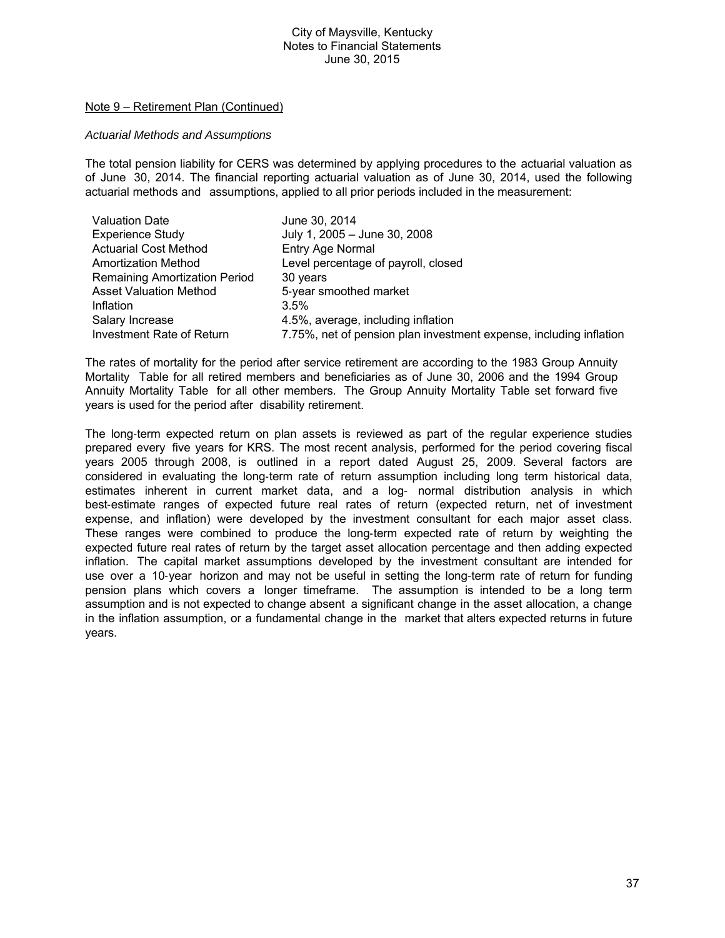# Note 9 – Retirement Plan (Continued)

### *Actuarial Methods and Assumptions*

The total pension liability for CERS was determined by applying procedures to the actuarial valuation as of June 30, 2014. The financial reporting actuarial valuation as of June 30, 2014, used the following actuarial methods and assumptions, applied to all prior periods included in the measurement:

| <b>Valuation Date</b>                | June 30, 2014                                                      |
|--------------------------------------|--------------------------------------------------------------------|
| <b>Experience Study</b>              | July 1, 2005 - June 30, 2008                                       |
| <b>Actuarial Cost Method</b>         | Entry Age Normal                                                   |
| Amortization Method                  | Level percentage of payroll, closed                                |
| <b>Remaining Amortization Period</b> | 30 years                                                           |
| <b>Asset Valuation Method</b>        | 5-year smoothed market                                             |
| Inflation                            | $3.5\%$                                                            |
| Salary Increase                      | 4.5%, average, including inflation                                 |
| Investment Rate of Return            | 7.75%, net of pension plan investment expense, including inflation |

The rates of mortality for the period after service retirement are according to the 1983 Group Annuity Mortality Table for all retired members and beneficiaries as of June 30, 2006 and the 1994 Group Annuity Mortality Table for all other members. The Group Annuity Mortality Table set forward five years is used for the period after disability retirement.

The long-term expected return on plan assets is reviewed as part of the regular experience studies prepared every five years for KRS. The most recent analysis, performed for the period covering fiscal years 2005 through 2008, is outlined in a report dated August 25, 2009. Several factors are considered in evaluating the long‐term rate of return assumption including long term historical data, estimates inherent in current market data, and a log‐ normal distribution analysis in which best-estimate ranges of expected future real rates of return (expected return, net of investment expense, and inflation) were developed by the investment consultant for each major asset class. These ranges were combined to produce the long‐term expected rate of return by weighting the expected future real rates of return by the target asset allocation percentage and then adding expected inflation. The capital market assumptions developed by the investment consultant are intended for use over a 10-year horizon and may not be useful in setting the long-term rate of return for funding pension plans which covers a longer timeframe. The assumption is intended to be a long term assumption and is not expected to change absent a significant change in the asset allocation, a change in the inflation assumption, or a fundamental change in the market that alters expected returns in future years.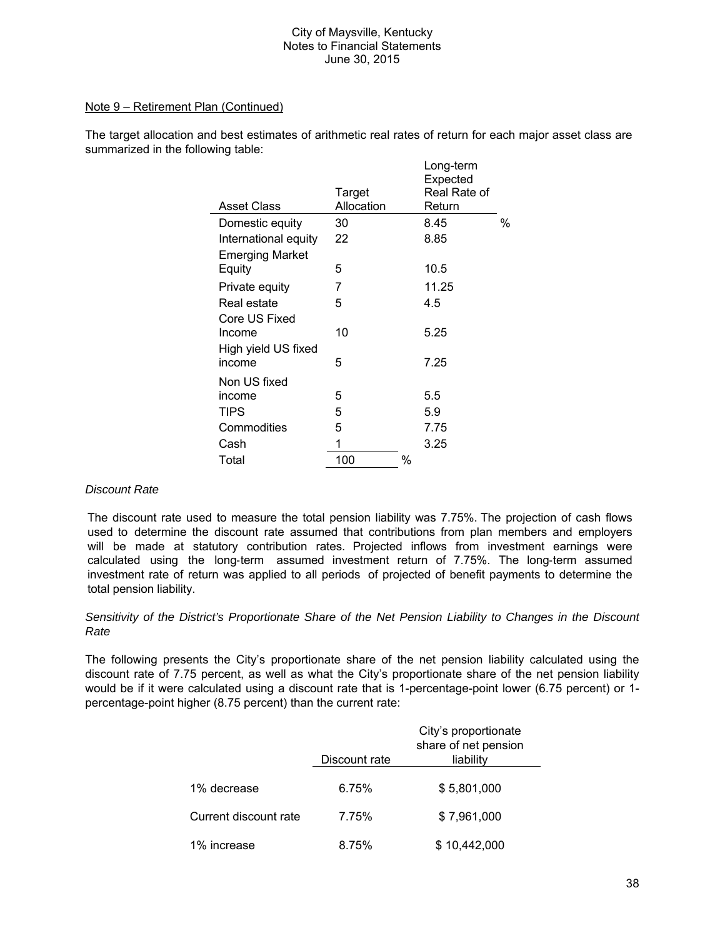# Note 9 – Retirement Plan (Continued)

The target allocation and best estimates of arithmetic real rates of return for each major asset class are summarized in the following table:

|     | Long-term<br>Expected |                             |
|-----|-----------------------|-----------------------------|
|     |                       |                             |
| 30  | 8.45                  | %                           |
| 22  | 8.85                  |                             |
|     |                       |                             |
| 5   | 10.5                  |                             |
| 7   | 11.25                 |                             |
| 5   | 4.5                   |                             |
| 10  | 5.25                  |                             |
| 5   | 7.25                  |                             |
|     |                       |                             |
| 5   | $5.5\,$               |                             |
| 5   | 5.9                   |                             |
| 5   | 7.75                  |                             |
| 1   | 3.25                  |                             |
| 100 |                       |                             |
|     | Target<br>Allocation  | Real Rate of<br>Return<br>% |

# *Discount Rate*

The discount rate used to measure the total pension liability was 7.75%. The projection of cash flows used to determine the discount rate assumed that contributions from plan members and employers will be made at statutory contribution rates. Projected inflows from investment earnings were calculated using the long‐term assumed investment return of 7.75%. The long‐term assumed investment rate of return was applied to all periods of projected of benefit payments to determine the total pension liability.

# *Sensitivity of the District's Proportionate Share of the Net Pension Liability to Changes in the Discount Rate*

The following presents the City's proportionate share of the net pension liability calculated using the discount rate of 7.75 percent, as well as what the City's proportionate share of the net pension liability would be if it were calculated using a discount rate that is 1-percentage-point lower (6.75 percent) or 1 percentage-point higher (8.75 percent) than the current rate:

|                       | Discount rate | City's proportionate<br>share of net pension<br>liability |
|-----------------------|---------------|-----------------------------------------------------------|
|                       |               |                                                           |
| 1% decrease           | 6.75%         | \$5,801,000                                               |
| Current discount rate | 7.75%         | \$7,961,000                                               |
| 1% increase           | 8.75%         | \$10,442,000                                              |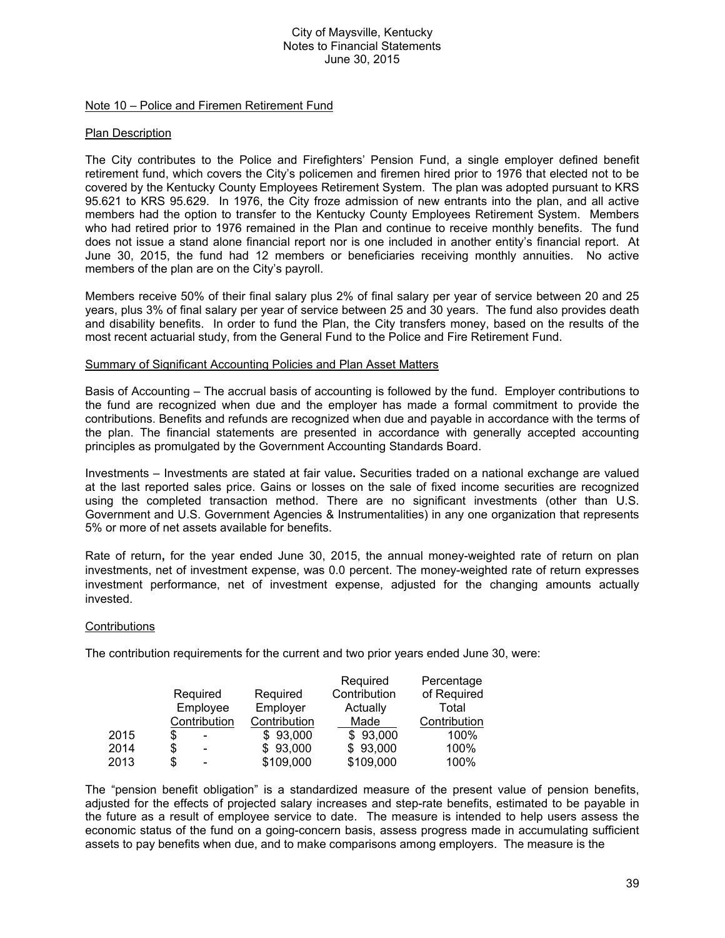Note 10 – Police and Firemen Retirement Fund

### Plan Description

The City contributes to the Police and Firefighters' Pension Fund, a single employer defined benefit retirement fund, which covers the City's policemen and firemen hired prior to 1976 that elected not to be covered by the Kentucky County Employees Retirement System. The plan was adopted pursuant to KRS 95.621 to KRS 95.629. In 1976, the City froze admission of new entrants into the plan, and all active members had the option to transfer to the Kentucky County Employees Retirement System. Members who had retired prior to 1976 remained in the Plan and continue to receive monthly benefits. The fund does not issue a stand alone financial report nor is one included in another entity's financial report. At June 30, 2015, the fund had 12 members or beneficiaries receiving monthly annuities. No active members of the plan are on the City's payroll.

Members receive 50% of their final salary plus 2% of final salary per year of service between 20 and 25 years, plus 3% of final salary per year of service between 25 and 30 years. The fund also provides death and disability benefits. In order to fund the Plan, the City transfers money, based on the results of the most recent actuarial study, from the General Fund to the Police and Fire Retirement Fund.

# Summary of Significant Accounting Policies and Plan Asset Matters

Basis of Accounting – The accrual basis of accounting is followed by the fund. Employer contributions to the fund are recognized when due and the employer has made a formal commitment to provide the contributions. Benefits and refunds are recognized when due and payable in accordance with the terms of the plan. The financial statements are presented in accordance with generally accepted accounting principles as promulgated by the Government Accounting Standards Board.

Investments – Investments are stated at fair value**.** Securities traded on a national exchange are valued at the last reported sales price. Gains or losses on the sale of fixed income securities are recognized using the completed transaction method. There are no significant investments (other than U.S. Government and U.S. Government Agencies & Instrumentalities) in any one organization that represents 5% or more of net assets available for benefits.

Rate of return**,** for the year ended June 30, 2015, the annual money-weighted rate of return on plan investments, net of investment expense, was 0.0 percent. The money-weighted rate of return expresses investment performance, net of investment expense, adjusted for the changing amounts actually invested.

#### **Contributions**

The contribution requirements for the current and two prior years ended June 30, were:

|      |                                    |              | Required     | Percentage   |
|------|------------------------------------|--------------|--------------|--------------|
|      | Required                           | Required     | Contribution | of Required  |
|      | Employee                           | Employer     | Actually     | Total        |
|      | Contribution                       | Contribution | Made         | Contribution |
| 2015 | \$<br>$\qquad \qquad \blacksquare$ | \$93,000     | \$93,000     | 100%         |
| 2014 | \$<br>$\qquad \qquad \blacksquare$ | \$93,000     | \$93,000     | 100%         |
| 2013 | \$<br>$\qquad \qquad \blacksquare$ | \$109,000    | \$109,000    | 100%         |

The "pension benefit obligation" is a standardized measure of the present value of pension benefits, adjusted for the effects of projected salary increases and step-rate benefits, estimated to be payable in the future as a result of employee service to date. The measure is intended to help users assess the economic status of the fund on a going-concern basis, assess progress made in accumulating sufficient assets to pay benefits when due, and to make comparisons among employers. The measure is the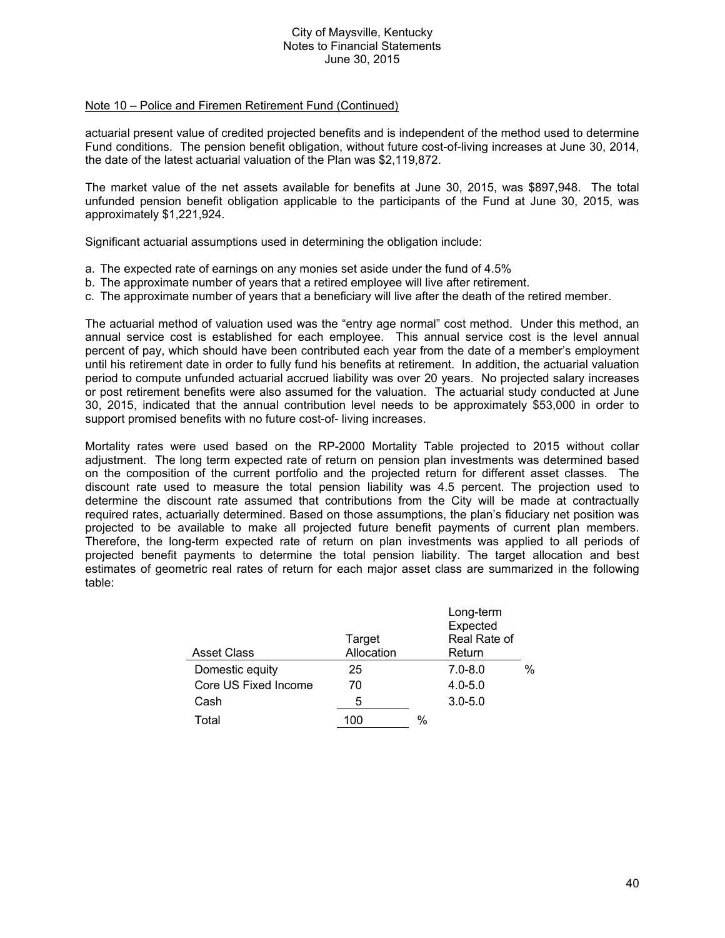# Note 10 – Police and Firemen Retirement Fund (Continued)

actuarial present value of credited projected benefits and is independent of the method used to determine Fund conditions. The pension benefit obligation, without future cost-of-living increases at June 30, 2014, the date of the latest actuarial valuation of the Plan was \$2,119,872.

The market value of the net assets available for benefits at June 30, 2015, was \$897,948. The total unfunded pension benefit obligation applicable to the participants of the Fund at June 30, 2015, was approximately \$1,221,924.

Significant actuarial assumptions used in determining the obligation include:

- a. The expected rate of earnings on any monies set aside under the fund of 4.5%
- b. The approximate number of years that a retired employee will live after retirement.
- c. The approximate number of years that a beneficiary will live after the death of the retired member.

The actuarial method of valuation used was the "entry age normal" cost method. Under this method, an annual service cost is established for each employee. This annual service cost is the level annual percent of pay, which should have been contributed each year from the date of a member's employment until his retirement date in order to fully fund his benefits at retirement. In addition, the actuarial valuation period to compute unfunded actuarial accrued liability was over 20 years. No projected salary increases or post retirement benefits were also assumed for the valuation. The actuarial study conducted at June 30, 2015, indicated that the annual contribution level needs to be approximately \$53,000 in order to support promised benefits with no future cost-of- living increases.

Mortality rates were used based on the RP-2000 Mortality Table projected to 2015 without collar adjustment. The long term expected rate of return on pension plan investments was determined based on the composition of the current portfolio and the projected return for different asset classes. The discount rate used to measure the total pension liability was 4.5 percent. The projection used to determine the discount rate assumed that contributions from the City will be made at contractually required rates, actuarially determined. Based on those assumptions, the plan's fiduciary net position was projected to be available to make all projected future benefit payments of current plan members. Therefore, the long-term expected rate of return on plan investments was applied to all periods of projected benefit payments to determine the total pension liability. The target allocation and best estimates of geometric real rates of return for each major asset class are summarized in the following table:

|                      | Target     |      | Long-term<br>Expected<br>Real Rate of |   |
|----------------------|------------|------|---------------------------------------|---|
| <b>Asset Class</b>   | Allocation |      | Return                                |   |
| Domestic equity      | 25         |      | $7.0 - 8.0$                           | % |
| Core US Fixed Income | 70         |      | $4.0 - 5.0$                           |   |
| Cash                 | 5          |      | $3.0 - 5.0$                           |   |
| Total                | 100        | $\%$ |                                       |   |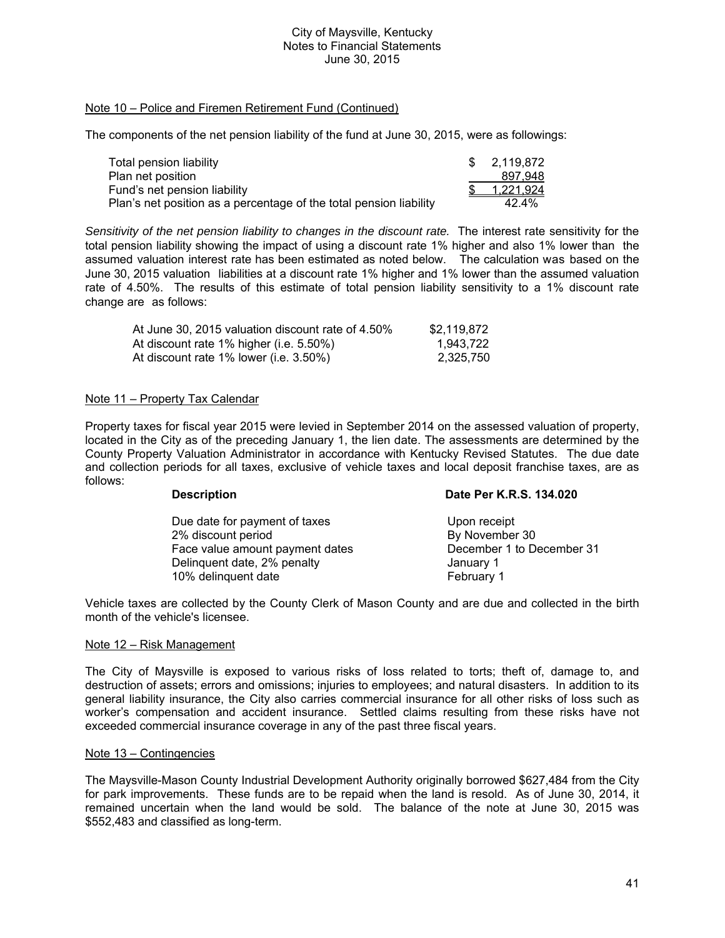# Note 10 – Police and Firemen Retirement Fund (Continued)

The components of the net pension liability of the fund at June 30, 2015, were as followings:

| Total pension liability                                            | 2.119.872 |
|--------------------------------------------------------------------|-----------|
| Plan net position                                                  | 897.948   |
| Fund's net pension liability                                       | 1.221.924 |
| Plan's net position as a percentage of the total pension liability | 42.4%     |

*Sensitivity of the net pension liability to changes in the discount rate.* The interest rate sensitivity for the total pension liability showing the impact of using a discount rate 1% higher and also 1% lower than the assumed valuation interest rate has been estimated as noted below. The calculation was based on the June 30, 2015 valuation liabilities at a discount rate 1% higher and 1% lower than the assumed valuation rate of 4.50%. The results of this estimate of total pension liability sensitivity to a 1% discount rate change are as follows:

| At June 30, 2015 valuation discount rate of 4.50% | \$2.119.872 |
|---------------------------------------------------|-------------|
| At discount rate 1% higher (i.e. 5.50%)           | 1.943.722   |
| At discount rate 1% lower (i.e. 3.50%)            | 2.325.750   |

# Note 11 – Property Tax Calendar

Property taxes for fiscal year 2015 were levied in September 2014 on the assessed valuation of property, located in the City as of the preceding January 1, the lien date. The assessments are determined by the County Property Valuation Administrator in accordance with Kentucky Revised Statutes. The due date and collection periods for all taxes, exclusive of vehicle taxes and local deposit franchise taxes, are as follows:

**Description Date Per K.R.S. 134.020** 

| Due date for payment of taxes   | Upon receipt              |
|---------------------------------|---------------------------|
| 2% discount period              | By November 30            |
| Face value amount payment dates | December 1 to December 31 |
| Delinguent date, 2% penalty     | January 1                 |
| 10% delinquent date             | February 1                |

Vehicle taxes are collected by the County Clerk of Mason County and are due and collected in the birth month of the vehicle's licensee.

#### Note 12 – Risk Management

The City of Maysville is exposed to various risks of loss related to torts; theft of, damage to, and destruction of assets; errors and omissions; injuries to employees; and natural disasters. In addition to its general liability insurance, the City also carries commercial insurance for all other risks of loss such as worker's compensation and accident insurance. Settled claims resulting from these risks have not exceeded commercial insurance coverage in any of the past three fiscal years.

#### Note 13 – Contingencies

The Maysville-Mason County Industrial Development Authority originally borrowed \$627,484 from the City for park improvements. These funds are to be repaid when the land is resold. As of June 30, 2014, it remained uncertain when the land would be sold. The balance of the note at June 30, 2015 was \$552,483 and classified as long-term.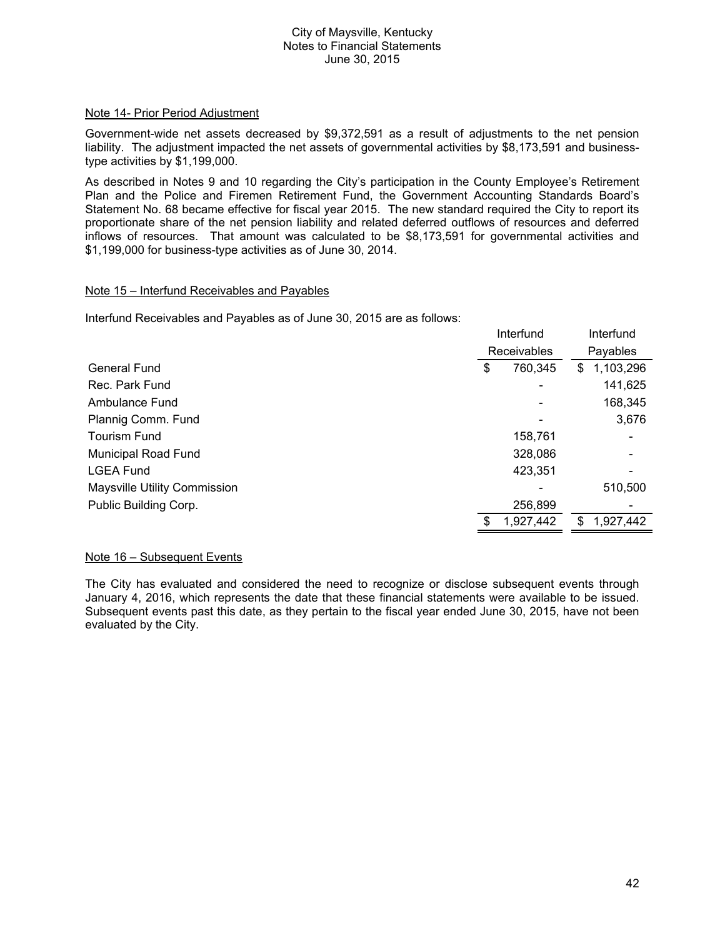# Note 14- Prior Period Adjustment

Government-wide net assets decreased by \$9,372,591 as a result of adjustments to the net pension liability. The adjustment impacted the net assets of governmental activities by \$8,173,591 and businesstype activities by \$1,199,000.

As described in Notes 9 and 10 regarding the City's participation in the County Employee's Retirement Plan and the Police and Firemen Retirement Fund, the Government Accounting Standards Board's Statement No. 68 became effective for fiscal year 2015. The new standard required the City to report its proportionate share of the net pension liability and related deferred outflows of resources and deferred inflows of resources. That amount was calculated to be \$8,173,591 for governmental activities and \$1,199,000 for business-type activities as of June 30, 2014.

# Note 15 – Interfund Receivables and Payables

Interfund Receivables and Payables as of June 30, 2015 are as follows:

|                              |    | Interfund   | Interfund       |
|------------------------------|----|-------------|-----------------|
|                              |    | Receivables | Payables        |
| <b>General Fund</b>          | S  | 760,345     | \$<br>1,103,296 |
| Rec. Park Fund               |    |             | 141,625         |
| Ambulance Fund               |    |             | 168,345         |
| Plannig Comm. Fund           |    |             | 3,676           |
| <b>Tourism Fund</b>          |    | 158,761     |                 |
| <b>Municipal Road Fund</b>   |    | 328,086     |                 |
| <b>LGEA Fund</b>             |    | 423,351     |                 |
| Maysville Utility Commission |    |             | 510,500         |
| Public Building Corp.        |    | 256,899     |                 |
|                              | \$ | 1,927,442   | \$<br>1,927,442 |

# Note 16 – Subsequent Events

The City has evaluated and considered the need to recognize or disclose subsequent events through January 4, 2016, which represents the date that these financial statements were available to be issued. Subsequent events past this date, as they pertain to the fiscal year ended June 30, 2015, have not been evaluated by the City.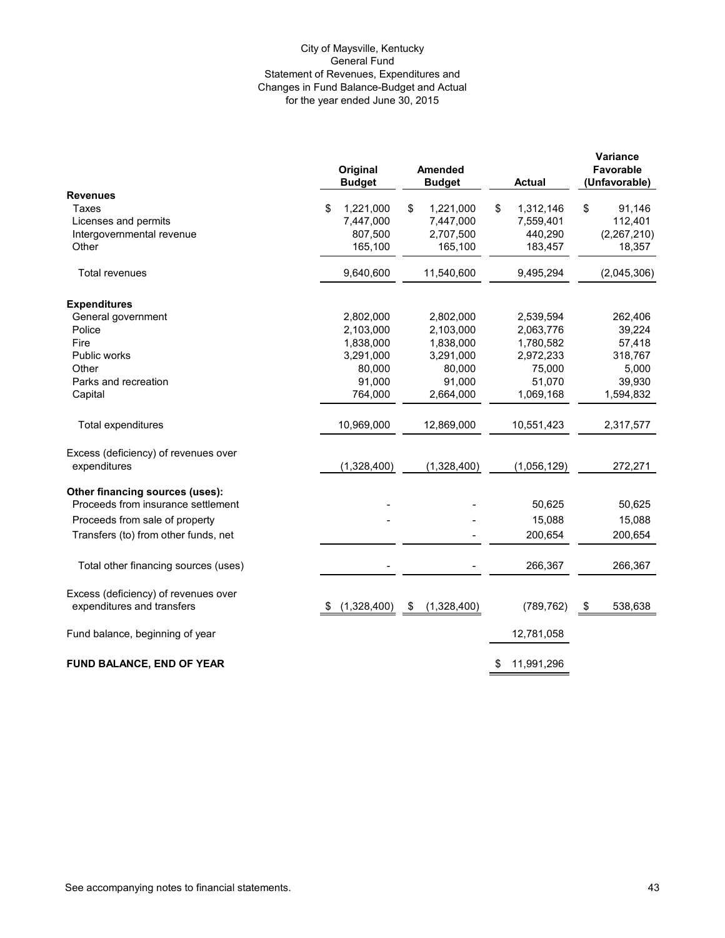#### City of Maysville, Kentucky General Fund Statement of Revenues, Expenditures and Changes in Fund Balance-Budget and Actual for the year ended June 30, 2015

|                                                                    |    | Original<br><b>Budget</b> | <b>Amended</b><br><b>Budget</b> | <b>Actual</b>    | Variance<br><b>Favorable</b><br>(Unfavorable) |
|--------------------------------------------------------------------|----|---------------------------|---------------------------------|------------------|-----------------------------------------------|
| <b>Revenues</b>                                                    |    |                           |                                 |                  |                                               |
| Taxes                                                              | \$ | 1,221,000                 | \$<br>1,221,000                 | \$<br>1,312,146  | \$<br>91,146                                  |
| Licenses and permits                                               |    | 7,447,000                 | 7,447,000                       | 7,559,401        | 112,401                                       |
| Intergovernmental revenue                                          |    | 807,500                   | 2,707,500                       | 440,290          | (2, 267, 210)                                 |
| Other                                                              |    | 165,100                   | 165,100                         | 183,457          | 18,357                                        |
| <b>Total revenues</b>                                              |    | 9,640,600                 | 11,540,600                      | 9,495,294        | (2,045,306)                                   |
| <b>Expenditures</b>                                                |    |                           |                                 |                  |                                               |
| General government                                                 |    | 2,802,000                 | 2,802,000                       | 2,539,594        | 262,406                                       |
| Police                                                             |    | 2,103,000                 | 2,103,000                       | 2,063,776        | 39,224                                        |
| Fire                                                               |    | 1,838,000                 | 1,838,000                       | 1,780,582        | 57,418                                        |
| Public works                                                       |    | 3,291,000                 | 3,291,000                       | 2,972,233        | 318,767                                       |
| Other                                                              |    | 80,000                    | 80,000                          | 75,000           | 5,000                                         |
| Parks and recreation                                               |    | 91,000                    | 91,000                          | 51,070           | 39,930                                        |
| Capital                                                            |    | 764,000                   | 2,664,000                       | 1,069,168        | 1,594,832                                     |
| Total expenditures                                                 |    | 10,969,000                | 12,869,000                      | 10,551,423       | 2,317,577                                     |
| Excess (deficiency) of revenues over                               |    |                           |                                 |                  |                                               |
| expenditures                                                       |    | (1,328,400)               | (1,328,400)                     | (1,056,129)      | 272,271                                       |
| Other financing sources (uses):                                    |    |                           |                                 |                  |                                               |
| Proceeds from insurance settlement                                 |    |                           |                                 | 50,625           | 50,625                                        |
| Proceeds from sale of property                                     |    |                           |                                 | 15.088           | 15,088                                        |
| Transfers (to) from other funds, net                               |    |                           |                                 | 200,654          | 200,654                                       |
| Total other financing sources (uses)                               |    |                           |                                 | 266,367          | 266,367                                       |
| Excess (deficiency) of revenues over<br>expenditures and transfers | S  | (1,328,400)               | \$<br>(1,328,400)               | (789, 762)       | \$<br>538,638                                 |
| Fund balance, beginning of year                                    |    |                           |                                 | 12,781,058       |                                               |
| FUND BALANCE, END OF YEAR                                          |    |                           |                                 | \$<br>11,991,296 |                                               |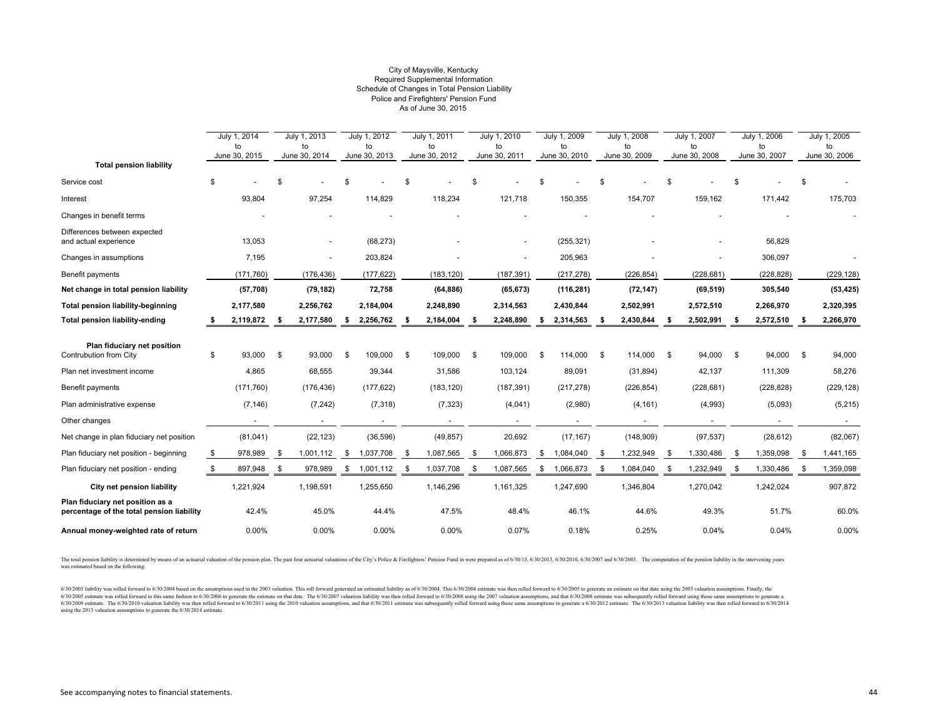#### City of Maysville, Kentucky Required Supplemental Information Schedule of Changes in Total Pension Liability Police and Firefighters' Pension Fund As of June 30, 2015

|                                                                               | July 1, 2014<br>to |     | July 1, 2013<br>to |     | July 1, 2012<br>to |      | July 1, 2011<br>to |     | July 1, 2010<br>to |    | July 1, 2009<br>to |               | July 1, 2008<br>to |      | July 1, 2007<br>to |     | July 1, 2006<br>to |      | July 1, 2005<br>to |
|-------------------------------------------------------------------------------|--------------------|-----|--------------------|-----|--------------------|------|--------------------|-----|--------------------|----|--------------------|---------------|--------------------|------|--------------------|-----|--------------------|------|--------------------|
|                                                                               | June 30, 2015      |     | June 30, 2014      |     | June 30, 2013      |      | June 30, 2012      |     | June 30, 2011      |    | June 30, 2010      |               | June 30, 2009      |      | June 30, 2008      |     | June 30, 2007      |      | June 30, 2006      |
| <b>Total pension liability</b>                                                |                    |     |                    |     |                    |      |                    |     |                    |    |                    |               |                    |      |                    |     |                    |      |                    |
| Service cost                                                                  | \$                 | \$. |                    | \$. |                    | \$   |                    | \$  |                    | \$ |                    | <sup>\$</sup> |                    | \$   |                    | S   |                    | \$   |                    |
| Interest                                                                      | 93,804             |     | 97,254             |     | 114,829            |      | 118,234            |     | 121,718            |    | 150,355            |               | 154,707            |      | 159,162            |     | 171,442            |      | 175,703            |
| Changes in benefit terms                                                      |                    |     |                    |     |                    |      |                    |     |                    |    |                    |               |                    |      |                    |     |                    |      |                    |
| Differences between expected<br>and actual experience                         | 13,053             |     | $\sim$             |     | (68, 273)          |      |                    |     |                    |    | (255, 321)         |               |                    |      |                    |     | 56,829             |      |                    |
| Changes in assumptions                                                        | 7,195              |     |                    |     | 203,824            |      |                    |     |                    |    | 205,963            |               |                    |      |                    |     | 306,097            |      |                    |
| Benefit payments                                                              | (171, 760)         |     | (176, 436)         |     | (177, 622)         |      | (183, 120)         |     | (187, 391)         |    | (217, 278)         |               | (226, 854)         |      | (228, 681)         |     | (228, 828)         |      | (229, 128)         |
| Net change in total pension liability                                         | (57, 708)          |     | (79, 182)          |     | 72,758             |      | (64, 886)          |     | (65, 673)          |    | (116, 281)         |               | (72, 147)          |      | (69, 519)          |     | 305,540            |      | (53, 425)          |
| <b>Total pension liability-beginning</b>                                      | 2,177,580          |     | 2,256,762          |     | 2,184,004          |      | 2,248,890          |     | 2,314,563          |    | 2,430,844          |               | 2,502,991          |      | 2,572,510          |     | 2,266,970          |      | 2,320,395          |
| <b>Total pension liability-ending</b>                                         | 2,119,872          |     | 2,177,580          |     | 2,256,762          |      | 2,184,004          |     | 2,248,890          | s  | 2,314,563          |               | 2,430,844          | S    | 2,502,991          | S.  | 2,572,510          |      | 2,266,970          |
| Plan fiduciary net position<br>Contrubution from City                         | \$<br>93,000       | \$  | 93,000             | \$  | 109,000            | \$   | 109,000            | \$  | 109,000            | \$ | 114,000            | \$            | 114,000            | \$   | 94,000             | \$  | 94,000             | \$   | 94,000             |
| Plan net investment income                                                    | 4,865              |     | 68,555             |     | 39,344             |      | 31,586             |     | 103,124            |    | 89,091             |               | (31, 894)          |      | 42,137             |     | 111,309            |      | 58,276             |
| Benefit payments                                                              | (171, 760)         |     | (176, 436)         |     | (177, 622)         |      | (183, 120)         |     | (187, 391)         |    | (217, 278)         |               | (226, 854)         |      | (228, 681)         |     | (228, 828)         |      | (229, 128)         |
| Plan administrative expense                                                   | (7, 146)           |     | (7, 242)           |     | (7, 318)           |      | (7, 323)           |     | (4,041)            |    | (2,980)            |               | (4, 161)           |      | (4,993)            |     | (5,093)            |      | (5,215)            |
| Other changes                                                                 |                    |     |                    |     |                    |      |                    |     |                    |    |                    |               |                    |      |                    |     |                    |      |                    |
| Net change in plan fiduciary net position                                     | (81,041)           |     | (22, 123)          |     | (36, 596)          |      | (49, 857)          |     | 20,692             |    | (17, 167)          |               | (148,909)          |      | (97, 537)          |     | (28, 612)          |      | (82,067)           |
| Plan fiduciary net position - beginning                                       | \$<br>978,989      | -\$ | 1,001,112          | \$  | 1,037,708          | - \$ | 1,087,565          | \$  | 1,066,873          | \$ | 1,084,040          | \$            | 1,232,949          | - \$ | 1,330,486          | -3  | 1,359,098          | - \$ | 1,441,165          |
| Plan fiduciary net position - ending                                          | 897,948            | -\$ | 978,989            | -\$ | 1,001,112          | - \$ | 1,037,708          | -\$ | 1,087,565          | \$ | 1,066,873          | -\$           | 1,084,040          | - \$ | 1,232,949          | -\$ | 1,330,486          | -\$  | 1,359,098          |
| City net pension liability                                                    | 1,221,924          |     | 1,198,591          |     | 1,255,650          |      | 1,146,296          |     | 1,161,325          |    | 1,247,690          |               | 1,346,804          |      | 1,270,042          |     | 1,242,024          |      | 907,872            |
| Plan fiduciary net position as a<br>percentage of the total pension liability | 42.4%              |     | 45.0%              |     | 44.4%              |      | 47.5%              |     | 48.4%              |    | 46.1%              |               | 44.6%              |      | 49.3%              |     | 51.7%              |      | 60.0%              |
| Annual money-weighted rate of return                                          | 0.00%              |     | 0.00%              |     | 0.00%              |      | 0.00%              |     | 0.07%              |    | 0.18%              |               | 0.25%              |      | 0.04%              |     | 0.04%              |      | 0.00%              |

The total pension liability is determined by means of an actuarial valuation of the pension plan. The past four actuarial valuations of the City's Police & Firefighters' Pension Fund in were prepared as of 6/30/15, 6/30/20 was estimated based on the following:

6/30/2003 liability was rolled forward to 6/30/2004 based on the assumptions used in the 2003 valuation. This roll forward generated an estimated liability as of 6/30/2004. This 6/30/2004 estimate was then rolled forward t 6/302005 estimate was rolled forward in this same fashion to 6/300200 to generat the estimat on tha date. The 6/302007 valuation liably was then rolled forward to 6/30/2011 using the 2010 valuation assumptions, and that 6/ using the 2013 valuation assumptions to generate the 6/30/2014 estimate.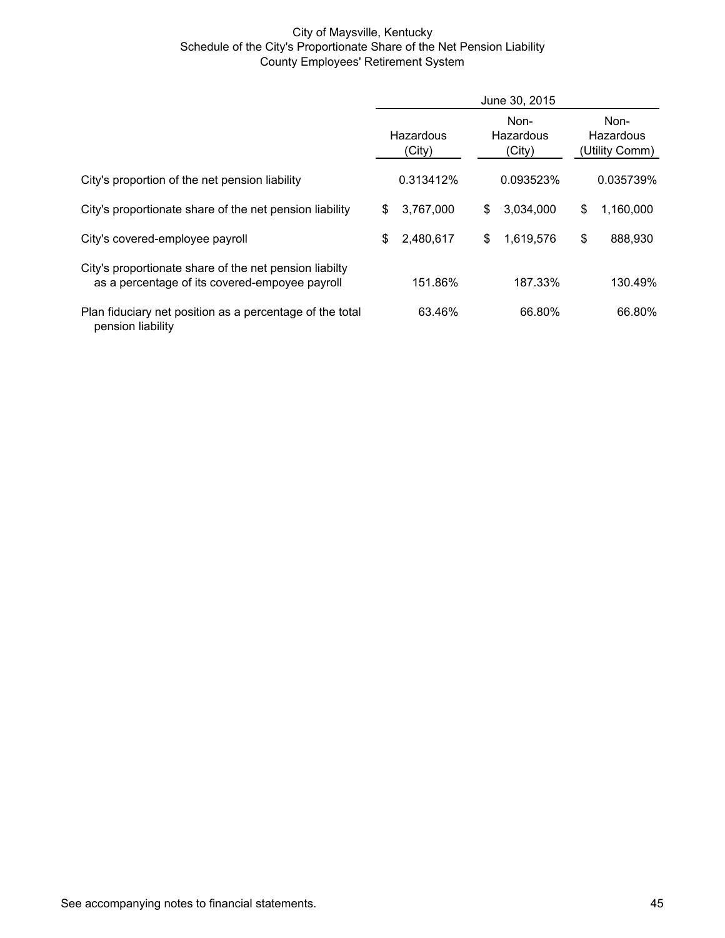# City of Maysville, Kentucky Schedule of the City's Proportionate Share of the Net Pension Liability County Employees' Retirement System

|                                                                                                          |                     | June 30, 2015               |                                     |
|----------------------------------------------------------------------------------------------------------|---------------------|-----------------------------|-------------------------------------|
|                                                                                                          | Hazardous<br>(City) | Non-<br>Hazardous<br>(City) | Non-<br>Hazardous<br>(Utility Comm) |
| City's proportion of the net pension liability                                                           | 0.313412%           | 0.093523%                   | 0.035739%                           |
| City's proportionate share of the net pension liability                                                  | \$<br>3,767,000     | \$<br>3,034,000             | \$<br>1,160,000                     |
| City's covered-employee payroll                                                                          | \$<br>2,480,617     | \$<br>1,619,576             | \$<br>888,930                       |
| City's proportionate share of the net pension liabilty<br>as a percentage of its covered-empoyee payroll | 151.86%             | 187.33%                     | 130.49%                             |
| Plan fiduciary net position as a percentage of the total<br>pension liability                            | 63.46%              | 66.80%                      | 66.80%                              |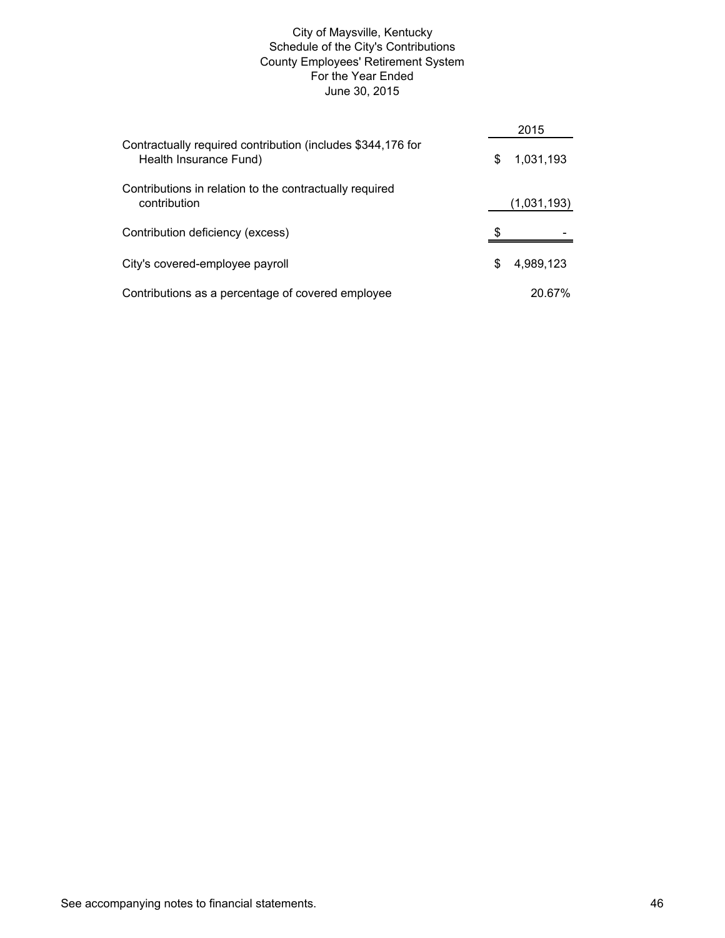# City of Maysville, Kentucky Schedule of the City's Contributions County Employees' Retirement System For the Year Ended June 30, 2015

|                                                                                       | 2015            |
|---------------------------------------------------------------------------------------|-----------------|
| Contractually required contribution (includes \$344,176 for<br>Health Insurance Fund) | \$<br>1,031,193 |
| Contributions in relation to the contractually required<br>contribution               | (1,031,193)     |
| Contribution deficiency (excess)                                                      |                 |
| City's covered-employee payroll                                                       | \$<br>4,989,123 |
| Contributions as a percentage of covered employee                                     | 20.67%          |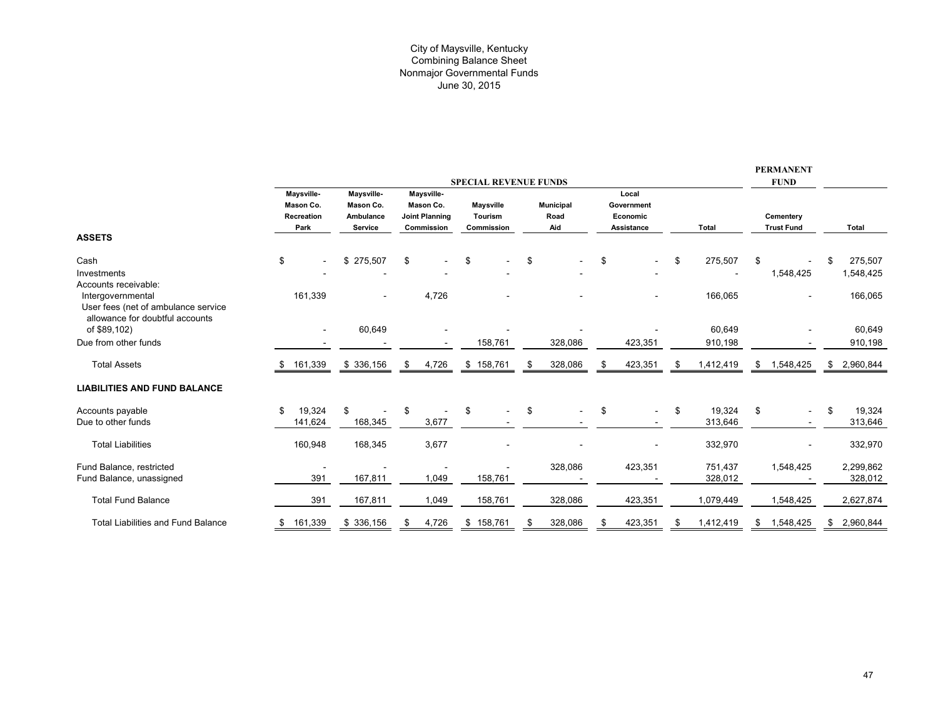#### City of Maysville, Kentucky Combining Balance Sheet Nonmajor Governmental Funds June 30, 2015

|                                                                                             |                                               | <b>PERMANENT</b><br><b>FUND</b>                 |                                                                |                                           |                                 |                                               |                         |                                |                           |
|---------------------------------------------------------------------------------------------|-----------------------------------------------|-------------------------------------------------|----------------------------------------------------------------|-------------------------------------------|---------------------------------|-----------------------------------------------|-------------------------|--------------------------------|---------------------------|
| <b>ASSETS</b>                                                                               | Maysville-<br>Mason Co.<br>Recreation<br>Park | Maysville-<br>Mason Co.<br>Ambulance<br>Service | Maysville-<br>Mason Co.<br><b>Joint Planning</b><br>Commission | <b>Maysville</b><br>Tourism<br>Commission | <b>Municipal</b><br>Road<br>Aid | Local<br>Government<br>Economic<br>Assistance | Total                   | Cementery<br><b>Trust Fund</b> | Total                     |
|                                                                                             |                                               |                                                 |                                                                |                                           |                                 |                                               |                         |                                |                           |
| Cash                                                                                        | \$                                            | \$ 275,507                                      | \$                                                             | \$                                        | \$                              | \$                                            | 275,507<br>\$           | \$                             | 275,507                   |
| Investments<br>Accounts receivable:                                                         |                                               |                                                 |                                                                |                                           |                                 |                                               |                         | 1,548,425                      | 1,548,425                 |
| Intergovernmental<br>User fees (net of ambulance service<br>allowance for doubtful accounts | 161,339                                       | $\overline{\phantom{a}}$                        | 4,726                                                          |                                           |                                 |                                               | 166,065                 |                                | 166,065                   |
| of \$89,102)                                                                                |                                               | 60,649                                          |                                                                |                                           |                                 |                                               | 60,649                  |                                | 60,649                    |
| Due from other funds                                                                        |                                               |                                                 |                                                                | 158,761                                   | 328,086                         | 423,351                                       | 910,198                 |                                | 910,198                   |
| <b>Total Assets</b>                                                                         | 161,339                                       | \$336,156                                       | 4,726<br>S                                                     | 158,761<br>\$                             | 328,086<br>S                    | 423,351                                       | 1,412,419               | 1,548,425<br>S                 | 2,960,844<br>- \$         |
| <b>LIABILITIES AND FUND BALANCE</b>                                                         |                                               |                                                 |                                                                |                                           |                                 |                                               |                         |                                |                           |
| Accounts payable<br>Due to other funds                                                      | 19,324<br>\$<br>141,624                       | \$<br>168,345                                   | \$<br>3,677                                                    |                                           | \$                              | \$                                            | 19,324<br>\$<br>313,646 | \$                             | 19,324<br>- \$<br>313,646 |
| <b>Total Liabilities</b>                                                                    | 160,948                                       | 168,345                                         | 3,677                                                          |                                           |                                 |                                               | 332,970                 |                                | 332,970                   |
| Fund Balance, restricted<br>Fund Balance, unassigned                                        | 391                                           | 167,811                                         | 1,049                                                          | 158,761                                   | 328,086                         | 423,351                                       | 751,437<br>328,012      | 1,548,425                      | 2,299,862<br>328,012      |
| <b>Total Fund Balance</b>                                                                   | 391                                           | 167,811                                         | 1,049                                                          | 158,761                                   | 328,086                         | 423,351                                       | 1,079,449               | 1,548,425                      | 2,627,874                 |
| <b>Total Liabilities and Fund Balance</b>                                                   | 161,339<br>\$                                 | \$336,156                                       | 4,726<br>- \$                                                  | \$158,761                                 | 328,086<br>\$                   | 423,351                                       | 1,412,419<br>\$         | 1,548,425<br>\$                | 2,960,844<br>\$           |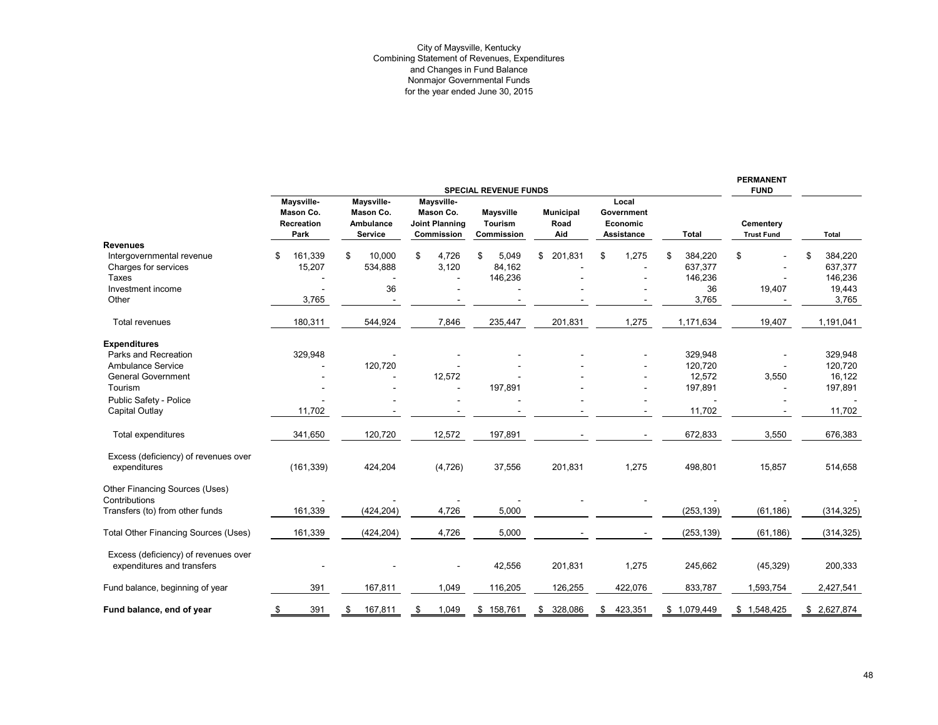#### City of Maysville, Kentucky Combining Statement of Revenues, Expenditures and Changes in Fund Balance Nonmajor Governmental Funds for the year ended June 30, 2015

|                                                                                          |                                               |                                                        |                                                                | <b>SPECIAL REVENUE FUNDS</b>              |                                 |                                                      |                                                    | <b>PERMANENT</b><br><b>FUND</b> |                                                        |
|------------------------------------------------------------------------------------------|-----------------------------------------------|--------------------------------------------------------|----------------------------------------------------------------|-------------------------------------------|---------------------------------|------------------------------------------------------|----------------------------------------------------|---------------------------------|--------------------------------------------------------|
|                                                                                          | Maysville-<br>Mason Co.<br>Recreation<br>Park | Maysville-<br>Mason Co.<br><b>Ambulance</b><br>Service | Maysville-<br>Mason Co.<br><b>Joint Planning</b><br>Commission | <b>Maysville</b><br>Tourism<br>Commission | <b>Municipal</b><br>Road<br>Aid | Local<br>Government<br>Economic<br><b>Assistance</b> | <b>Total</b>                                       | Cementery<br><b>Trust Fund</b>  | Total                                                  |
| <b>Revenues</b>                                                                          |                                               |                                                        |                                                                |                                           |                                 |                                                      |                                                    |                                 |                                                        |
| Intergovernmental revenue<br>Charges for services<br>Taxes<br>Investment income<br>Other | 161,339<br>\$<br>15,207<br>3,765              | \$<br>10,000<br>534,888<br>36                          | 4,726<br>\$<br>3,120                                           | \$<br>5,049<br>84,162<br>146,236          | \$<br>201.831                   | 1,275<br>\$                                          | 384,220<br>\$<br>637,377<br>146,236<br>36<br>3,765 | \$<br>19,407                    | \$<br>384,220<br>637,377<br>146,236<br>19,443<br>3,765 |
| Total revenues                                                                           | 180,311                                       | 544,924                                                | 7,846                                                          | 235,447                                   | 201,831                         | 1,275                                                | 1,171,634                                          | 19,407                          | 1,191,041                                              |
| <b>Expenditures</b>                                                                      |                                               |                                                        |                                                                |                                           |                                 |                                                      |                                                    |                                 |                                                        |
| Parks and Recreation<br>Ambulance Service<br><b>General Government</b>                   | 329,948                                       | 120,720                                                | 12,572                                                         |                                           |                                 |                                                      | 329,948<br>120,720<br>12,572                       | 3,550                           | 329,948<br>120,720<br>16,122                           |
| Tourism                                                                                  |                                               |                                                        |                                                                | 197,891                                   |                                 |                                                      | 197,891                                            |                                 | 197,891                                                |
| Public Safety - Police<br>Capital Outlay                                                 | 11,702                                        |                                                        |                                                                |                                           |                                 | ٠                                                    | 11,702                                             | $\overline{\phantom{a}}$        | 11,702                                                 |
| Total expenditures                                                                       | 341,650                                       | 120,720                                                | 12,572                                                         | 197,891                                   |                                 |                                                      | 672,833                                            | 3,550                           | 676,383                                                |
| Excess (deficiency) of revenues over<br>expenditures                                     | (161, 339)                                    | 424,204                                                | (4, 726)                                                       | 37,556                                    | 201,831                         | 1,275                                                | 498,801                                            | 15,857                          | 514,658                                                |
| Other Financing Sources (Uses)<br>Contributions                                          |                                               |                                                        |                                                                |                                           |                                 |                                                      |                                                    |                                 |                                                        |
| Transfers (to) from other funds                                                          | 161,339                                       | (424, 204)                                             | 4,726                                                          | 5,000                                     |                                 |                                                      | (253, 139)                                         | (61, 186)                       | (314, 325)                                             |
| Total Other Financing Sources (Uses)                                                     | 161,339                                       | (424, 204)                                             | 4,726                                                          | 5,000                                     |                                 |                                                      | (253, 139)                                         | (61, 186)                       | (314, 325)                                             |
| Excess (deficiency) of revenues over<br>expenditures and transfers                       |                                               |                                                        |                                                                | 42,556                                    | 201,831                         | 1,275                                                | 245,662                                            | (45, 329)                       | 200,333                                                |
| Fund balance, beginning of year                                                          | 391                                           | 167,811                                                | 1,049                                                          | 116,205                                   | 126,255                         | 422,076                                              | 833,787                                            | 1,593,754                       | 2,427,541                                              |
| Fund balance, end of year                                                                | \$<br>391                                     | 167,811<br>\$                                          | 1,049<br>\$                                                    | \$158,761                                 | 328,086<br>\$                   | 423,351<br>\$                                        | \$1,079,449                                        | \$1,548,425                     | \$ 2,627,874                                           |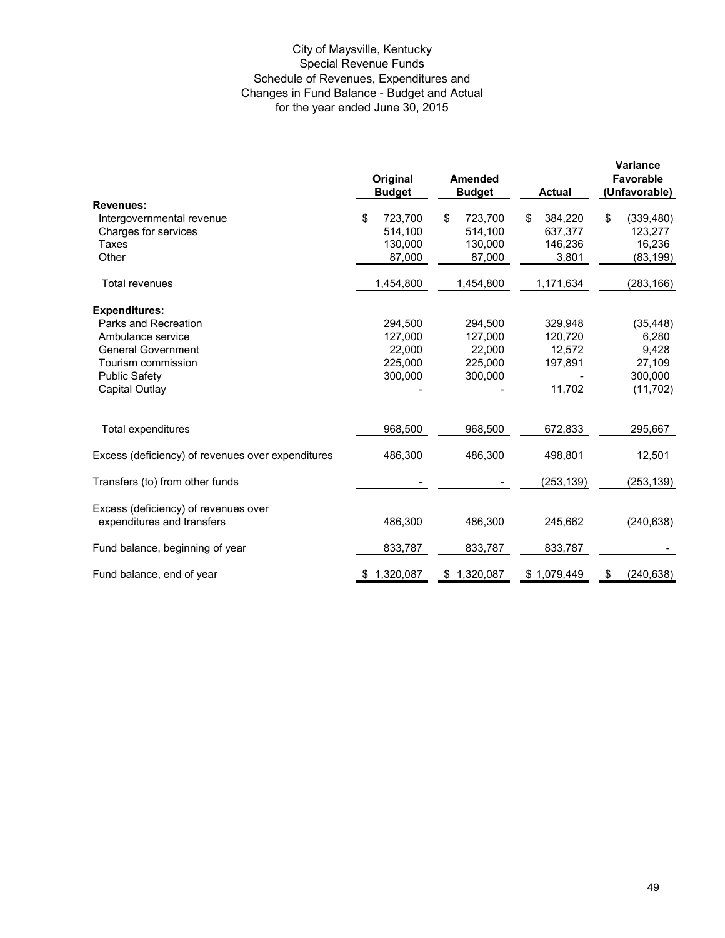# City of Maysville, Kentucky Special Revenue Funds Schedule of Revenues, Expenditures and Changes in Fund Balance - Budget and Actual for the year ended June 30, 2015

|                                                   | Original<br><b>Budget</b> | <b>Amended</b><br><b>Budget</b> | <b>Actual</b> | Variance<br><b>Favorable</b><br>(Unfavorable) |
|---------------------------------------------------|---------------------------|---------------------------------|---------------|-----------------------------------------------|
| <b>Revenues:</b>                                  |                           |                                 |               |                                               |
| Intergovernmental revenue                         | \$<br>723,700             | \$<br>723,700                   | \$<br>384,220 | \$<br>(339, 480)                              |
| Charges for services                              | 514,100                   | 514,100                         | 637,377       | 123,277                                       |
| Taxes                                             | 130,000                   | 130,000                         | 146,236       | 16,236                                        |
| Other                                             | 87,000                    | 87,000                          | 3,801         | (83, 199)                                     |
| <b>Total revenues</b>                             | 1,454,800                 | 1,454,800                       | 1,171,634     | (283, 166)                                    |
| <b>Expenditures:</b>                              |                           |                                 |               |                                               |
| Parks and Recreation                              | 294,500                   | 294,500                         | 329,948       | (35, 448)                                     |
| Ambulance service                                 | 127,000                   | 127.000                         | 120,720       | 6,280                                         |
| <b>General Government</b>                         | 22,000                    | 22,000                          | 12,572        | 9,428                                         |
| Tourism commission                                | 225,000                   | 225,000                         | 197,891       | 27,109                                        |
| <b>Public Safety</b>                              | 300,000                   | 300,000                         |               | 300,000                                       |
| Capital Outlay                                    |                           |                                 | 11,702        | (11, 702)                                     |
| Total expenditures                                | 968,500                   | 968,500                         | 672,833       | 295,667                                       |
| Excess (deficiency) of revenues over expenditures | 486,300                   | 486,300                         | 498,801       | 12,501                                        |
| Transfers (to) from other funds                   |                           |                                 | (253, 139)    | (253, 139)                                    |
| Excess (deficiency) of revenues over              |                           |                                 |               |                                               |
| expenditures and transfers                        | 486,300                   | 486,300                         | 245,662       | (240, 638)                                    |
| Fund balance, beginning of year                   | 833,787                   | 833,787                         | 833,787       |                                               |
| Fund balance, end of year                         | \$1,320,087               | \$1,320,087                     | \$1,079,449   | \$<br>(240, 638)                              |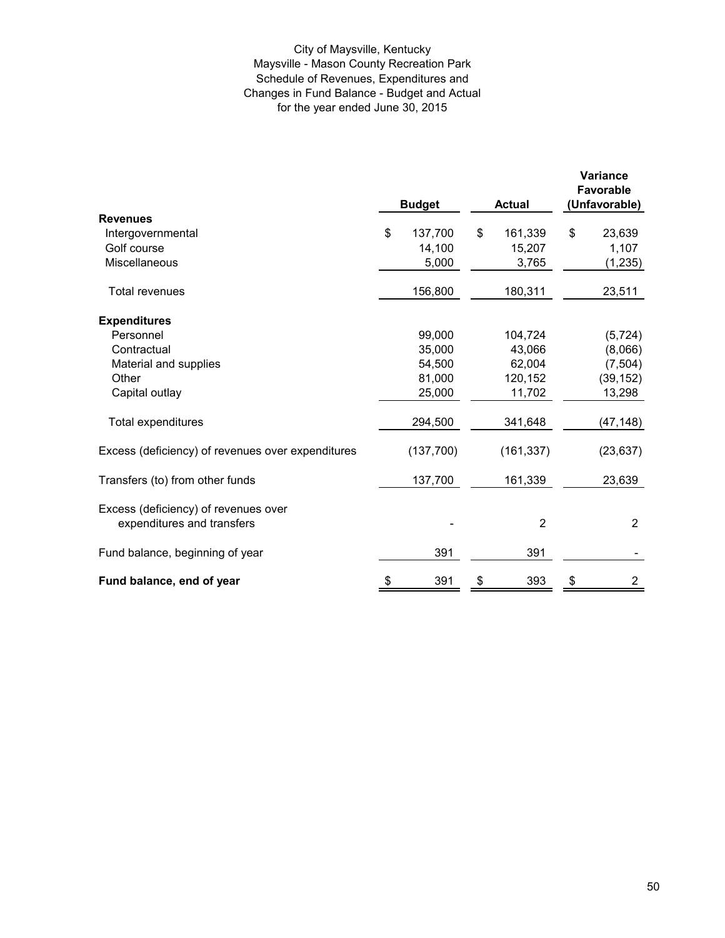# City of Maysville, Kentucky Maysville - Mason County Recreation Park Schedule of Revenues, Expenditures and Changes in Fund Balance - Budget and Actual for the year ended June 30, 2015

|                                                                    | <b>Budget</b> | <b>Actual</b> | Variance<br><b>Favorable</b><br>(Unfavorable) |
|--------------------------------------------------------------------|---------------|---------------|-----------------------------------------------|
| <b>Revenues</b>                                                    |               |               |                                               |
| Intergovernmental                                                  | \$<br>137,700 | \$<br>161,339 | \$<br>23,639                                  |
| Golf course                                                        | 14,100        | 15,207        | 1,107                                         |
| Miscellaneous                                                      | 5,000         | 3,765         | (1, 235)                                      |
| <b>Total revenues</b>                                              | 156,800       | 180,311       | 23,511                                        |
| <b>Expenditures</b>                                                |               |               |                                               |
| Personnel                                                          | 99,000        | 104,724       | (5, 724)                                      |
| Contractual                                                        | 35,000        | 43,066        | (8,066)                                       |
| Material and supplies                                              | 54,500        | 62,004        | (7,504)                                       |
| Other                                                              | 81,000        | 120,152       | (39, 152)                                     |
| Capital outlay                                                     | 25,000        | 11,702        | 13,298                                        |
| <b>Total expenditures</b>                                          | 294,500       | 341,648       | (47, 148)                                     |
| Excess (deficiency) of revenues over expenditures                  | (137,700)     | (161, 337)    | (23, 637)                                     |
| Transfers (to) from other funds                                    | 137,700       | 161,339       | 23,639                                        |
| Excess (deficiency) of revenues over<br>expenditures and transfers |               | 2             | 2                                             |
| Fund balance, beginning of year                                    | 391           | 391           |                                               |
| Fund balance, end of year                                          | \$<br>391     | \$<br>393     | \$<br>$\overline{c}$                          |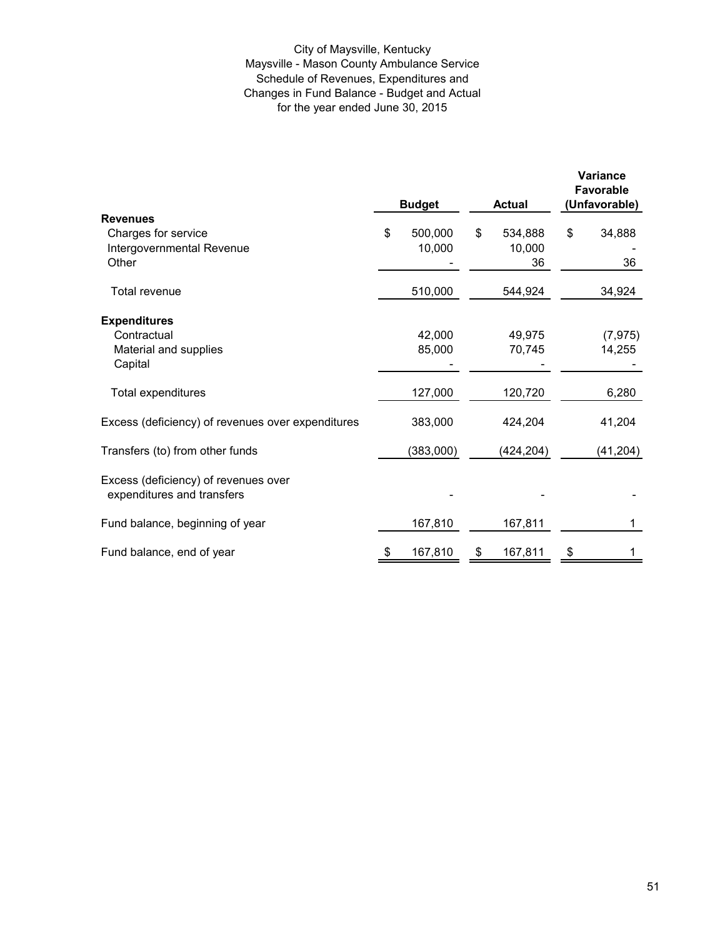# City of Maysville, Kentucky Maysville - Mason County Ambulance Service Schedule of Revenues, Expenditures and Changes in Fund Balance - Budget and Actual for the year ended June 30, 2015

|                                                                    | <b>Budget</b>           | <b>Actual</b>           | Variance<br><b>Favorable</b><br>(Unfavorable) |
|--------------------------------------------------------------------|-------------------------|-------------------------|-----------------------------------------------|
| <b>Revenues</b>                                                    |                         |                         |                                               |
| Charges for service<br>Intergovernmental Revenue                   | \$<br>500,000<br>10,000 | \$<br>534,888<br>10,000 | \$<br>34,888                                  |
| Other                                                              |                         | 36                      | 36                                            |
| <b>Total revenue</b>                                               | 510,000                 | 544,924                 | 34,924                                        |
| <b>Expenditures</b>                                                |                         |                         |                                               |
| Contractual                                                        | 42,000                  | 49,975                  | (7, 975)                                      |
| Material and supplies                                              | 85,000                  | 70,745                  | 14,255                                        |
| Capital                                                            |                         |                         |                                               |
| Total expenditures                                                 | 127,000                 | 120,720                 | 6,280                                         |
| Excess (deficiency) of revenues over expenditures                  | 383,000                 | 424,204                 | 41,204                                        |
| Transfers (to) from other funds                                    | (383,000)               | (424, 204)              | (41, 204)                                     |
| Excess (deficiency) of revenues over<br>expenditures and transfers |                         |                         |                                               |
| Fund balance, beginning of year                                    | 167,810                 | 167,811                 | 1                                             |
| Fund balance, end of year                                          | \$<br>167,810           | \$<br>167,811           | \$                                            |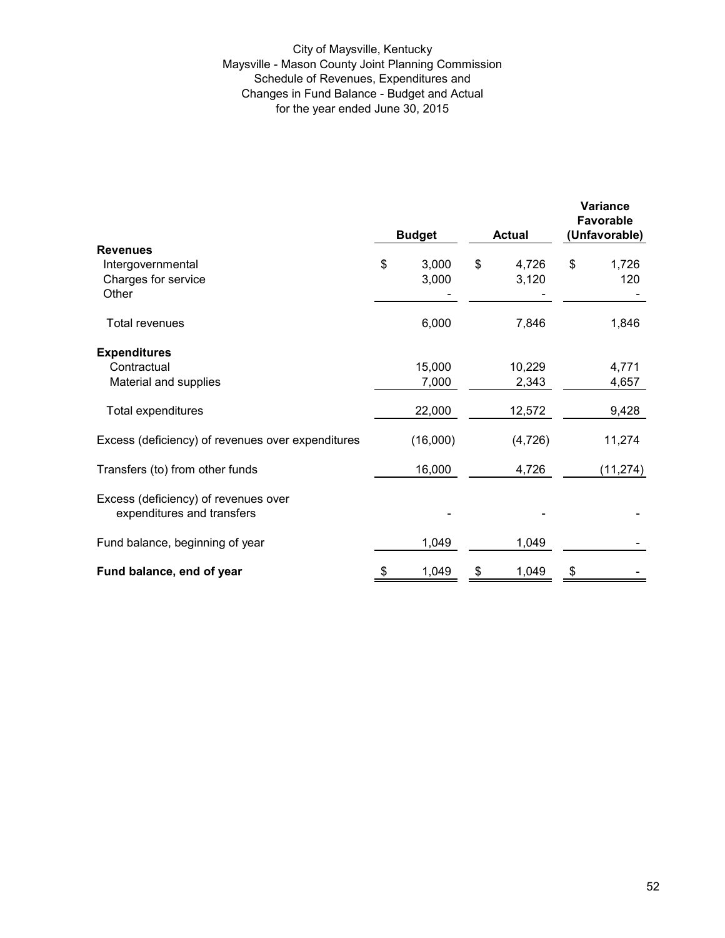# City of Maysville, Kentucky Maysville - Mason County Joint Planning Commission Schedule of Revenues, Expenditures and Changes in Fund Balance - Budget and Actual for the year ended June 30, 2015

|                                                                    | <b>Budget</b> | <b>Actual</b> | Variance<br><b>Favorable</b><br>(Unfavorable) |
|--------------------------------------------------------------------|---------------|---------------|-----------------------------------------------|
| <b>Revenues</b>                                                    |               |               |                                               |
| Intergovernmental                                                  | \$<br>3,000   | \$<br>4,726   | \$<br>1,726                                   |
| Charges for service<br>Other                                       | 3,000         | 3,120         | 120                                           |
| <b>Total revenues</b>                                              | 6,000         | 7,846         | 1,846                                         |
| <b>Expenditures</b>                                                |               |               |                                               |
| Contractual                                                        | 15,000        | 10,229        | 4,771                                         |
| Material and supplies                                              | 7,000         | 2,343         | 4,657                                         |
| Total expenditures                                                 | 22,000        | 12,572        | 9,428                                         |
| Excess (deficiency) of revenues over expenditures                  | (16,000)      | (4, 726)      | 11,274                                        |
| Transfers (to) from other funds                                    | 16,000        | 4,726         | (11, 274)                                     |
| Excess (deficiency) of revenues over<br>expenditures and transfers |               |               |                                               |
| Fund balance, beginning of year                                    | 1,049         | 1,049         |                                               |
| Fund balance, end of year                                          | \$<br>1,049   | \$<br>1,049   | \$                                            |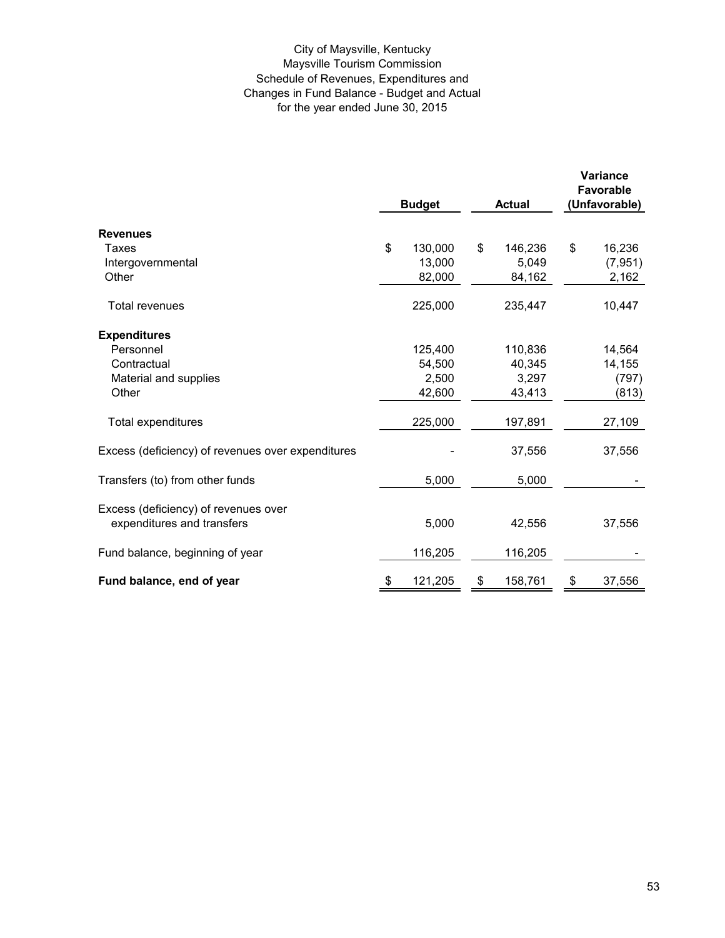# City of Maysville, Kentucky Maysville Tourism Commission Schedule of Revenues, Expenditures and Changes in Fund Balance - Budget and Actual for the year ended June 30, 2015

|                                                   | <b>Budget</b> | <b>Actual</b> | Variance<br><b>Favorable</b><br>(Unfavorable) |
|---------------------------------------------------|---------------|---------------|-----------------------------------------------|
| <b>Revenues</b>                                   |               |               |                                               |
| Taxes                                             | \$<br>130,000 | \$<br>146,236 | \$<br>16,236                                  |
| Intergovernmental                                 | 13,000        | 5,049         | (7, 951)                                      |
| Other                                             | 82,000        | 84,162        | 2,162                                         |
| Total revenues                                    | 225,000       | 235,447       | 10,447                                        |
| <b>Expenditures</b>                               |               |               |                                               |
| Personnel                                         | 125,400       | 110,836       | 14,564                                        |
| Contractual                                       | 54,500        | 40,345        | 14,155                                        |
| Material and supplies                             | 2,500         | 3,297         | (797)                                         |
| Other                                             | 42,600        | 43,413        | (813)                                         |
| Total expenditures                                | 225,000       | 197,891       | 27,109                                        |
| Excess (deficiency) of revenues over expenditures |               | 37,556        | 37,556                                        |
| Transfers (to) from other funds                   | 5,000         | 5,000         |                                               |
| Excess (deficiency) of revenues over              |               |               |                                               |
| expenditures and transfers                        | 5,000         | 42,556        | 37,556                                        |
| Fund balance, beginning of year                   | 116,205       | 116,205       |                                               |
| Fund balance, end of year                         | \$<br>121,205 | \$<br>158,761 | \$<br>37,556                                  |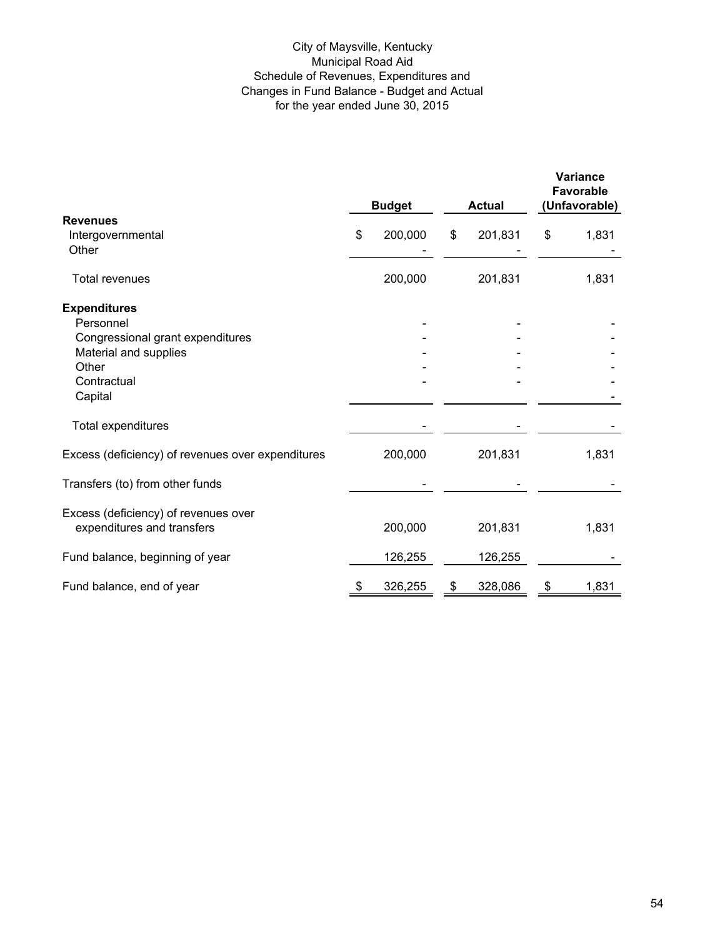# City of Maysville, Kentucky Municipal Road Aid Schedule of Revenues, Expenditures and Changes in Fund Balance - Budget and Actual for the year ended June 30, 2015

|                                                                                                                                  | <b>Budget</b> | <b>Actual</b> |    | Variance<br>Favorable<br>(Unfavorable) |
|----------------------------------------------------------------------------------------------------------------------------------|---------------|---------------|----|----------------------------------------|
| <b>Revenues</b><br>Intergovernmental<br>Other                                                                                    | \$<br>200,000 | \$<br>201,831 | \$ | 1,831                                  |
| <b>Total revenues</b>                                                                                                            | 200,000       | 201,831       |    | 1,831                                  |
| <b>Expenditures</b><br>Personnel<br>Congressional grant expenditures<br>Material and supplies<br>Other<br>Contractual<br>Capital |               |               |    |                                        |
| Total expenditures                                                                                                               |               |               |    |                                        |
| Excess (deficiency) of revenues over expenditures                                                                                | 200,000       | 201,831       |    | 1,831                                  |
| Transfers (to) from other funds                                                                                                  |               |               |    |                                        |
| Excess (deficiency) of revenues over<br>expenditures and transfers                                                               | 200,000       | 201,831       |    | 1,831                                  |
| Fund balance, beginning of year                                                                                                  | 126,255       | 126,255       |    |                                        |
| Fund balance, end of year                                                                                                        | 326,255       | \$<br>328,086 | S. | 1,831                                  |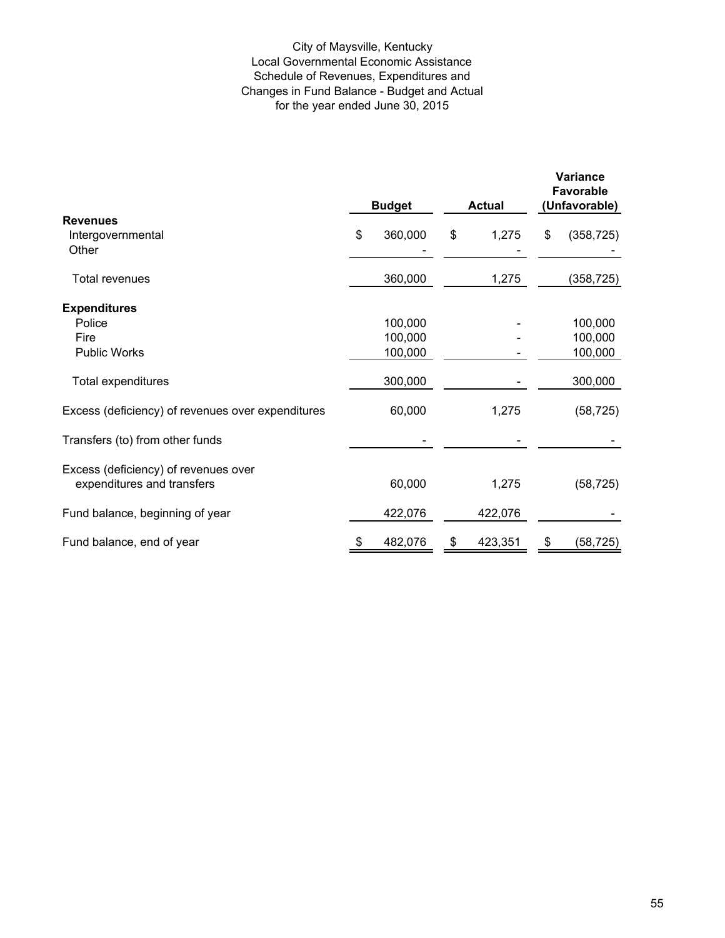# City of Maysville, Kentucky Local Governmental Economic Assistance Schedule of Revenues, Expenditures and Changes in Fund Balance - Budget and Actual for the year ended June 30, 2015

|                                                   | <b>Budget</b> | <b>Actual</b> | Variance<br><b>Favorable</b><br>(Unfavorable) |
|---------------------------------------------------|---------------|---------------|-----------------------------------------------|
| <b>Revenues</b>                                   |               |               |                                               |
| Intergovernmental                                 | \$<br>360,000 | \$<br>1,275   | \$<br>(358, 725)                              |
| Other                                             |               |               |                                               |
| <b>Total revenues</b>                             | 360,000       | 1,275         | (358, 725)                                    |
| <b>Expenditures</b>                               |               |               |                                               |
| Police                                            | 100,000       |               | 100,000                                       |
| Fire                                              | 100,000       |               | 100,000                                       |
| <b>Public Works</b>                               | 100,000       |               | 100,000                                       |
| Total expenditures                                | 300,000       |               | 300,000                                       |
| Excess (deficiency) of revenues over expenditures | 60,000        | 1,275         | (58, 725)                                     |
| Transfers (to) from other funds                   |               |               |                                               |
| Excess (deficiency) of revenues over              |               |               |                                               |
| expenditures and transfers                        | 60,000        | 1,275         | (58, 725)                                     |
| Fund balance, beginning of year                   | 422,076       | 422,076       |                                               |
| Fund balance, end of year                         | \$<br>482,076 | \$<br>423,351 | \$<br>(58, 725)                               |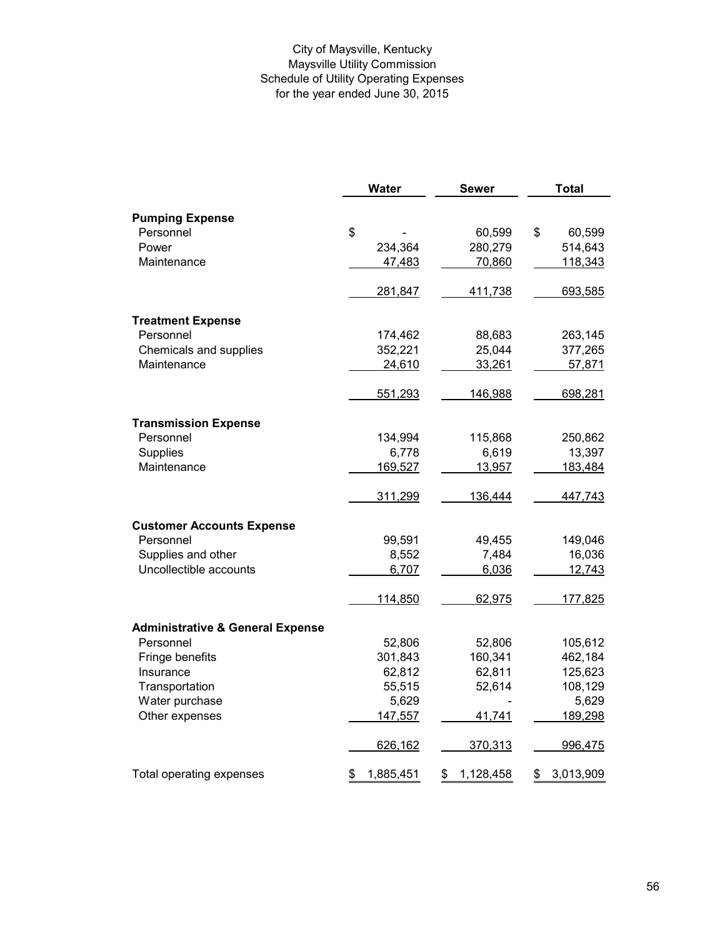# City of Maysville, Kentucky Maysville Utility Commission Schedule of Utility Operating Expenses for the year ended June 30, 2015

|                                             | <b>Water</b>    | <b>Sewer</b>    | <b>Total</b>    |
|---------------------------------------------|-----------------|-----------------|-----------------|
| <b>Pumping Expense</b>                      |                 |                 |                 |
| Personnel                                   | \$              | 60,599          | \$<br>60,599    |
| Power                                       | 234,364         | 280,279         | 514,643         |
| Maintenance                                 | 47,483          | 70,860          | 118,343         |
|                                             | 281,847         | 411,738         | 693,585         |
| <b>Treatment Expense</b>                    |                 |                 |                 |
| Personnel                                   | 174,462         | 88,683          | 263,145         |
| Chemicals and supplies                      | 352,221         | 25,044          | 377,265         |
| Maintenance                                 | 24,610          | 33,261          | 57,871          |
|                                             | 551,293         | 146,988         | 698,281         |
| <b>Transmission Expense</b>                 |                 |                 |                 |
| Personnel                                   | 134,994         | 115,868         | 250,862         |
| Supplies                                    | 6,778           | 6,619           | 13,397          |
| Maintenance                                 | 169,527         | 13,957          | 183,484         |
|                                             | 311,299         | 136,444         | 447,743         |
| <b>Customer Accounts Expense</b>            |                 |                 |                 |
| Personnel                                   | 99,591          | 49,455          | 149,046         |
| Supplies and other                          | 8,552           | 7,484           | 16,036          |
| Uncollectible accounts                      | 6,707           | 6,036           | 12,743          |
|                                             | 114,850         | 62,975          | 177,825         |
| <b>Administrative &amp; General Expense</b> |                 |                 |                 |
| Personnel                                   | 52,806          | 52,806          | 105,612         |
| Fringe benefits                             | 301,843         | 160,341         | 462,184         |
| Insurance                                   | 62,812          | 62,811          | 125,623         |
| Transportation                              | 55,515          | 52,614          | 108,129         |
| Water purchase                              | 5,629           |                 | 5,629           |
| Other expenses                              | 147,557         | 41,741          | 189,298         |
|                                             | 626,162         | 370,313         | 996,475         |
| Total operating expenses                    | \$<br>1,885,451 | 1,128,458<br>\$ | \$<br>3,013,909 |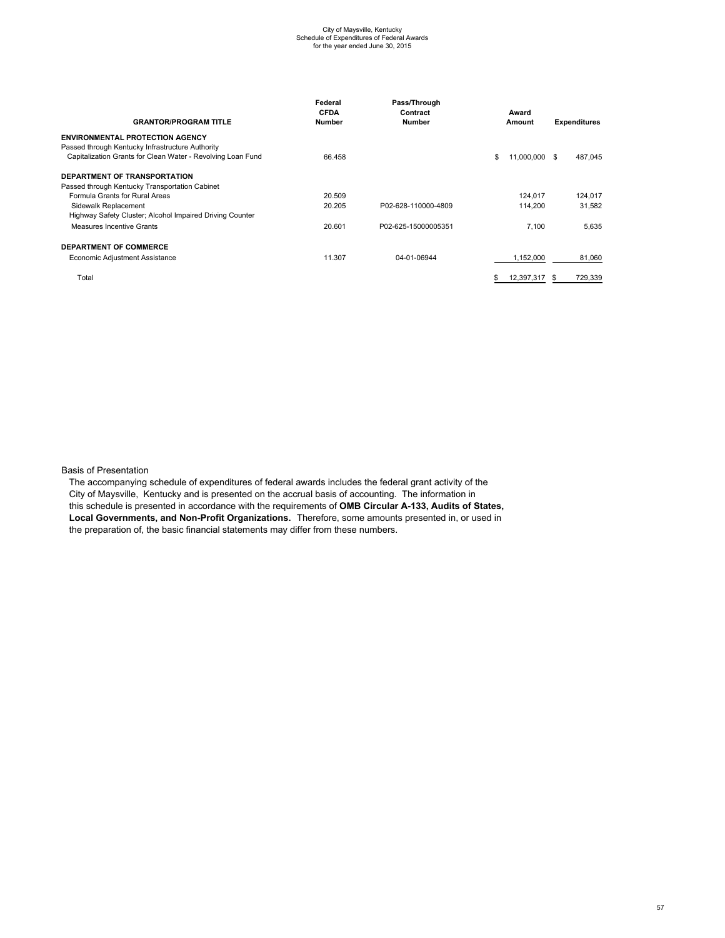#### City of Maysville, Kentucky Schedule of Expenditures of Federal Awards for the year ended June 30, 2015

| <b>GRANTOR/PROGRAM TITLE</b>                                | Federal<br><b>CFDA</b><br><b>Number</b> | Pass/Through<br>Contract<br><b>Number</b> |   | Award<br>Amount | <b>Expenditures</b> |  |
|-------------------------------------------------------------|-----------------------------------------|-------------------------------------------|---|-----------------|---------------------|--|
| <b>ENVIRONMENTAL PROTECTION AGENCY</b>                      |                                         |                                           |   |                 |                     |  |
| Passed through Kentucky Infrastructure Authority            |                                         |                                           |   |                 |                     |  |
| Capitalization Grants for Clean Water - Revolving Loan Fund | 66.458                                  |                                           | S | 11,000,000 \$   | 487,045             |  |
| <b>DEPARTMENT OF TRANSPORTATION</b>                         |                                         |                                           |   |                 |                     |  |
| Passed through Kentucky Transportation Cabinet              |                                         |                                           |   |                 |                     |  |
| Formula Grants for Rural Areas                              | 20.509                                  |                                           |   | 124.017         | 124.017             |  |
| Sidewalk Replacement                                        | 20.205                                  | P02-628-110000-4809                       |   | 114.200         | 31.582              |  |
| Highway Safety Cluster; Alcohol Impaired Driving Counter    |                                         |                                           |   |                 |                     |  |
| <b>Measures Incentive Grants</b>                            | 20.601                                  | P02-625-15000005351                       |   | 7.100           | 5.635               |  |
| <b>DEPARTMENT OF COMMERCE</b>                               |                                         |                                           |   |                 |                     |  |
| Economic Adjustment Assistance                              | 11.307                                  | 04-01-06944                               |   | 1,152,000       | 81,060              |  |
| Total                                                       |                                         |                                           | S | 12.397.317      | 729.339<br>- \$     |  |

Basis of Presentation

 The accompanying schedule of expenditures of federal awards includes the federal grant activity of the City of Maysville, Kentucky and is presented on the accrual basis of accounting. The information in this schedule is presented in accordance with the requirements of **OMB Circular A-133, Audits of States, Local Governments, and Non-Profit Organizations.** Therefore, some amounts presented in, or used in the preparation of, the basic financial statements may differ from these numbers.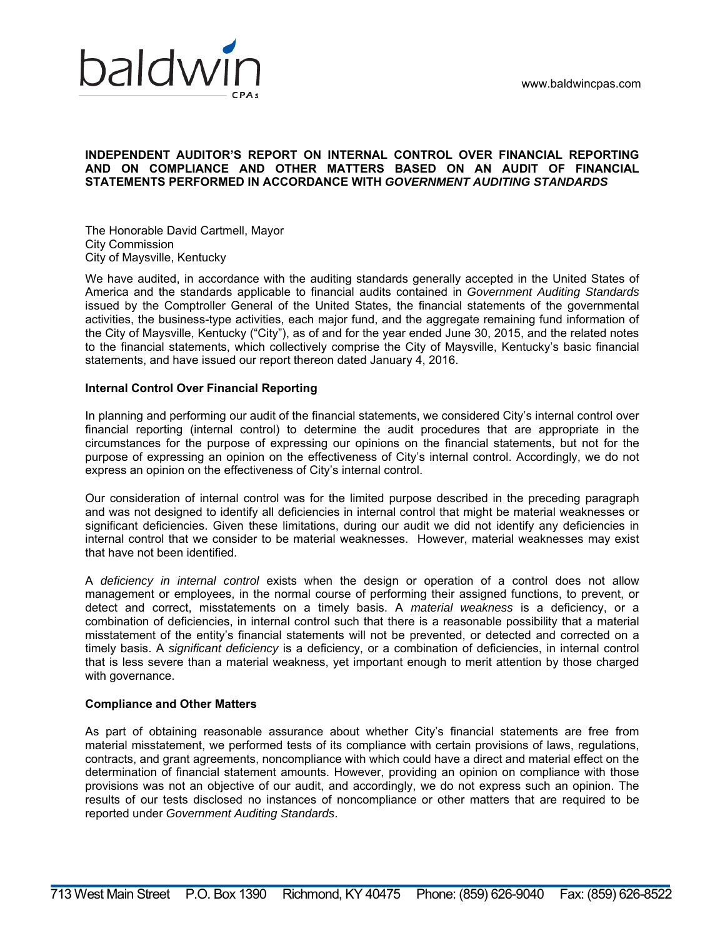

# **INDEPENDENT AUDITOR'S REPORT ON INTERNAL CONTROL OVER FINANCIAL REPORTING AND ON COMPLIANCE AND OTHER MATTERS BASED ON AN AUDIT OF FINANCIAL STATEMENTS PERFORMED IN ACCORDANCE WITH** *GOVERNMENT AUDITING STANDARDS*

The Honorable David Cartmell, Mayor City Commission City of Maysville, Kentucky

We have audited, in accordance with the auditing standards generally accepted in the United States of America and the standards applicable to financial audits contained in *Government Auditing Standards* issued by the Comptroller General of the United States, the financial statements of the governmental activities, the business-type activities, each major fund, and the aggregate remaining fund information of the City of Maysville, Kentucky ("City"), as of and for the year ended June 30, 2015, and the related notes to the financial statements, which collectively comprise the City of Maysville, Kentucky's basic financial statements, and have issued our report thereon dated January 4, 2016.

# **Internal Control Over Financial Reporting**

In planning and performing our audit of the financial statements, we considered City's internal control over financial reporting (internal control) to determine the audit procedures that are appropriate in the circumstances for the purpose of expressing our opinions on the financial statements, but not for the purpose of expressing an opinion on the effectiveness of City's internal control. Accordingly, we do not express an opinion on the effectiveness of City's internal control.

Our consideration of internal control was for the limited purpose described in the preceding paragraph and was not designed to identify all deficiencies in internal control that might be material weaknesses or significant deficiencies. Given these limitations, during our audit we did not identify any deficiencies in internal control that we consider to be material weaknesses. However, material weaknesses may exist that have not been identified.

A *deficiency in internal control* exists when the design or operation of a control does not allow management or employees, in the normal course of performing their assigned functions, to prevent, or detect and correct, misstatements on a timely basis. A *material weakness* is a deficiency, or a combination of deficiencies, in internal control such that there is a reasonable possibility that a material misstatement of the entity's financial statements will not be prevented, or detected and corrected on a timely basis. A *significant deficiency* is a deficiency, or a combination of deficiencies, in internal control that is less severe than a material weakness, yet important enough to merit attention by those charged with governance.

# **Compliance and Other Matters**

As part of obtaining reasonable assurance about whether City's financial statements are free from material misstatement, we performed tests of its compliance with certain provisions of laws, regulations, contracts, and grant agreements, noncompliance with which could have a direct and material effect on the determination of financial statement amounts. However, providing an opinion on compliance with those provisions was not an objective of our audit, and accordingly, we do not express such an opinion. The results of our tests disclosed no instances of noncompliance or other matters that are required to be reported under *Government Auditing Standards*.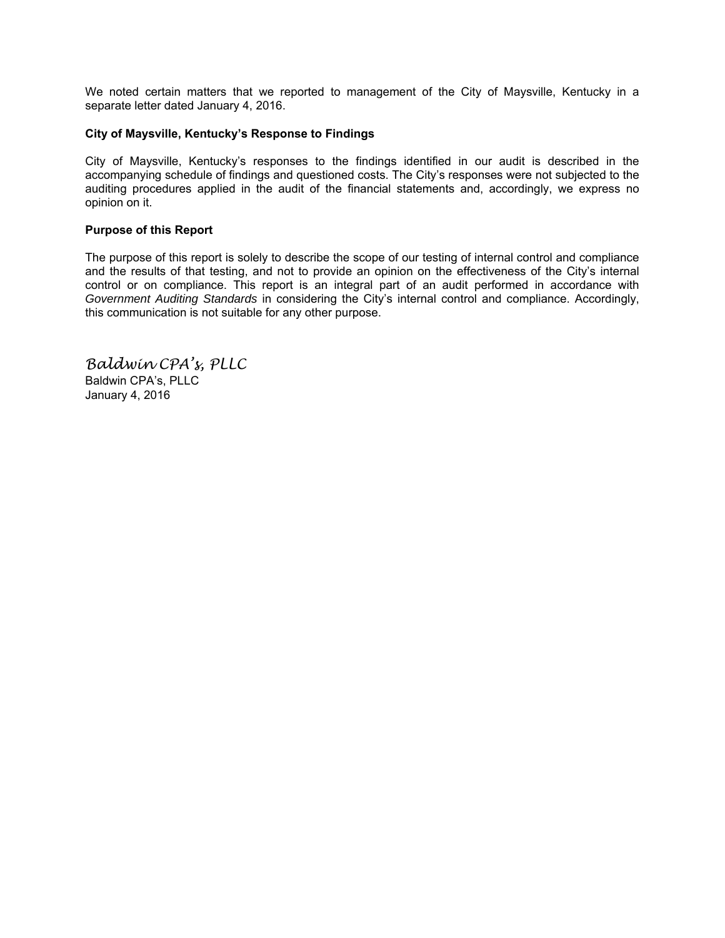We noted certain matters that we reported to management of the City of Maysville, Kentucky in a separate letter dated January 4, 2016.

# **City of Maysville, Kentucky's Response to Findings**

City of Maysville, Kentucky's responses to the findings identified in our audit is described in the accompanying schedule of findings and questioned costs. The City's responses were not subjected to the auditing procedures applied in the audit of the financial statements and, accordingly, we express no opinion on it.

# **Purpose of this Report**

The purpose of this report is solely to describe the scope of our testing of internal control and compliance and the results of that testing, and not to provide an opinion on the effectiveness of the City's internal control or on compliance. This report is an integral part of an audit performed in accordance with *Government Auditing Standards* in considering the City's internal control and compliance. Accordingly, this communication is not suitable for any other purpose.

*Baldwin CPA's, PLLC*  Baldwin CPA's, PLLC January 4, 2016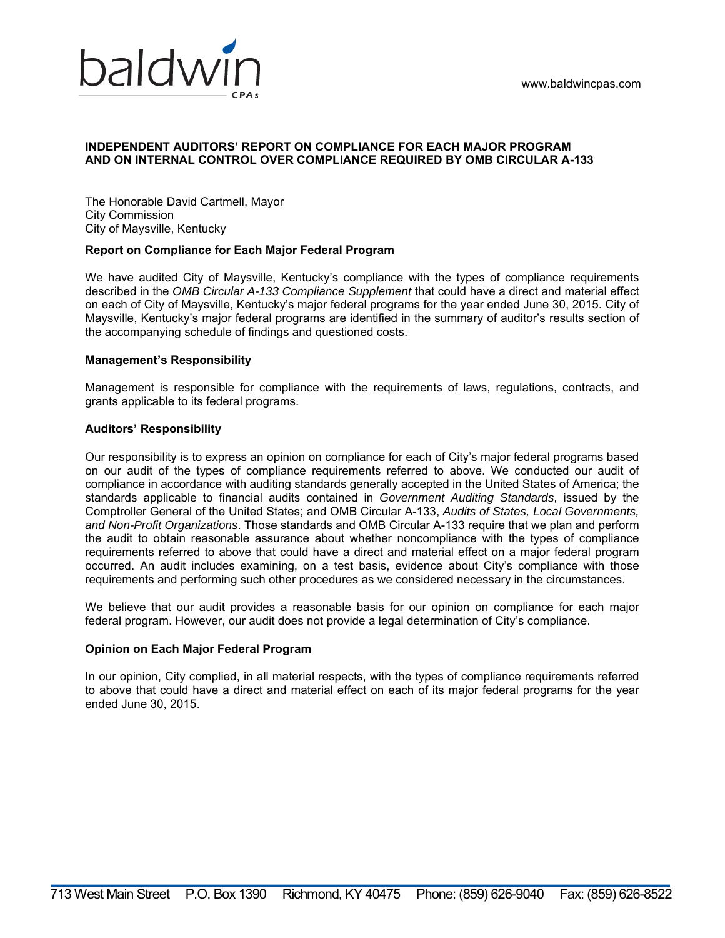

# **INDEPENDENT AUDITORS' REPORT ON COMPLIANCE FOR EACH MAJOR PROGRAM AND ON INTERNAL CONTROL OVER COMPLIANCE REQUIRED BY OMB CIRCULAR A-133**

The Honorable David Cartmell, Mayor City Commission City of Maysville, Kentucky

#### **Report on Compliance for Each Major Federal Program**

We have audited City of Maysville, Kentucky's compliance with the types of compliance requirements described in the *OMB Circular A-133 Compliance Supplement* that could have a direct and material effect on each of City of Maysville, Kentucky's major federal programs for the year ended June 30, 2015. City of Maysville, Kentucky's major federal programs are identified in the summary of auditor's results section of the accompanying schedule of findings and questioned costs.

#### **Management's Responsibility**

Management is responsible for compliance with the requirements of laws, regulations, contracts, and grants applicable to its federal programs.

#### **Auditors' Responsibility**

Our responsibility is to express an opinion on compliance for each of City's major federal programs based on our audit of the types of compliance requirements referred to above. We conducted our audit of compliance in accordance with auditing standards generally accepted in the United States of America; the standards applicable to financial audits contained in *Government Auditing Standards*, issued by the Comptroller General of the United States; and OMB Circular A-133, *Audits of States, Local Governments, and Non-Profit Organizations*. Those standards and OMB Circular A-133 require that we plan and perform the audit to obtain reasonable assurance about whether noncompliance with the types of compliance requirements referred to above that could have a direct and material effect on a major federal program occurred. An audit includes examining, on a test basis, evidence about City's compliance with those requirements and performing such other procedures as we considered necessary in the circumstances.

We believe that our audit provides a reasonable basis for our opinion on compliance for each major federal program. However, our audit does not provide a legal determination of City's compliance.

# **Opinion on Each Major Federal Program**

In our opinion, City complied, in all material respects, with the types of compliance requirements referred to above that could have a direct and material effect on each of its major federal programs for the year ended June 30, 2015.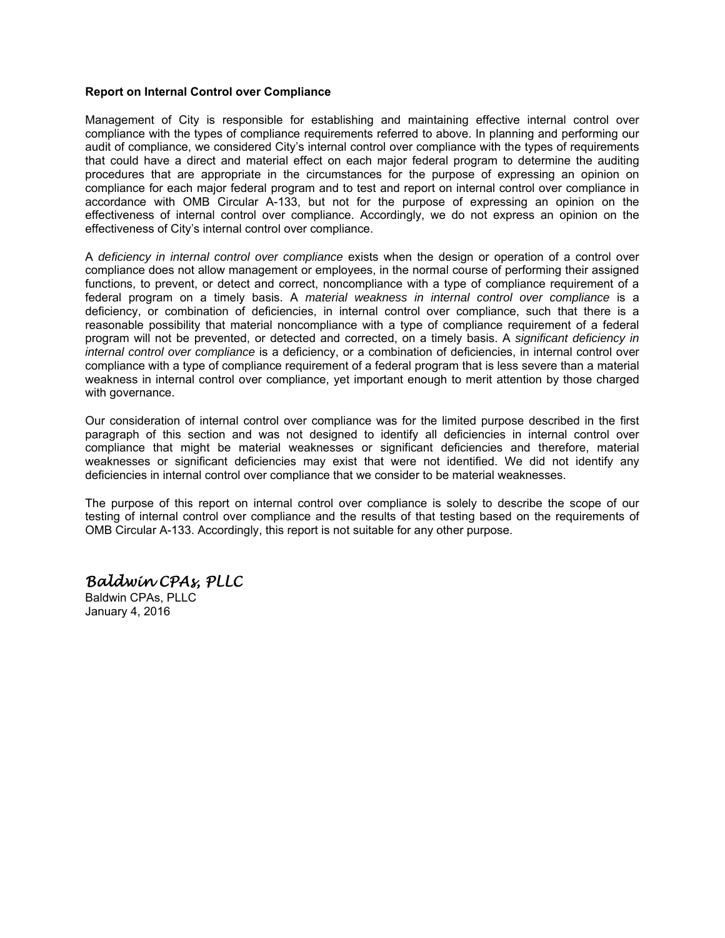### **Report on Internal Control over Compliance**

Management of City is responsible for establishing and maintaining effective internal control over compliance with the types of compliance requirements referred to above. In planning and performing our audit of compliance, we considered City's internal control over compliance with the types of requirements that could have a direct and material effect on each major federal program to determine the auditing procedures that are appropriate in the circumstances for the purpose of expressing an opinion on compliance for each major federal program and to test and report on internal control over compliance in accordance with OMB Circular A-133, but not for the purpose of expressing an opinion on the effectiveness of internal control over compliance. Accordingly, we do not express an opinion on the effectiveness of City's internal control over compliance.

A *deficiency in internal control over compliance* exists when the design or operation of a control over compliance does not allow management or employees, in the normal course of performing their assigned functions, to prevent, or detect and correct, noncompliance with a type of compliance requirement of a federal program on a timely basis. A *material weakness in internal control over compliance* is a deficiency, or combination of deficiencies, in internal control over compliance, such that there is a reasonable possibility that material noncompliance with a type of compliance requirement of a federal program will not be prevented, or detected and corrected, on a timely basis. A *significant deficiency in internal control over compliance* is a deficiency, or a combination of deficiencies, in internal control over compliance with a type of compliance requirement of a federal program that is less severe than a material weakness in internal control over compliance, yet important enough to merit attention by those charged with governance.

Our consideration of internal control over compliance was for the limited purpose described in the first paragraph of this section and was not designed to identify all deficiencies in internal control over compliance that might be material weaknesses or significant deficiencies and therefore, material weaknesses or significant deficiencies may exist that were not identified. We did not identify any deficiencies in internal control over compliance that we consider to be material weaknesses.

The purpose of this report on internal control over compliance is solely to describe the scope of our testing of internal control over compliance and the results of that testing based on the requirements of OMB Circular A-133. Accordingly, this report is not suitable for any other purpose.

# *Baldwin CPAs, PLLC*

Baldwin CPAs, PLLC January 4, 2016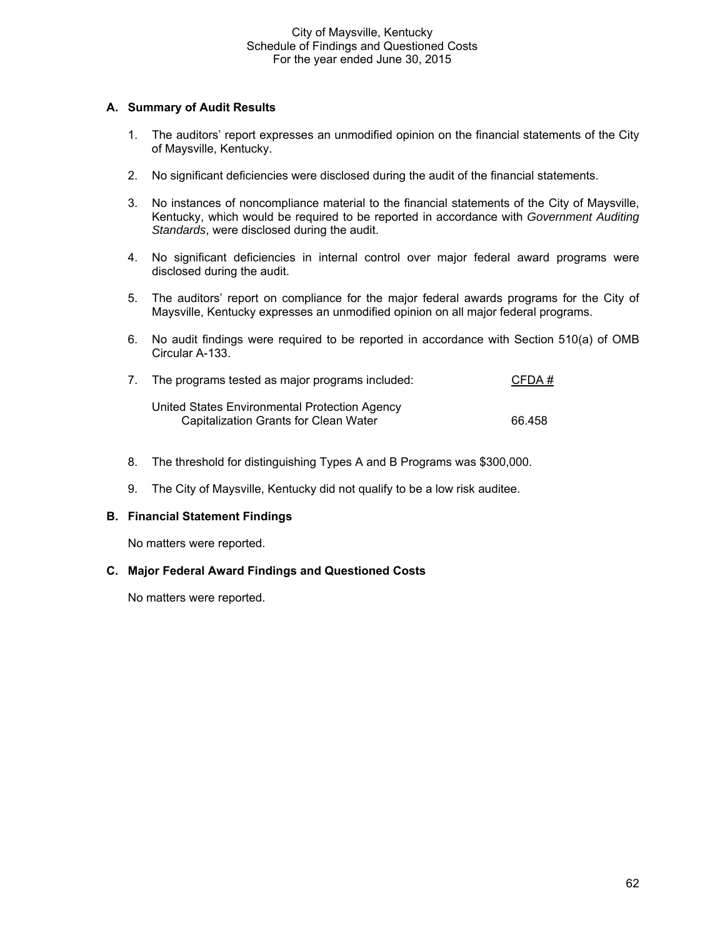# City of Maysville, Kentucky Schedule of Findings and Questioned Costs For the year ended June 30, 2015

# **A. Summary of Audit Results**

- 1. The auditors' report expresses an unmodified opinion on the financial statements of the City of Maysville, Kentucky.
- 2. No significant deficiencies were disclosed during the audit of the financial statements.
- 3. No instances of noncompliance material to the financial statements of the City of Maysville, Kentucky, which would be required to be reported in accordance with *Government Auditing Standards*, were disclosed during the audit.
- 4. No significant deficiencies in internal control over major federal award programs were disclosed during the audit.
- 5. The auditors' report on compliance for the major federal awards programs for the City of Maysville, Kentucky expresses an unmodified opinion on all major federal programs.
- 6. No audit findings were required to be reported in accordance with Section 510(a) of OMB Circular A-133.

| The programs tested as major programs included: | CFDA#  |
|-------------------------------------------------|--------|
| United States Environmental Protection Agency   |        |
| Capitalization Grants for Clean Water           | 66.458 |

- 8. The threshold for distinguishing Types A and B Programs was \$300,000.
- 9. The City of Maysville, Kentucky did not qualify to be a low risk auditee.

# **B. Financial Statement Findings**

No matters were reported.

# **C. Major Federal Award Findings and Questioned Costs**

No matters were reported.